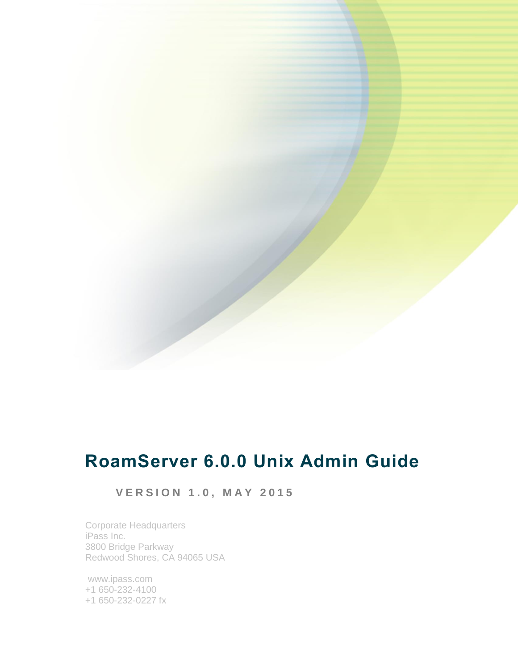# **RoamServer 6.0.0 Unix Admin Guide**

# **V E R S I O N 1 . 0 , M A Y 2 0 1 5**

Corporate Headquarters iPass Inc. 3800 Bridge Parkway Redwood Shores, CA 94065 USA

www.ipass.com +1 650-232-4100 +1 650-232-0227 fx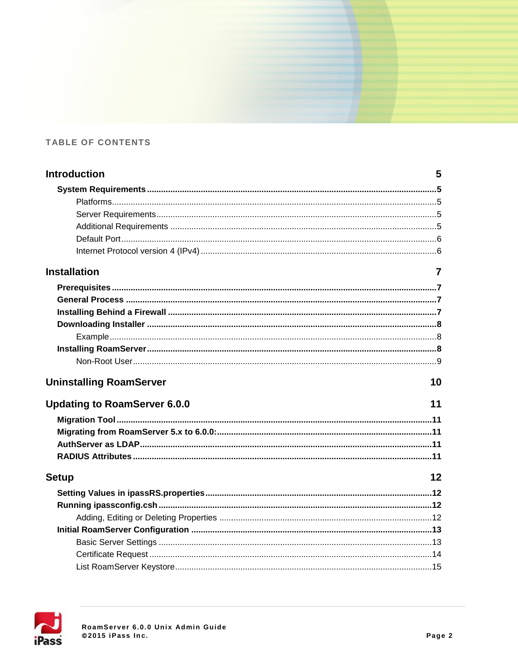### TABLE OF CONTENTS

| <b>Introduction</b>                 | 5  |
|-------------------------------------|----|
|                                     |    |
|                                     |    |
|                                     |    |
|                                     |    |
|                                     |    |
|                                     |    |
| <b>Installation</b>                 | 7  |
|                                     |    |
|                                     |    |
|                                     |    |
|                                     |    |
|                                     |    |
|                                     |    |
|                                     |    |
| <b>Uninstalling RoamServer</b>      | 10 |
| <b>Updating to RoamServer 6.0.0</b> | 11 |
|                                     |    |
|                                     |    |
|                                     |    |
|                                     |    |
| <b>Setup</b>                        | 12 |
|                                     |    |
|                                     |    |
|                                     |    |
|                                     |    |
|                                     |    |
|                                     |    |
|                                     |    |

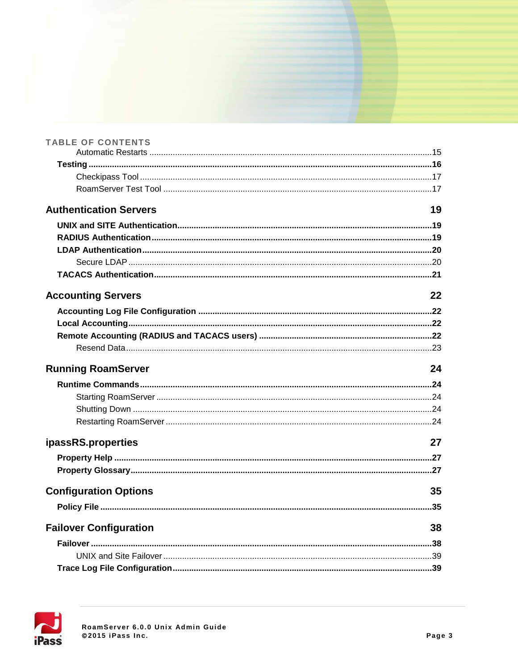| <b>TABLE OF CONTENTS</b>      |    |
|-------------------------------|----|
|                               |    |
|                               |    |
|                               |    |
| <b>Authentication Servers</b> | 19 |
|                               |    |
|                               |    |
|                               |    |
|                               |    |
|                               |    |
| <b>Accounting Servers</b>     | 22 |
|                               |    |
|                               |    |
|                               |    |
|                               |    |
| <b>Running RoamServer</b>     | 24 |
|                               |    |
|                               |    |
|                               |    |
|                               |    |
| ipassRS.properties            | 27 |
|                               |    |
|                               |    |
| <b>Configuration Options</b>  | 35 |
|                               |    |
| <b>Failover Configuration</b> | 38 |
|                               |    |
|                               |    |
|                               |    |

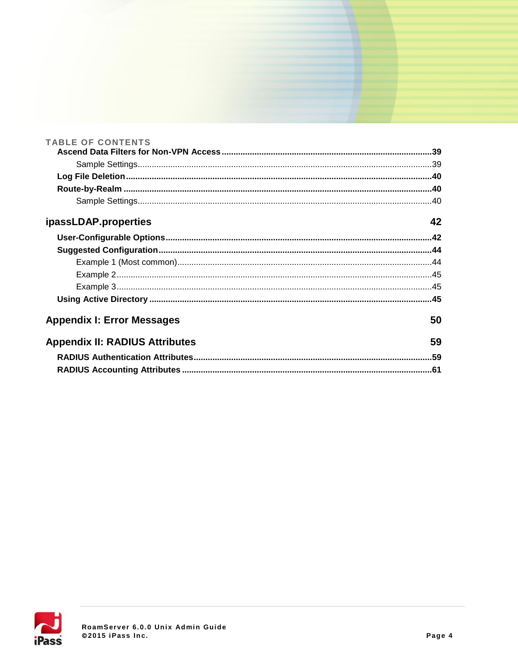| <b>TABLE OF CONTENTS</b>              |    |
|---------------------------------------|----|
|                                       |    |
|                                       |    |
|                                       |    |
|                                       |    |
|                                       |    |
| ipassLDAP.properties                  | 42 |
|                                       |    |
|                                       |    |
|                                       |    |
|                                       |    |
|                                       |    |
|                                       |    |
| <b>Appendix I: Error Messages</b>     | 50 |
| <b>Appendix II: RADIUS Attributes</b> | 59 |
|                                       |    |
|                                       |    |

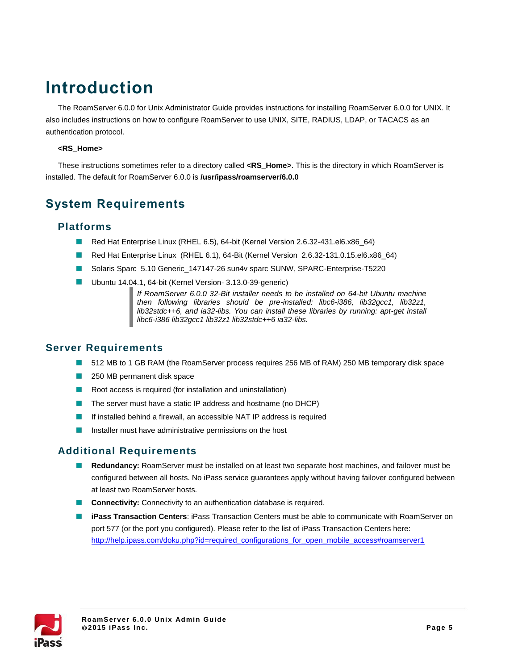# **Introduction**

The RoamServer 6.0.0 for Unix Administrator Guide provides instructions for installing RoamServer 6.0.0 for UNIX. It also includes instructions on how to configure RoamServer to use UNIX, SITE, RADIUS, LDAP, or TACACS as an authentication protocol.

#### **<RS\_Home>**

These instructions sometimes refer to a directory called **<RS\_Home>**. This is the directory in which RoamServer is installed. The default for RoamServer 6.0.0 is **/usr/ipass/roamserver/6.0.0**

## **System Requirements**

#### **Platforms**

- Red Hat Enterprise Linux (RHEL 6.5), 64-bit (Kernel Version 2.6.32-431.el6.x86\_64)
- Red Hat Enterprise Linux (RHEL 6.1), 64-Bit (Kernel Version 2.6.32-131.0.15.el6.x86\_64)
- Solaris Sparc 5.10 Generic\_147147-26 sun4v sparc SUNW, SPARC-Enterprise-T5220
- Ubuntu 14.04.1, 64-bit (Kernel Version- 3.13.0-39-generic)

*If RoamServer 6.0.0 32-Bit installer needs to be installed on 64-bit Ubuntu machine then following libraries should be pre-installed: libc6-i386, lib32gcc1, lib32z1, lib32stdc++6, and ia32-libs. You can install these libraries by running: apt-get install libc6-i386 lib32gcc1 lib32z1 lib32stdc++6 ia32-libs.*

#### **Server Requirements**

- **512 MB to 1 GB RAM (the RoamServer process requires 256 MB of RAM) 250 MB temporary disk space**
- 250 MB permanent disk space
- **Contract Contract** Root access is required (for installation and uninstallation)
- The server must have a static IP address and hostname (no DHCP) m.
- m. If installed behind a firewall, an accessible NAT IP address is required
- Installer must have administrative permissions on the host П

#### **Additional Requirements**

- **Redundancy:** RoamServer must be installed on at least two separate host machines, and failover must be m. configured between all hosts. No iPass service guarantees apply without having failover configured between at least two RoamServer hosts.
- **Connectivity:** Connectivity to an authentication database is required.
- **iPass Transaction Centers:** iPass Transaction Centers must be able to communicate with RoamServer on port 577 (or the port you configured). Please refer to the list of iPass Transaction Centers here: [http://help.ipass.com/doku.php?id=required\\_configurations\\_for\\_open\\_mobile\\_access#roamserver1](http://help.ipass.com/doku.php?id=required_configurations_for_open_mobile_access#roamserver1)

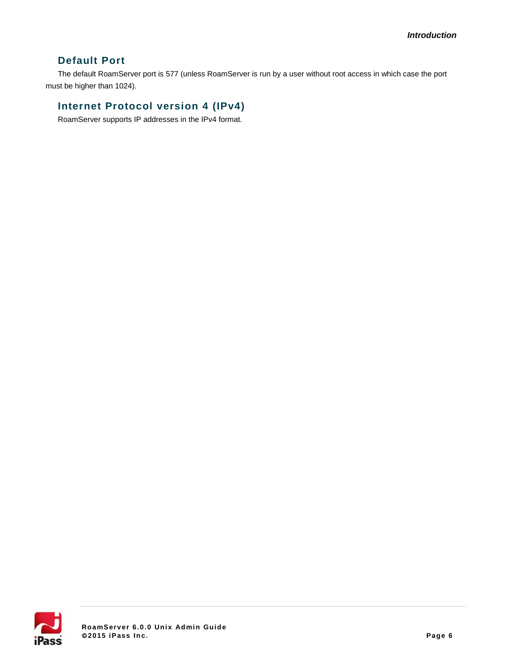### **Default Port**

The default RoamServer port is 577 (unless RoamServer is run by a user without root access in which case the port must be higher than 1024).

### **Internet Protocol version 4 (IPv4)**

RoamServer supports IP addresses in the IPv4 format.

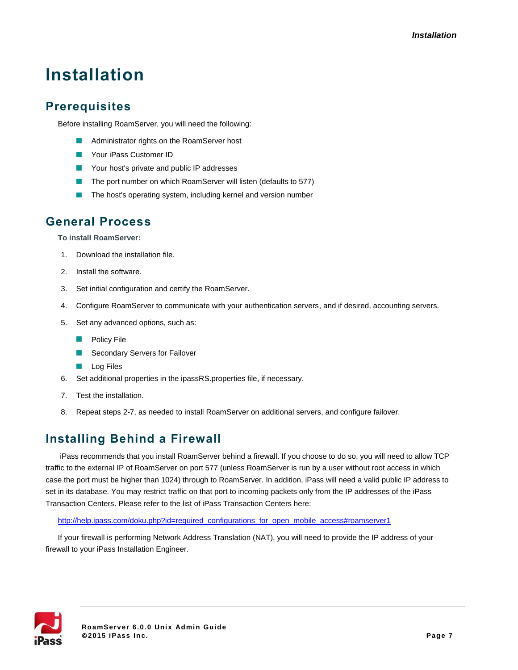# **Installation**

# **Prerequisites**

Before installing RoamServer, you will need the following:

- **Administrator rights on the RoamServer host**
- m. Your iPass Customer ID
- Your host's private and public IP addresses
- The port number on which RoamServer will listen (defaults to 577)
- $\mathbf{r}$ The host's operating system, including kernel and version number

## **General Process**

**To install RoamServer:**

- 1. Download the installation file.
- 2. Install the software.
- 3. Set initial configuration and certify the RoamServer.
- 4. Configure RoamServer to communicate with your authentication servers, and if desired, accounting servers.
- 5. Set any advanced options, such as:
	- **Policy File**
	- Secondary Servers for Failover
	- **Log Files**
- 6. Set additional properties in the ipassRS.properties file, if necessary.
- 7. Test the installation.
- 8. Repeat steps 2-7, as needed to install RoamServer on additional servers, and configure failover.

## **Installing Behind a Firewall**

iPass recommends that you install RoamServer behind a firewall. If you choose to do so, you will need to allow TCP traffic to the external IP of RoamServer on port 577 (unless RoamServer is run by a user without root access in which case the port must be higher than 1024) through to RoamServer. In addition, iPass will need a valid public IP address to set in its database. You may restrict traffic on that port to incoming packets only from the IP addresses of the iPass Transaction Centers. Please refer to the list of iPass Transaction Centers here:

#### [http://help.ipass.com/doku.php?id=required\\_configurations\\_for\\_open\\_mobile\\_access#roamserver1](http://help.ipass.com/doku.php?id=required_configurations_for_open_mobile_access#roamserver1)

If your firewall is performing Network Address Translation (NAT), you will need to provide the IP address of your firewall to your iPass Installation Engineer.

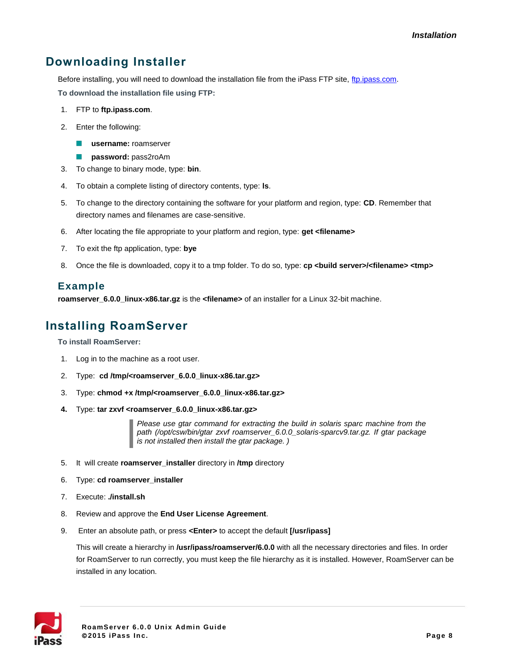# **Downloading Installer**

Before installing, you will need to download the installation file from the iPass FTP site, [ftp.ipass.com.](ftp://ftp.ipass.com/) **To download the installation file using FTP:**

- 1. FTP to **ftp.ipass.com**.
- 2. Enter the following:
	- **username:** roamserver  $\mathcal{L}_{\mathcal{A}}$
	- $\mathcal{L}_{\mathcal{A}}$ **password:** pass2roAm
- 3. To change to binary mode, type: **bin**.
- 4. To obtain a complete listing of directory contents, type: **ls**.
- 5. To change to the directory containing the software for your platform and region, type: **CD**. Remember that directory names and filenames are case-sensitive.
- 6. After locating the file appropriate to your platform and region, type: **get <filename>**
- 7. To exit the ftp application, type: **bye**
- 8. Once the file is downloaded, copy it to a tmp folder. To do so, type: cp <br/>**chuild server>/<filename> <tmp>**

#### **Example**

**roamserver\_6.0.0\_linux-x86.tar.gz** is the **<filename>** of an installer for a Linux 32-bit machine.

## **Installing RoamServer**

**To install RoamServer:**

- 1. Log in to the machine as a root user.
- 2. Type: **cd /tmp/<roamserver\_6.0.0\_linux-x86.tar.gz>**
- 3. Type: **chmod +x /tmp/<roamserver\_6.0.0\_linux-x86.tar.gz>**
- **4.** Type: **tar zxvf <roamserver\_6.0.0\_linux-x86.tar.gz>**

*Please use gtar command for extracting the build in solaris sparc machine from the path (/opt/csw/bin/gtar zxvf roamserver\_6.0.0\_solaris-sparcv9.tar.gz. If gtar package is not installed then install the gtar package. )*

- 5. It will create **roamserver\_installer** directory in **/tmp** directory
- 6. Type: **cd roamserver\_installer**
- 7. Execute: **./install.sh**
- 8. Review and approve the **End User License Agreement**.
- 9. Enter an absolute path, or press **<Enter>** to accept the default **[/usr/ipass]**

This will create a hierarchy in **/usr/ipass/roamserver/6.0.0** with all the necessary directories and files. In order for RoamServer to run correctly, you must keep the file hierarchy as it is installed. However, RoamServer can be installed in any location.

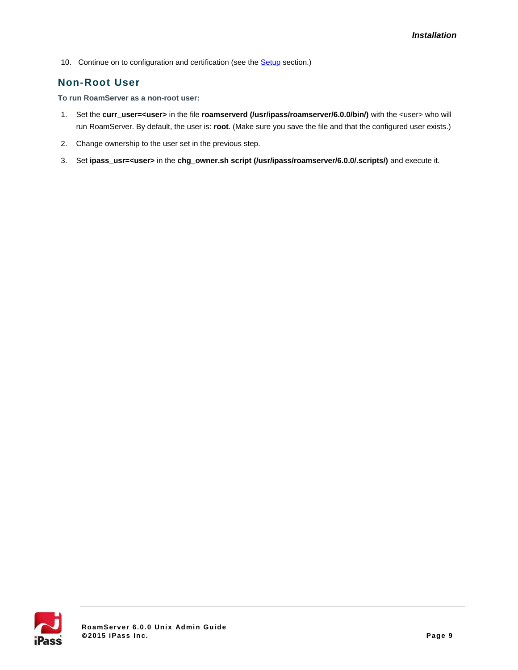10. Continue on to configuration and certification (see the **Setup** section.)

### **Non-Root User**

**To run RoamServer as a non-root user:**

- 1. Set the **curr\_user=<user>** in the file **roamserverd (/usr/ipass/roamserver/6.0.0/bin/)** with the <user> who will run RoamServer. By default, the user is: **root**. (Make sure you save the file and that the configured user exists.)
- 2. Change ownership to the user set in the previous step.
- 3. Set **ipass\_usr=<user>** in the **chg\_owner.sh script (/usr/ipass/roamserver/6.0.0/.scripts/)** and execute it.

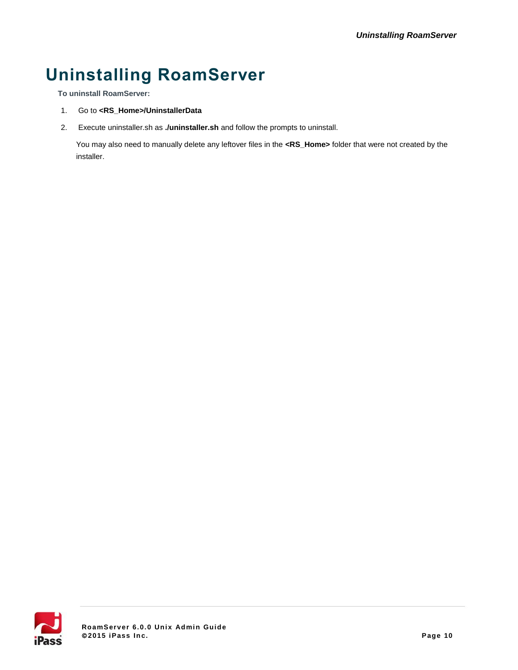# **Uninstalling RoamServer**

**To uninstall RoamServer:**

- 1. Go to **<RS\_Home>/UninstallerData**
- 2. Execute uninstaller.sh as **./uninstaller.sh** and follow the prompts to uninstall.

You may also need to manually delete any leftover files in the **<RS\_Home>** folder that were not created by the installer.

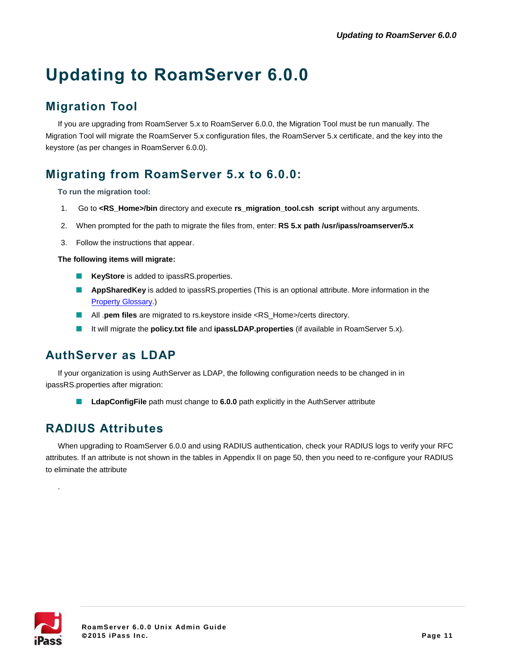# **Updating to RoamServer 6.0.0**

# **Migration Tool**

If you are upgrading from RoamServer 5.x to RoamServer 6.0.0, the Migration Tool must be run manually. The Migration Tool will migrate the RoamServer 5.x configuration files, the RoamServer 5.x certificate, and the key into the keystore (as per changes in RoamServer 6.0.0).

## **Migrating from RoamServer 5.x to 6.0.0:**

**To run the migration tool:**

- 1. Go to **<RS\_Home>/bin** directory and execute **rs\_migration\_tool.csh script** without any arguments.
- 2. When prompted for the path to migrate the files from, enter: **RS 5.x path /usr/ipass/roamserver/5.x**
- 3. Follow the instructions that appear.

**The following items will migrate:**

- **KeyStore** is added to ipassRS.properties.
- **AppSharedKey** is added to ipassRS.properties (This is an optional attribute. More information in the [Property Glossary.](#page-26-0))
- All .**pem files** are migrated to rs.keystore inside <RS\_Home>/certs directory.
- It will migrate the **policy.txt file** and **ipassLDAP.properties** (if available in RoamServer 5.x).

## **AuthServer as LDAP**

If your organization is using AuthServer as LDAP, the following configuration needs to be changed in in ipassRS.properties after migration:

**LdapConfigFile** path must change to **6.0.0** path explicitly in the AuthServer attribute

## **RADIUS Attributes**

When upgrading to RoamServer 6.0.0 and using RADIUS authentication, check your RADIUS logs to verify your RFC attributes. If an attribute is not shown in the tables in Appendix II on page 50, then you need to re-configure your RADIUS to eliminate the attribute



.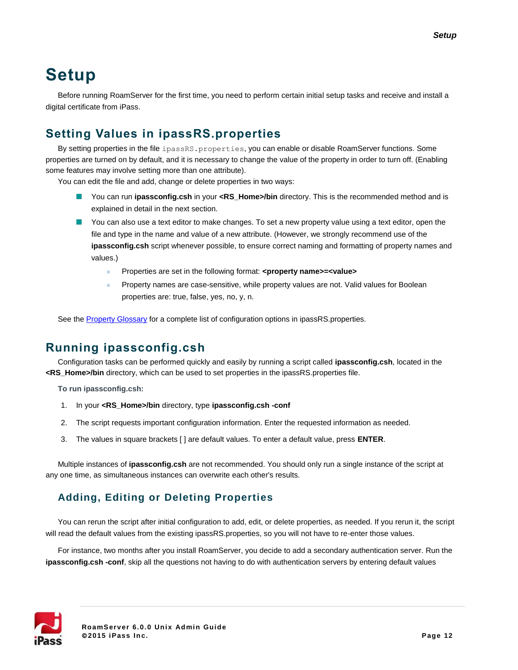# **Setup**

Before running RoamServer for the first time, you need to perform certain initial setup tasks and receive and install a digital certificate from iPass.

# <span id="page-11-0"></span>**Setting Values in ipassRS.properties**

By setting properties in the file ipassRS.properties, you can enable or disable RoamServer functions. Some properties are turned on by default, and it is necessary to change the value of the property in order to turn off. (Enabling some features may involve setting more than one attribute).

You can edit the file and add, change or delete properties in two ways:

- You can run **ipassconfig.csh** in your <RS Home>/bin directory. This is the recommended method and is explained in detail in the next section.
- **Not** You can also use a text editor to make changes. To set a new property value using a text editor, open the file and type in the name and value of a new attribute. (However, we strongly recommend use of the **ipassconfig.csh** script whenever possible, to ensure correct naming and formatting of property names and values.)
	- Properties are set in the following format: **<property name>=<value>**
	- Property names are case-sensitive, while property values are not. Valid values for Boolean properties are: true, false, yes, no, y, n.

See the [Property Glossary](#page-26-0) for a complete list of configuration options in ipassRS.properties.

## **Running ipassconfig.csh**

Configuration tasks can be performed quickly and easily by running a script called **ipassconfig.csh**, located in the **<RS\_Home>/bin** directory, which can be used to set properties in the ipassRS.properties file.

**To run ipassconfig.csh:**

- 1. In your **<RS\_Home>/bin** directory, type **ipassconfig.csh -conf**
- 2. The script requests important configuration information. Enter the requested information as needed.
- 3. The values in square brackets [ ] are default values. To enter a default value, press **ENTER**.

Multiple instances of **ipassconfig.csh** are not recommended. You should only run a single instance of the script at any one time, as simultaneous instances can overwrite each other's results.

## **Adding, Editing or Deleting Properties**

You can rerun the script after initial configuration to add, edit, or delete properties, as needed. If you rerun it, the script will read the default values from the existing ipassRS.properties, so you will not have to re-enter those values.

For instance, two months after you install RoamServer, you decide to add a secondary authentication server. Run the **ipassconfig.csh -conf**, skip all the questions not having to do with authentication servers by entering default values

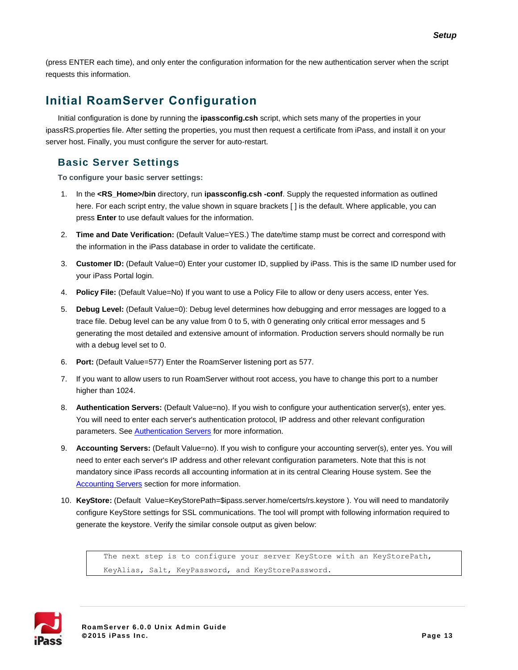(press ENTER each time), and only enter the configuration information for the new authentication server when the script requests this information.

## **Initial RoamServer Configuration**

Initial configuration is done by running the **ipassconfig.csh** script, which sets many of the properties in your ipassRS.properties file. After setting the properties, you must then request a certificate from iPass, and install it on your server host. Finally, you must configure the server for auto-restart.

### **Basic Server Settings**

**To configure your basic server settings:**

- 1. In the **<RS\_Home>/bin** directory, run **ipassconfig.csh -conf**. Supply the requested information as outlined here. For each script entry, the value shown in square brackets [ ] is the default. Where applicable, you can press **Enter** to use default values for the information.
- 2. **Time and Date Verification:** (Default Value=YES.) The date/time stamp must be correct and correspond with the information in the iPass database in order to validate the certificate.
- 3. **Customer ID:** (Default Value=0) Enter your customer ID, supplied by iPass. This is the same ID number used for your iPass Portal login.
- 4. **Policy File:** (Default Value=No) If you want to use a Policy File to allow or deny users access, enter Yes.
- 5. **Debug Level:** (Default Value=0): Debug level determines how debugging and error messages are logged to a trace file. Debug level can be any value from 0 to 5, with 0 generating only critical error messages and 5 generating the most detailed and extensive amount of information. Production servers should normally be run with a debug level set to 0.
- 6. **Port:** (Default Value=577) Enter the RoamServer listening port as 577.
- 7. If you want to allow users to run RoamServer without root access, you have to change this port to a number higher than 1024.
- 8. **Authentication Servers:** (Default Value=no). If you wish to configure your authentication server(s), enter yes. You will need to enter each server's authentication protocol, IP address and other relevant configuration parameters. See [Authentication Servers](#page-18-0) for more information.
- 9. **Accounting Servers:** (Default Value=no). If you wish to configure your accounting server(s), enter yes. You will need to enter each server's IP address and other relevant configuration parameters. Note that this is not mandatory since iPass records all accounting information at in its central Clearing House system. See the **[Accounting Servers](#page-21-0)** section for more information.
- 10. **KeyStore:** (Default Value=KeyStorePath=\$ipass.server.home/certs/rs.keystore ). You will need to mandatorily configure KeyStore settings for SSL communications. The tool will prompt with following information required to generate the keystore. Verify the similar console output as given below:

The next step is to configure your server KeyStore with an KeyStorePath, KeyAlias, Salt, KeyPassword, and KeyStorePassword.

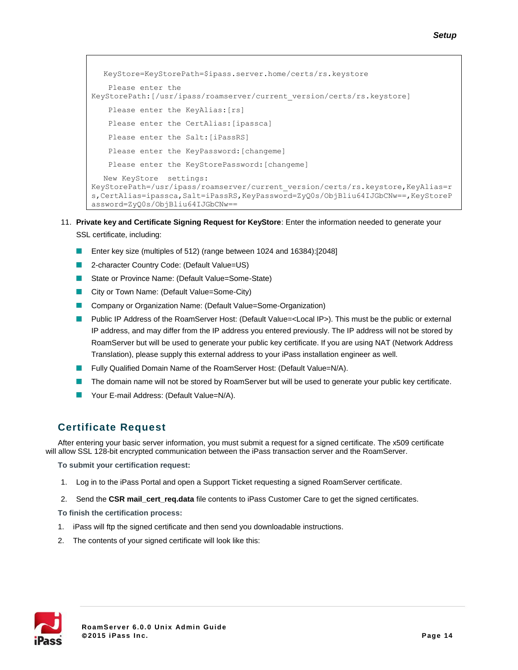```
KeyStore=KeyStorePath=$ipass.server.home/certs/rs.keystore
   Please enter the 
KeyStorePath:[/usr/ipass/roamserver/current_version/certs/rs.keystore]
   Please enter the KeyAlias:[rs]
   Please enter the CertAlias: [ipassca]
   Please enter the Salt: [iPassRS]
   Please enter the KeyPassword:[changeme]
   Please enter the KeyStorePassword:[changeme]
  New KeyStore settings: 
KeyStorePath=/usr/ipass/roamserver/current_version/certs/rs.keystore,KeyAlias=r
s,CertAlias=ipassca,Salt=iPassRS,KeyPassword=ZyQ0s/ObjBliu64IJGbCNw==,KeyStoreP
assword=ZyQ0s/ObjBliu64IJGbCNw==
```
- 11. **Private key and Certificate Signing Request for KeyStore**: Enter the information needed to generate your SSL certificate, including:
	- Enter key size (multiples of 512) (range between 1024 and 16384):[2048]  $\mathcal{L}_{\mathcal{A}}$
	- $\mathcal{L}_{\mathcal{A}}$ 2-character Country Code: (Default Value=US)
	- State or Province Name: (Default Value=Some-State)
	- City or Town Name: (Default Value=Some-City)
	- Company or Organization Name: (Default Value=Some-Organization)
	- Public IP Address of the RoamServer Host: (Default Value=<Local IP>). This must be the public or external IP address, and may differ from the IP address you entered previously. The IP address will not be stored by RoamServer but will be used to generate your public key certificate. If you are using NAT (Network Address Translation), please supply this external address to your iPass installation engineer as well.
	- Fully Qualified Domain Name of the RoamServer Host: (Default Value=N/A).
	- The domain name will not be stored by RoamServer but will be used to generate your public key certificate.
	- **Nour E-mail Address: (Default Value=N/A).**

### **Certificate Request**

After entering your basic server information, you must submit a request for a signed certificate. The x509 certificate will allow SSL 128-bit encrypted communication between the iPass transaction server and the RoamServer.

**To submit your certification request:**

- 1. Log in to the iPass Portal and open a Support Ticket requesting a signed RoamServer certificate.
- 2. Send the **CSR mail\_cert\_req.data** file contents to iPass Customer Care to get the signed certificates.

**To finish the certification process:**

- 1. iPass will ftp the signed certificate and then send you downloadable instructions.
- 2. The contents of your signed certificate will look like this:

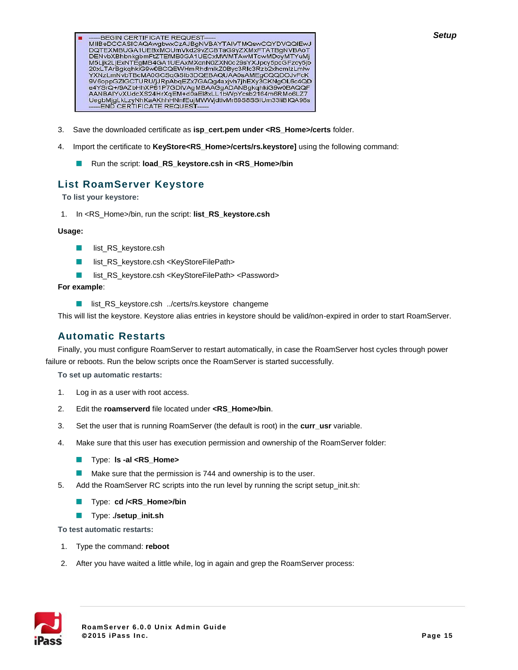- **BEGIN CERTIFICATE REQUEST** 20xLTArBgkqhkiG9w0BCQEWHmRhdmlkZ0Byc3RIc3Rzb2xhcmlzLmlw 2XN2LinNvbTBcMA0GCSqGSIb3DQEBAQUAA0sAMEgCQQDOJvFcK<br>WXN2LinNvbTBcMA0GCSqGSIb3DQEBAQUAA0sAMEgCQQDOJvFcK<br>9V6oppGZIGCTURU/jJRpAbqEZx7GAQg4axjvh7jhEXy3CKNgOL6c4QD<br>e4YSrQ+/9AZbHhXP61P7GDIVAgMBAAGgADANBgkqhkiG9w0BAQQF<br>AANBAIYvXUd UegbMjgLkLzyNhKaAKhhHNnfEujMWWjdtlvMr89S8SSIUm33liBIQA98s **END CERTIFICATE REQUEST-**
- 3. Save the downloaded certificate as **isp\_cert.pem under <RS\_Home>/certs** folder.
- 4. Import the certificate to **KeyStore<RS\_Home>/certs/rs.keystore]** using the following command:
	- П Run the script: **load\_RS\_keystore.csh in <RS\_Home>/bin**

### **List RoamServer Keystore**

 **To list your keystore:**

1. In <RS\_Home>/bin, run the script: **list\_RS\_keystore.csh**

#### **Usage:**

- **I** list\_RS\_keystore.csh
- $\mathcal{C}$ list\_RS\_keystore.csh <KeyStoreFilePath>
- $\mathcal{L}_{\mathcal{A}}$ list\_RS\_keystore.csh <KeyStoreFilePath> <Password>

#### **For example**:

list\_RS\_keystore.csh ../certs/rs.keystore changeme

This will list the keystore. Keystore alias entries in keystore should be valid/non-expired in order to start RoamServer.

#### **Automatic Restarts**

Finally, you must configure RoamServer to restart automatically, in case the RoamServer host cycles through power failure or reboots. Run the below scripts once the RoamServer is started successfully.

**To set up automatic restarts:**

- 1. Log in as a user with root access.
- 2. Edit the **roamserverd** file located under **<RS\_Home>/bin**.
- 3. Set the user that is running RoamServer (the default is root) in the **curr\_usr** variable.
- 4. Make sure that this user has execution permission and ownership of the RoamServer folder:
	- $\mathcal{L}_{\mathcal{A}}$ Type: **ls -al <RS\_Home>**
	- Make sure that the permission is 744 and ownership is to the user. **COL**
- 5. Add the RoamServer RC scripts into the run level by running the script setup\_init.sh:
	- Type: **cd /<RS\_Home>/bin** m.
	- **Type: ./setup\_init.sh**

**To test automatic restarts:**

- 1. Type the command: **reboot**
- 2. After you have waited a little while, log in again and grep the RoamServer process:

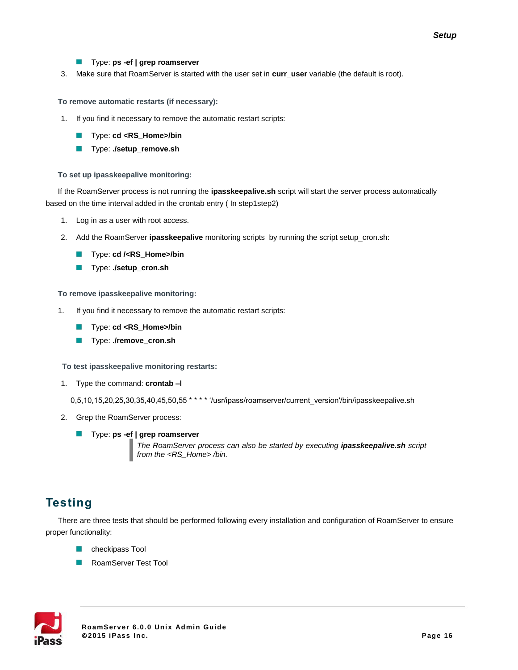#### **Type: ps -ef | grep roamserver**

3. Make sure that RoamServer is started with the user set in **curr\_user** variable (the default is root).

#### **To remove automatic restarts (if necessary):**

- 1. If you find it necessary to remove the automatic restart scripts:
	- **Type: cd <RS\_Home>/bin**
	- П Type: **./setup\_remove.sh**

#### **To set up ipasskeepalive monitoring:**

If the RoamServer process is not running the **ipasskeepalive.sh** script will start the server process automatically based on the time interval added in the crontab entry ( In step1step2)

- 1. Log in as a user with root access.
- 2. Add the RoamServer **ipasskeepalive** monitoring scripts by running the script setup\_cron.sh:
	- $\mathcal{C}$ Type: **cd /<RS\_Home>/bin**
	- $\mathcal{C}^{\mathcal{A}}$ Type: **./setup\_cron.sh**

#### **To remove ipasskeepalive monitoring:**

- 1. If you find it necessary to remove the automatic restart scripts:
	- Type: **cd <RS\_Home>/bin** П
	- Type: **./remove\_cron.sh The State**

#### **To test ipasskeepalive monitoring restarts:**

1. Type the command: **crontab –l**

0,5,10,15,20,25,30,35,40,45,50,55 \*\*\*\* \*/usr/ipass/roamserver/current\_version'/bin/ipasskeepalive.sh

- 2. Grep the RoamServer process:
	- **Type: ps -ef | grep roamserver**

*The RoamServer process can also be started by executing ipasskeepalive.sh script from the <RS\_Home> /bin.*

## **Testing**

There are three tests that should be performed following every installation and configuration of RoamServer to ensure proper functionality:

- checkipass Tool П
- **RoamServer Test Tool**

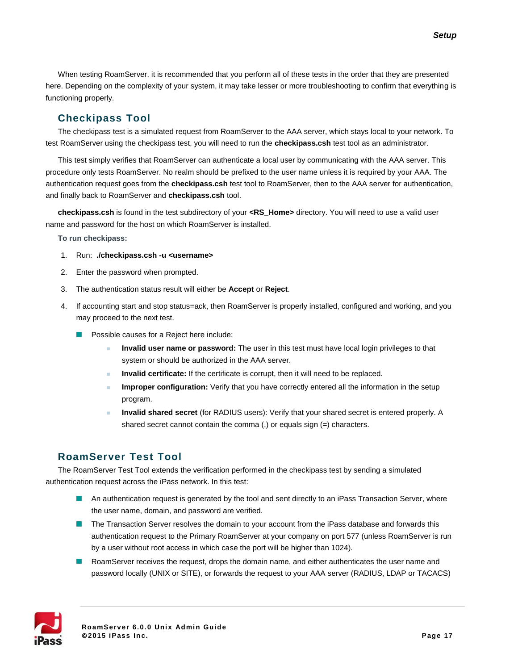When testing RoamServer, it is recommended that you perform all of these tests in the order that they are presented here. Depending on the complexity of your system, it may take lesser or more troubleshooting to confirm that everything is functioning properly.

### **Checkipass Tool**

The checkipass test is a simulated request from RoamServer to the AAA server, which stays local to your network. To test RoamServer using the checkipass test, you will need to run the **checkipass.csh** test tool as an administrator.

This test simply verifies that RoamServer can authenticate a local user by communicating with the AAA server. This procedure only tests RoamServer. No realm should be prefixed to the user name unless it is required by your AAA. The authentication request goes from the **checkipass.csh** test tool to RoamServer, then to the AAA server for authentication, and finally back to RoamServer and **checkipass.csh** tool.

**checkipass.csh** is found in the test subdirectory of your **<RS\_Home>** directory. You will need to use a valid user name and password for the host on which RoamServer is installed.

**To run checkipass:**

- 1. Run: **./checkipass.csh -u <username>**
- 2. Enter the password when prompted.
- 3. The authentication status result will either be **Accept** or **Reject**.
- 4. If accounting start and stop status=ack, then RoamServer is properly installed, configured and working, and you may proceed to the next test.
	- **Possible causes for a Reject here include:** 
		- **Invalid user name or password:** The user in this test must have local login privileges to that system or should be authorized in the AAA server.
		- **Invalid certificate:** If the certificate is corrupt, then it will need to be replaced.
		- **Improper configuration:** Verify that you have correctly entered all the information in the setup program.
		- **Invalid shared secret** (for RADIUS users): Verify that your shared secret is entered properly. A shared secret cannot contain the comma (,) or equals sign (=) characters.

### **RoamServer Test Tool**

The RoamServer Test Tool extends the verification performed in the checkipass test by sending a simulated authentication request across the iPass network. In this test:

- An authentication request is generated by the tool and sent directly to an iPass Transaction Server, where the user name, domain, and password are verified.
- **The Transaction Server resolves the domain to your account from the iPass database and forwards this** authentication request to the Primary RoamServer at your company on port 577 (unless RoamServer is run by a user without root access in which case the port will be higher than 1024).
- **RoamServer receives the request, drops the domain name, and either authenticates the user name and** password locally (UNIX or SITE), or forwards the request to your AAA server (RADIUS, LDAP or TACACS)

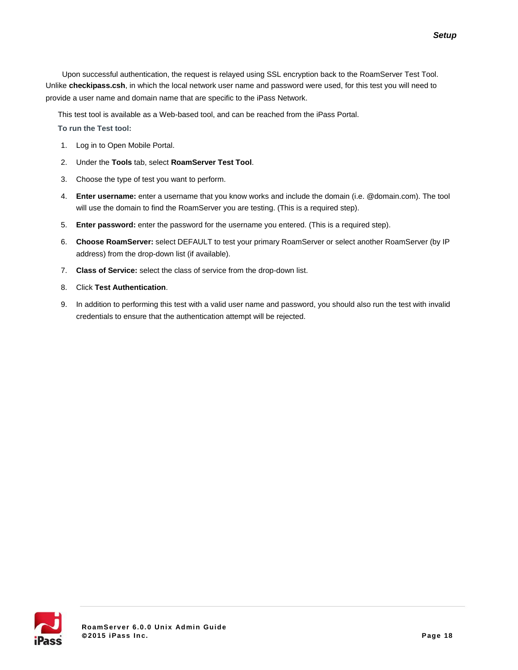Upon successful authentication, the request is relayed using SSL encryption back to the RoamServer Test Tool. Unlike **checkipass.csh**, in which the local network user name and password were used, for this test you will need to provide a user name and domain name that are specific to the iPass Network.

This test tool is available as a Web-based tool, and can be reached from the iPass Portal.

**To run the Test tool:**

- 1. Log in to Open Mobile Portal.
- 2. Under the **Tools** tab, select **RoamServer Test Tool**.
- 3. Choose the type of test you want to perform.
- 4. **Enter username:** enter a username that you know works and include the domain (i.e. @domain.com). The tool will use the domain to find the RoamServer you are testing. (This is a required step).
- 5. **Enter password:** enter the password for the username you entered. (This is a required step).
- 6. **Choose RoamServer:** select DEFAULT to test your primary RoamServer or select another RoamServer (by IP address) from the drop-down list (if available).
- 7. **Class of Service:** select the class of service from the drop-down list.
- 8. Click **Test Authentication**.
- 9. In addition to performing this test with a valid user name and password, you should also run the test with invalid credentials to ensure that the authentication attempt will be rejected.

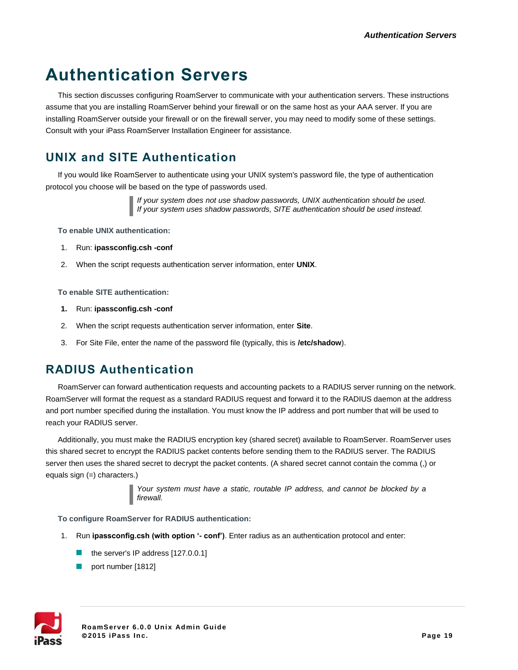# **Authentication Servers**

This section discusses configuring RoamServer to communicate with your authentication servers. These instructions assume that you are installing RoamServer behind your firewall or on the same host as your AAA server. If you are installing RoamServer outside your firewall or on the firewall server, you may need to modify some of these settings. Consult with your iPass RoamServer Installation Engineer for assistance.

# <span id="page-18-0"></span>**UNIX and SITE Authentication**

If you would like RoamServer to authenticate using your UNIX system's password file, the type of authentication protocol you choose will be based on the type of passwords used.

> *If your system does not use shadow passwords, UNIX authentication should be used. If your system uses shadow passwords, SITE authentication should be used instead.*

**To enable UNIX authentication:**

- 1. Run: **ipassconfig.csh -conf**
- 2. When the script requests authentication server information, enter **UNIX**.

**To enable SITE authentication:**

- **1.** Run: **ipassconfig.csh -conf**
- 2. When the script requests authentication server information, enter **Site**.
- 3. For Site File, enter the name of the password file (typically, this is **/etc/shadow**).

## **RADIUS Authentication**

RoamServer can forward authentication requests and accounting packets to a RADIUS server running on the network. RoamServer will format the request as a standard RADIUS request and forward it to the RADIUS daemon at the address and port number specified during the installation. You must know the IP address and port number that will be used to reach your RADIUS server.

Additionally, you must make the RADIUS encryption key (shared secret) available to RoamServer. RoamServer uses this shared secret to encrypt the RADIUS packet contents before sending them to the RADIUS server. The RADIUS server then uses the shared secret to decrypt the packet contents. (A shared secret cannot contain the comma (,) or equals sign (=) characters.)

> *Your system must have a static, routable IP address, and cannot be blocked by a firewall.*

**To configure RoamServer for RADIUS authentication:**

- 1. Run **ipassconfig.csh (with option '- conf')**. Enter radius as an authentication protocol and enter:
	- $\blacksquare$  the server's IP address [127.0.0.1]
	- port number [1812]

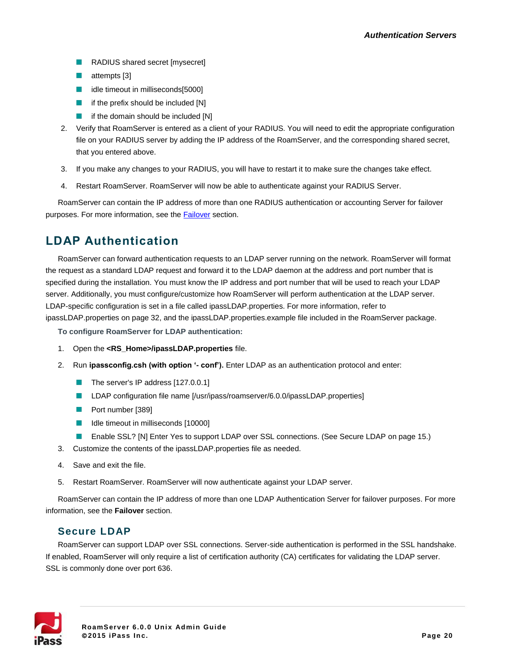- RADIUS shared secret [mysecret]
- $\blacksquare$  attempts [3]
- idle timeout in milliseconds[5000]
- $\blacksquare$  if the prefix should be included [N]
- if the domain should be included [N]
- 2. Verify that RoamServer is entered as a client of your RADIUS. You will need to edit the appropriate configuration file on your RADIUS server by adding the IP address of the RoamServer, and the corresponding shared secret, that you entered above.
- 3. If you make any changes to your RADIUS, you will have to restart it to make sure the changes take effect.
- 4. Restart RoamServer. RoamServer will now be able to authenticate against your RADIUS Server.

RoamServer can contain the IP address of more than one RADIUS authentication or accounting Server for failover purposes. For more information, see the **Failover** section.

## **LDAP Authentication**

RoamServer can forward authentication requests to an LDAP server running on the network. RoamServer will format the request as a standard LDAP request and forward it to the LDAP daemon at the address and port number that is specified during the installation. You must know the IP address and port number that will be used to reach your LDAP server. Additionally, you must configure/customize how RoamServer will perform authentication at the LDAP server. LDAP-specific configuration is set in a file called ipassLDAP.properties. For more information, refer to ipassLDAP.properties on page 32, and the ipassLDAP.properties.example file included in the RoamServer package.

**To configure RoamServer for LDAP authentication:**

- 1. Open the **<RS\_Home>/ipassLDAP.properties** file.
- 2. Run **ipassconfig.csh (with option '- conf').** Enter LDAP as an authentication protocol and enter:
	- The server's IP address [127.0.0.1]
	- LDAP configuration file name [/usr/ipass/roamserver/6.0.0/ipassLDAP.properties]
	- **Port number [389]**
	- I Idle timeout in milliseconds [10000]
	- Enable SSL? [N] Enter Yes to support LDAP over SSL connections. (See Secure LDAP on page 15.)
- 3. Customize the contents of the ipassLDAP.properties file as needed.
- 4. Save and exit the file.
- 5. Restart RoamServer. RoamServer will now authenticate against your LDAP server.

RoamServer can contain the IP address of more than one LDAP Authentication Server for failover purposes. For more information, see the **Failover** section.

#### **Secure LDAP**

RoamServer can support LDAP over SSL connections. Server-side authentication is performed in the SSL handshake. If enabled, RoamServer will only require a list of certification authority (CA) certificates for validating the LDAP server. SSL is commonly done over port 636.

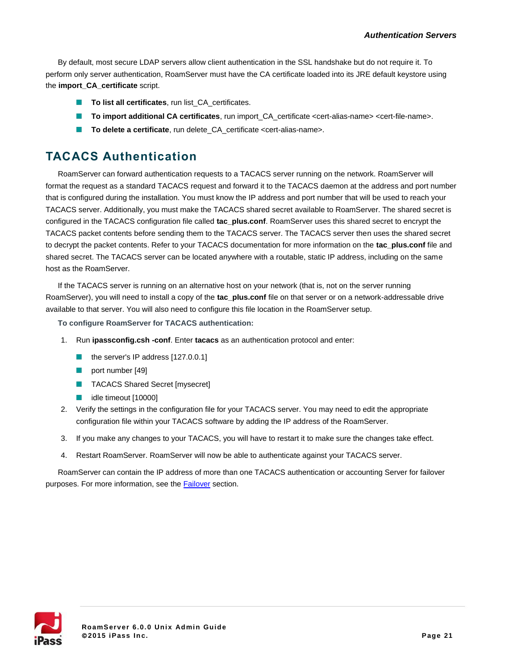By default, most secure LDAP servers allow client authentication in the SSL handshake but do not require it. To perform only server authentication, RoamServer must have the CA certificate loaded into its JRE default keystore using the **import\_CA\_certificate** script.

- **To list all certificates**, run list\_CA\_certificates.
- **To import additional CA certificates**, run import\_CA\_certificate <cert-alias-name> <cert-file-name>.
- To delete a certificate, run delete\_CA\_certificate <cert-alias-name>. m.

## **TACACS Authentication**

RoamServer can forward authentication requests to a TACACS server running on the network. RoamServer will format the request as a standard TACACS request and forward it to the TACACS daemon at the address and port number that is configured during the installation. You must know the IP address and port number that will be used to reach your TACACS server. Additionally, you must make the TACACS shared secret available to RoamServer. The shared secret is configured in the TACACS configuration file called **tac\_plus.conf**. RoamServer uses this shared secret to encrypt the TACACS packet contents before sending them to the TACACS server. The TACACS server then uses the shared secret to decrypt the packet contents. Refer to your TACACS documentation for more information on the **tac\_plus.conf** file and shared secret. The TACACS server can be located anywhere with a routable, static IP address, including on the same host as the RoamServer.

If the TACACS server is running on an alternative host on your network (that is, not on the server running RoamServer), you will need to install a copy of the **tac\_plus.conf** file on that server or on a network-addressable drive available to that server. You will also need to configure this file location in the RoamServer setup.

**To configure RoamServer for TACACS authentication:**

- 1. Run **ipassconfig.csh -conf**. Enter **tacacs** as an authentication protocol and enter:
	- $\blacksquare$  the server's IP address [127.0.0.1]
	- port number [49]
	- TACACS Shared Secret [mysecret]
	- idle timeout [10000]
- 2. Verify the settings in the configuration file for your TACACS server. You may need to edit the appropriate configuration file within your TACACS software by adding the IP address of the RoamServer.
- 3. If you make any changes to your TACACS, you will have to restart it to make sure the changes take effect.
- 4. Restart RoamServer. RoamServer will now be able to authenticate against your TACACS server.

RoamServer can contain the IP address of more than one TACACS authentication or accounting Server for failover purposes. For more information, see the **Failover** section.

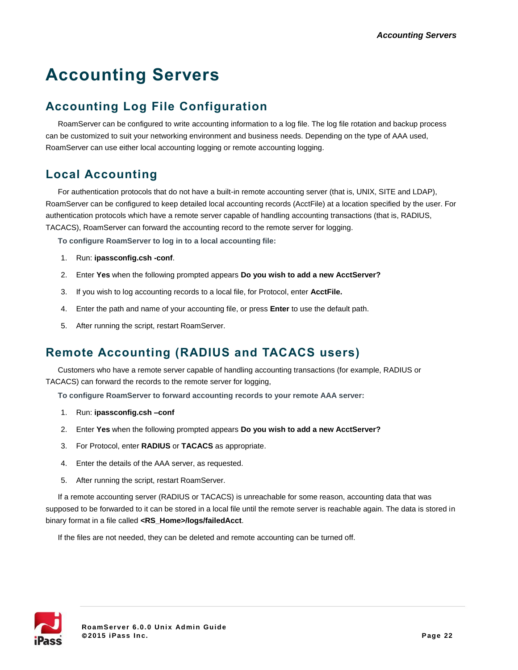# **Accounting Servers**

# <span id="page-21-0"></span>**Accounting Log File Configuration**

RoamServer can be configured to write accounting information to a log file. The log file rotation and backup process can be customized to suit your networking environment and business needs. Depending on the type of AAA used, RoamServer can use either local accounting logging or remote accounting logging.

## **Local Accounting**

For authentication protocols that do not have a built-in remote accounting server (that is, UNIX, SITE and LDAP), RoamServer can be configured to keep detailed local accounting records (AcctFile) at a location specified by the user. For authentication protocols which have a remote server capable of handling accounting transactions (that is, RADIUS, TACACS), RoamServer can forward the accounting record to the remote server for logging.

**To configure RoamServer to log in to a local accounting file:**

- 1. Run: **ipassconfig.csh -conf**.
- 2. Enter **Yes** when the following prompted appears **Do you wish to add a new AcctServer?**
- 3. If you wish to log accounting records to a local file, for Protocol, enter **AcctFile.**
- 4. Enter the path and name of your accounting file, or press **Enter** to use the default path.
- 5. After running the script, restart RoamServer.

# **Remote Accounting (RADIUS and TACACS users)**

Customers who have a remote server capable of handling accounting transactions (for example, RADIUS or TACACS) can forward the records to the remote server for logging,

**To configure RoamServer to forward accounting records to your remote AAA server:**

- 1. Run: **ipassconfig.csh –conf**
- 2. Enter **Yes** when the following prompted appears **Do you wish to add a new AcctServer?**
- 3. For Protocol, enter **RADIUS** or **TACACS** as appropriate.
- 4. Enter the details of the AAA server, as requested.
- 5. After running the script, restart RoamServer.

If a remote accounting server (RADIUS or TACACS) is unreachable for some reason, accounting data that was supposed to be forwarded to it can be stored in a local file until the remote server is reachable again. The data is stored in binary format in a file called **<RS\_Home>/logs/failedAcct**.

If the files are not needed, they can be deleted and remote accounting can be turned off.

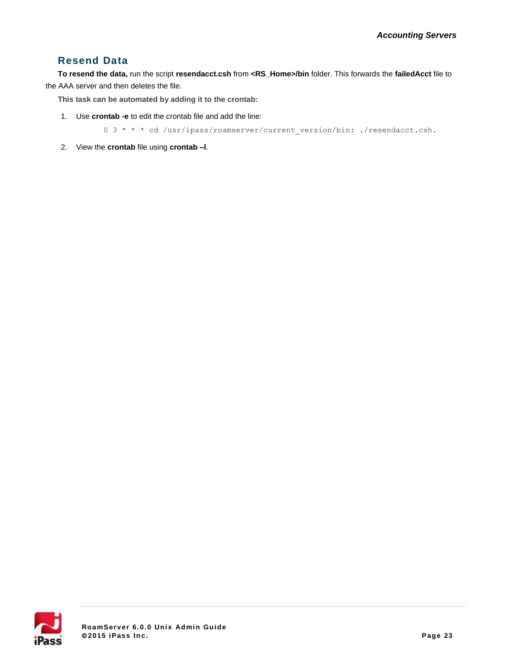#### **Resend Data**

**To resend the data,** run the script **resendacct.csh** from **<RS\_Home>/bin** folder. This forwards the **failedAcct** file to the AAA server and then deletes the file.

**This task can be automated by adding it to the crontab:**

1. Use **crontab -e** to edit the crontab file and add the line:

0 3 \* \* \* cd /usr/ipass/roamserver/current\_version/bin: ./resendacct.csh.

2. View the **crontab** file using **crontab –l**.

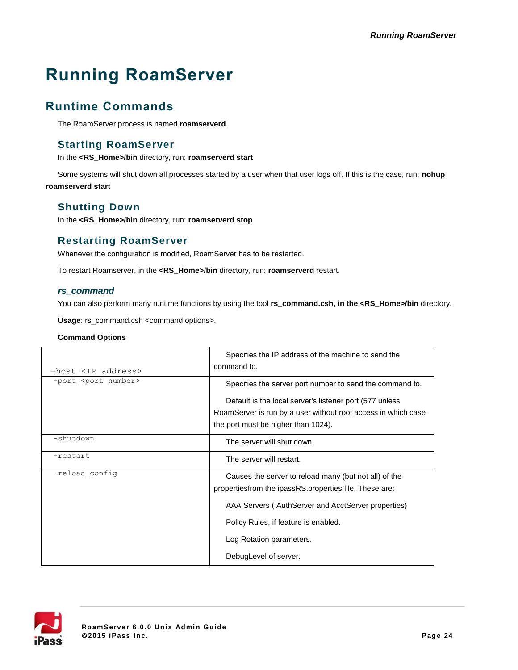# **Running RoamServer**

# **Runtime Commands**

The RoamServer process is named **roamserverd**.

#### **Starting RoamServer**

In the **<RS\_Home>/bin** directory, run: **roamserverd start**

Some systems will shut down all processes started by a user when that user logs off. If this is the case, run: **nohup roamserverd start**

### **Shutting Down**

In the **<RS\_Home>/bin** directory, run: **roamserverd stop**

### **Restarting RoamServer**

Whenever the configuration is modified, RoamServer has to be restarted.

To restart Roamserver, in the **<RS\_Home>/bin** directory, run: **roamserverd** restart.

#### *rs\_command*

You can also perform many runtime functions by using the tool **rs\_command.csh, in the <RS\_Home>/bin** directory.

**Usage**: rs\_command.csh <command options>.

#### **Command Options**

| -host <ip address=""></ip>    | Specifies the IP address of the machine to send the<br>command to.                                                                                                                                            |
|-------------------------------|---------------------------------------------------------------------------------------------------------------------------------------------------------------------------------------------------------------|
| -port <port number=""></port> | Specifies the server port number to send the command to.                                                                                                                                                      |
|                               | Default is the local server's listener port (577 unless)<br>RoamServer is run by a user without root access in which case<br>the port must be higher than 1024).                                              |
| -shutdown                     | The server will shut down.                                                                                                                                                                                    |
| -restart                      | The server will restart.                                                                                                                                                                                      |
| -reload config                | Causes the server to reload many (but not all) of the<br>propertiesfrom the ipassRS.properties file. These are:<br>AAA Servers (AuthServer and AcctServer properties)<br>Policy Rules, if feature is enabled. |
|                               | Log Rotation parameters.                                                                                                                                                                                      |
|                               | DebugLevel of server.                                                                                                                                                                                         |

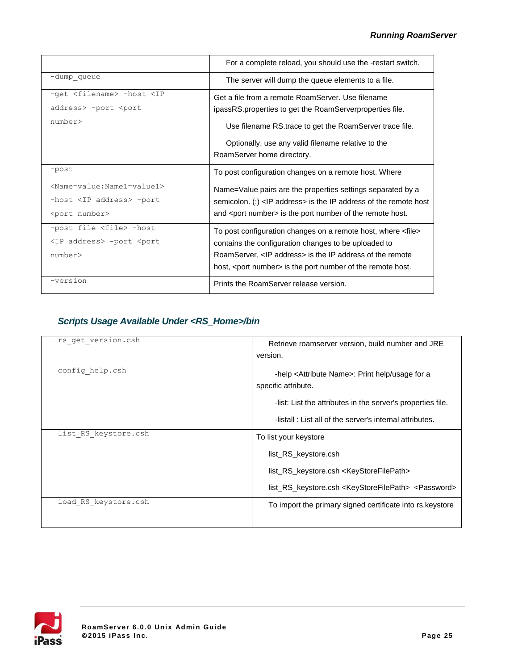|                                                                                                                                                                                                                | For a complete reload, you should use the -restart switch.                                                                                                                                                                                                                 |
|----------------------------------------------------------------------------------------------------------------------------------------------------------------------------------------------------------------|----------------------------------------------------------------------------------------------------------------------------------------------------------------------------------------------------------------------------------------------------------------------------|
| -dump queue                                                                                                                                                                                                    | The server will dump the queue elements to a file.                                                                                                                                                                                                                         |
| -get <filename> -host <ip<br>address&gt; -port <port< th=""><th>Get a file from a remote RoamServer. Use filename<br/>ipassRS properties to get the RoamServerproperties file.</th></port<></ip<br></filename> | Get a file from a remote RoamServer. Use filename<br>ipassRS properties to get the RoamServerproperties file.                                                                                                                                                              |
| number                                                                                                                                                                                                         | Use filename RS trace to get the RoamServer trace file.                                                                                                                                                                                                                    |
|                                                                                                                                                                                                                | Optionally, use any valid filename relative to the<br>RoamServer home directory.                                                                                                                                                                                           |
| $-post$                                                                                                                                                                                                        | To post configuration changes on a remote host. Where                                                                                                                                                                                                                      |
| <name=value; name1="value1"></name=value;>                                                                                                                                                                     | Name=Value pairs are the properties settings separated by a                                                                                                                                                                                                                |
| -host <ip address=""> -port<br/><port number=""></port></ip>                                                                                                                                                   | semicolon. (;) <ip address=""> is the IP address of the remote host<br/>and <port number=""> is the port number of the remote host.</port></ip>                                                                                                                            |
| -post file <file> -host<br/><ip address=""> -port <port<br>number</port<br></ip></file>                                                                                                                        | To post configuration changes on a remote host, where <file><br/>contains the configuration changes to be uploaded to<br/>RoamServer, <ip address=""> is the IP address of the remote<br/>host, <port number=""> is the port number of the remote host.</port></ip></file> |
| -version                                                                                                                                                                                                       | Prints the RoamServer release version.                                                                                                                                                                                                                                     |

### *Scripts Usage Available Under <RS\_Home>/bin*

| rs get version.csh   | Retrieve roamserver version, build number and JRE<br>version.                                                                                                                                                     |
|----------------------|-------------------------------------------------------------------------------------------------------------------------------------------------------------------------------------------------------------------|
| config help.csh      | -help <attribute name="">: Print help/usage for a<br/>specific attribute.<br/>-list: List the attributes in the server's properties file.<br/>-listall: List all of the server's internal attributes.</attribute> |
| list RS keystore.csh | To list your keystore<br>list RS keystore.csh<br>list_RS_keystore.csh <keystorefilepath><br/>list_RS_keystore.csh <keystorefilepath> <password></password></keystorefilepath></keystorefilepath>                  |
| load RS keystore.csh | To import the primary signed certificate into rs. keystore                                                                                                                                                        |

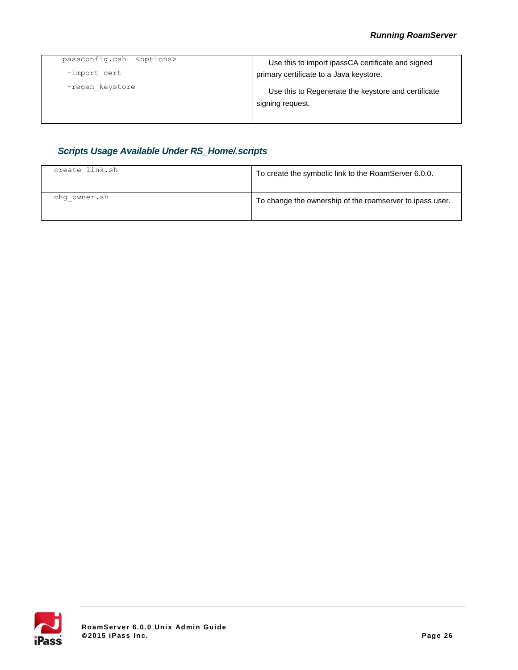| Ipassconfig.csh<br><options></options> | Use this to import ipassCA certificate and signed                       |
|----------------------------------------|-------------------------------------------------------------------------|
| -import cert                           | primary certificate to a Java keystore.                                 |
| -regen keystore                        | Use this to Regenerate the keystore and certificate<br>signing request. |

### *Scripts Usage Available Under RS\_Home/.scripts*

| create link.sh | To create the symbolic link to the RoamServer 6.0.0.     |
|----------------|----------------------------------------------------------|
| chq owner.sh   | To change the ownership of the roamserver to ipass user. |

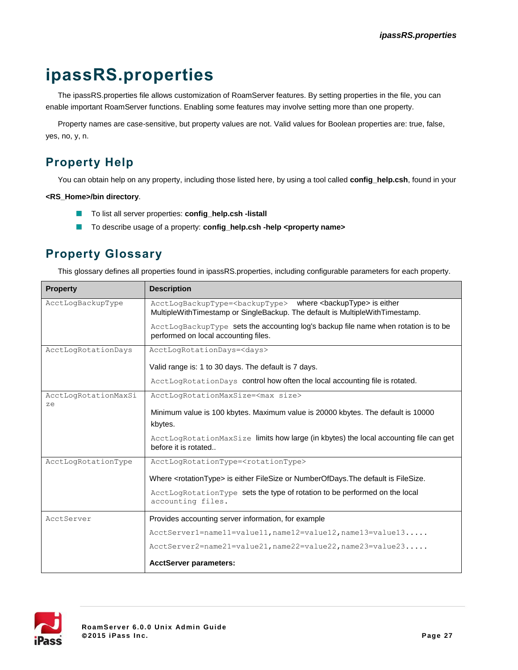# **ipassRS.properties**

The ipassRS.properties file allows customization of RoamServer features. By setting properties in the file, you can enable important RoamServer functions. Enabling some features may involve setting more than one property.

Property names are case-sensitive, but property values are not. Valid values for Boolean properties are: true, false, yes, no, y, n.

# **Property Help**

You can obtain help on any property, including those listed here, by using a tool called **config\_help.csh**, found in your

#### **<RS\_Home>/bin directory**.

- $\mathcal{C}^{\mathcal{A}}$ To list all server properties: **config\_help.csh -listall**
- To describe usage of a property: **config\_help.csh -help <property name>**

# <span id="page-26-0"></span>**Property Glossary**

This glossary defines all properties found in ipassRS.properties, including configurable parameters for each property.

| <b>Property</b>            | <b>Description</b>                                                                                                                                                      |
|----------------------------|-------------------------------------------------------------------------------------------------------------------------------------------------------------------------|
| AcctLogBackupType          | AcctLogBackupType= <backuptype> where <backuptype> is either<br/>MultipleWithTimestamp or SingleBackup. The default is MultipleWithTimestamp.</backuptype></backuptype> |
|                            | AcctLogBackupType sets the accounting log's backup file name when rotation is to be<br>performed on local accounting files.                                             |
| AcctLogRotationDays        | AcctLogRotationDays= <days></days>                                                                                                                                      |
|                            | Valid range is: 1 to 30 days. The default is 7 days.                                                                                                                    |
|                            | AcctLogRotationDays control how often the local accounting file is rotated.                                                                                             |
| AcctLogRotationMaxSi<br>ze | AcctLogRotationMaxSize= <max size=""></max>                                                                                                                             |
|                            | Minimum value is 100 kbytes. Maximum value is 20000 kbytes. The default is 10000                                                                                        |
|                            | kbytes.                                                                                                                                                                 |
|                            | AcctLogRotationMaxSize limits how large (in kbytes) the local accounting file can get<br>before it is rotated                                                           |
| AcctLogRotationType        | AcctLogRotationType= <rotationtype></rotationtype>                                                                                                                      |
|                            | Where <rotationtype> is either FileSize or NumberOfDays. The default is FileSize.</rotationtype>                                                                        |
|                            | AcctLogRotationType sets the type of rotation to be performed on the local<br>accounting files.                                                                         |
| AcctServer                 | Provides accounting server information, for example                                                                                                                     |
|                            | AcctServer1=name11=value11, name12=value12, name13=value13                                                                                                              |
|                            | AcctServer2=name21=value21, name22=value22, name23=value23                                                                                                              |
|                            | <b>AcctServer parameters:</b>                                                                                                                                           |

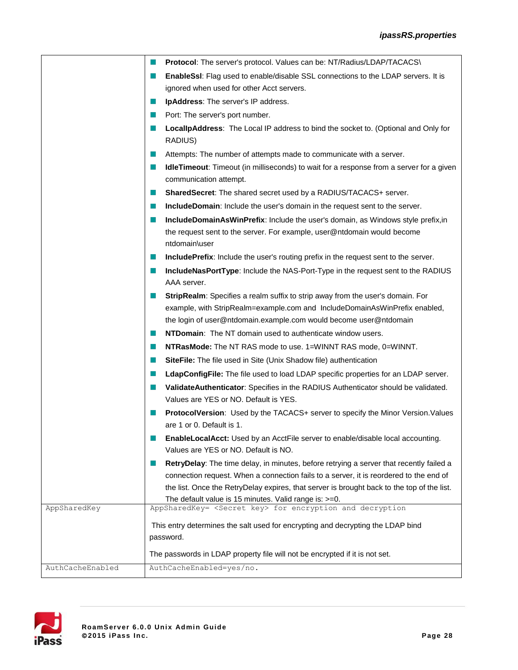|                  | <b>Protocol:</b> The server's protocol. Values can be: NT/Radius/LDAP/TACACS\                                                                                                                                                     |
|------------------|-----------------------------------------------------------------------------------------------------------------------------------------------------------------------------------------------------------------------------------|
|                  | EnableSsI: Flag used to enable/disable SSL connections to the LDAP servers. It is                                                                                                                                                 |
|                  | ignored when used for other Acct servers.                                                                                                                                                                                         |
|                  | <b>IpAddress:</b> The server's IP address.<br>a a s                                                                                                                                                                               |
|                  | Port: The server's port number.<br>m.                                                                                                                                                                                             |
|                  | LocallpAddress: The Local IP address to bind the socket to. (Optional and Only for<br>m.<br>RADIUS)                                                                                                                               |
|                  | Attempts: The number of attempts made to communicate with a server.<br>ш                                                                                                                                                          |
|                  | <b>IdleTimeout:</b> Timeout (in milliseconds) to wait for a response from a server for a given<br>ш<br>communication attempt.                                                                                                     |
|                  | SharedSecret: The shared secret used by a RADIUS/TACACS+ server.<br>ш                                                                                                                                                             |
|                  | <b>IncludeDomain:</b> Include the user's domain in the request sent to the server.<br>ш                                                                                                                                           |
|                  | <b>IncludeDomainAsWinPrefix:</b> Include the user's domain, as Windows style prefix, in<br>m.                                                                                                                                     |
|                  | the request sent to the server. For example, user@ntdomain would become<br>ntdomain\user                                                                                                                                          |
|                  | <b>IncludePrefix:</b> Include the user's routing prefix in the request sent to the server.                                                                                                                                        |
|                  | IncludeNasPortType: Include the NAS-Port-Type in the request sent to the RADIUS<br>m.                                                                                                                                             |
|                  | AAA server.                                                                                                                                                                                                                       |
|                  | StripRealm: Specifies a realm suffix to strip away from the user's domain. For<br>example, with StripRealm=example.com and IncludeDomainAsWinPrefix enabled,<br>the login of user@ntdomain.example.com would become user@ntdomain |
|                  | <b>NTDomain:</b> The NT domain used to authenticate window users.                                                                                                                                                                 |
|                  | <b>NTRasMode:</b> The NT RAS mode to use. 1=WINNT RAS mode, 0=WINNT.<br>ш                                                                                                                                                         |
|                  | <b>SiteFile:</b> The file used in Site (Unix Shadow file) authentication<br>ш                                                                                                                                                     |
|                  | LdapConfigFile: The file used to load LDAP specific properties for an LDAP server.<br>ш                                                                                                                                           |
|                  | ValidateAuthenticator: Specifies in the RADIUS Authenticator should be validated.<br>m.<br>Values are YES or NO. Default is YES.                                                                                                  |
|                  | ProtocolVersion: Used by the TACACS+ server to specify the Minor Version. Values                                                                                                                                                  |
|                  | are 1 or 0. Default is 1.                                                                                                                                                                                                         |
|                  | EnableLocalAcct: Used by an AcctFile server to enable/disable local accounting.<br>Values are YES or NO. Default is NO.                                                                                                           |
|                  | RetryDelay: The time delay, in minutes, before retrying a server that recently failed a<br>m.                                                                                                                                     |
|                  | connection request. When a connection fails to a server, it is reordered to the end of                                                                                                                                            |
|                  | the list. Once the RetryDelay expires, that server is brought back to the top of the list.                                                                                                                                        |
| AppSharedKey     | The default value is 15 minutes. Valid range is: $>=0$ .<br>AppSharedKey= <secret key=""> for encryption and decryption</secret>                                                                                                  |
|                  |                                                                                                                                                                                                                                   |
|                  | This entry determines the salt used for encrypting and decrypting the LDAP bind<br>password.                                                                                                                                      |
|                  |                                                                                                                                                                                                                                   |
|                  | The passwords in LDAP property file will not be encrypted if it is not set.                                                                                                                                                       |
| AuthCacheEnabled | AuthCacheEnabled=yes/no.                                                                                                                                                                                                          |

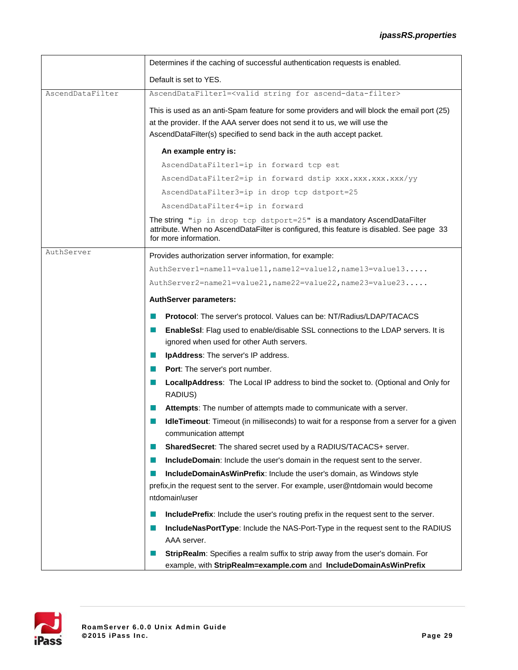|                  | Determines if the caching of successful authentication requests is enabled.                                                                                                                                                                       |
|------------------|---------------------------------------------------------------------------------------------------------------------------------------------------------------------------------------------------------------------------------------------------|
|                  | Default is set to YES.                                                                                                                                                                                                                            |
| AscendDataFilter | AscendDataFilter1= <valid ascend-data-filter="" for="" string=""></valid>                                                                                                                                                                         |
|                  | This is used as an anti-Spam feature for some providers and will block the email port (25)<br>at the provider. If the AAA server does not send it to us, we will use the<br>AscendDataFilter(s) specified to send back in the auth accept packet. |
|                  | An example entry is:                                                                                                                                                                                                                              |
|                  | AscendDataFilter1=ip in forward tcp est                                                                                                                                                                                                           |
|                  | AscendDataFilter2=ip in forward dstip xxx.xxx.xxx.xxx/yy                                                                                                                                                                                          |
|                  | AscendDataFilter3=ip in drop tcp dstport=25                                                                                                                                                                                                       |
|                  | AscendDataFilter4=ip in forward                                                                                                                                                                                                                   |
|                  | The string "ip in drop tcp dstport=25" is a mandatory AscendDataFilter<br>attribute. When no AscendDataFilter is configured, this feature is disabled. See page 33<br>for more information.                                                       |
| AuthServer       | Provides authorization server information, for example:                                                                                                                                                                                           |
|                  | AuthServer1=name11=value11, name12=value12, name13=value13                                                                                                                                                                                        |
|                  | $\text{AuthServer2=name21=value21, name22=value22, name23=value23}$                                                                                                                                                                               |
|                  | <b>AuthServer parameters:</b>                                                                                                                                                                                                                     |
|                  | <b>Protocol:</b> The server's protocol. Values can be: NT/Radius/LDAP/TACACS                                                                                                                                                                      |
|                  | <b>EnableSsI:</b> Flag used to enable/disable SSL connections to the LDAP servers. It is<br>a a s                                                                                                                                                 |
|                  | ignored when used for other Auth servers.                                                                                                                                                                                                         |
|                  | IpAddress: The server's IP address.<br>ш                                                                                                                                                                                                          |
|                  | <b>Port:</b> The server's port number.<br>$\mathbf{r}$                                                                                                                                                                                            |
|                  | LocallpAddress: The Local IP address to bind the socket to. (Optional and Only for<br>ш<br>RADIUS)                                                                                                                                                |
|                  | Attempts: The number of attempts made to communicate with a server.<br>ш                                                                                                                                                                          |
|                  | IdleTimeout: Timeout (in milliseconds) to wait for a response from a server for a given<br>communication attempt                                                                                                                                  |
|                  | <b>SharedSecret:</b> The shared secret used by a RADIUS/TACACS+ server.                                                                                                                                                                           |
|                  | <b>IncludeDomain:</b> Include the user's domain in the request sent to the server.                                                                                                                                                                |
|                  | <b>IncludeDomainAsWinPrefix: Include the user's domain, as Windows style</b>                                                                                                                                                                      |
|                  | prefix, in the request sent to the server. For example, user@ntdomain would become<br>ntdomain\user                                                                                                                                               |
|                  | IncludePrefix: Include the user's routing prefix in the request sent to the server.                                                                                                                                                               |
|                  | IncludeNasPortType: Include the NAS-Port-Type in the request sent to the RADIUS                                                                                                                                                                   |
|                  | AAA server.                                                                                                                                                                                                                                       |
|                  | <b>StripRealm:</b> Specifies a realm suffix to strip away from the user's domain. For                                                                                                                                                             |
|                  | example, with StripRealm=example.com and IncludeDomainAsWinPrefix                                                                                                                                                                                 |

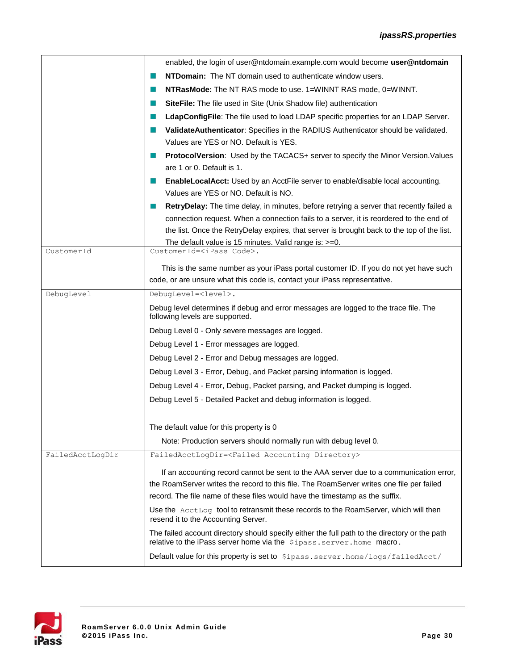|                  | enabled, the login of user@ntdomain.example.com would become user@ntdomain                                                                                              |
|------------------|-------------------------------------------------------------------------------------------------------------------------------------------------------------------------|
|                  | NTDomain: The NT domain used to authenticate window users.                                                                                                              |
|                  | NTRasMode: The NT RAS mode to use. 1=WINNT RAS mode, 0=WINNT.<br>ш                                                                                                      |
|                  | SiteFile: The file used in Site (Unix Shadow file) authentication<br>ш                                                                                                  |
|                  | LdapConfigFile: The file used to load LDAP specific properties for an LDAP Server.<br>ш                                                                                 |
|                  | ValidateAuthenticator: Specifies in the RADIUS Authenticator should be validated.<br>ш                                                                                  |
|                  | Values are YES or NO. Default is YES.                                                                                                                                   |
|                  | ProtocolVersion: Used by the TACACS+ server to specify the Minor Version. Values<br>ш<br>are 1 or 0. Default is 1.                                                      |
|                  | <b>EnableLocalAcct:</b> Used by an AcctFile server to enable/disable local accounting.<br>ш                                                                             |
|                  | Values are YES or NO. Default is NO.                                                                                                                                    |
|                  | <b>RetryDelay:</b> The time delay, in minutes, before retrying a server that recently failed a<br>ш                                                                     |
|                  | connection request. When a connection fails to a server, it is reordered to the end of                                                                                  |
|                  | the list. Once the RetryDelay expires, that server is brought back to the top of the list.                                                                              |
| CustomerId       | The default value is 15 minutes. Valid range is: >=0.<br>CustomerId= <ipass code="">.</ipass>                                                                           |
|                  | This is the same number as your iPass portal customer ID. If you do not yet have such                                                                                   |
|                  | code, or are unsure what this code is, contact your iPass representative.                                                                                               |
| DebugLevel       | DebugLevel= <level>.</level>                                                                                                                                            |
|                  | Debug level determines if debug and error messages are logged to the trace file. The                                                                                    |
|                  | following levels are supported.                                                                                                                                         |
|                  | Debug Level 0 - Only severe messages are logged.                                                                                                                        |
|                  | Debug Level 1 - Error messages are logged.                                                                                                                              |
|                  | Debug Level 2 - Error and Debug messages are logged.                                                                                                                    |
|                  | Debug Level 3 - Error, Debug, and Packet parsing information is logged.                                                                                                 |
|                  | Debug Level 4 - Error, Debug, Packet parsing, and Packet dumping is logged.                                                                                             |
|                  | Debug Level 5 - Detailed Packet and debug information is logged.                                                                                                        |
|                  |                                                                                                                                                                         |
|                  | The default value for this property is 0                                                                                                                                |
|                  | Note: Production servers should normally run with debug level 0.                                                                                                        |
| FailedAcctLogDir | FailedAcctLogDir= <failed accounting="" directory=""></failed>                                                                                                          |
|                  | If an accounting record cannot be sent to the AAA server due to a communication error,                                                                                  |
|                  | the RoamServer writes the record to this file. The RoamServer writes one file per failed                                                                                |
|                  | record. The file name of these files would have the timestamp as the suffix.                                                                                            |
|                  | Use the AcctLog tool to retransmit these records to the RoamServer, which will then<br>resend it to the Accounting Server.                                              |
|                  | The failed account directory should specify either the full path to the directory or the path<br>relative to the iPass server home via the \$ipass. server. home macro. |
|                  | Default value for this property is set to \$ipass.server.home/logs/failedAcct/                                                                                          |

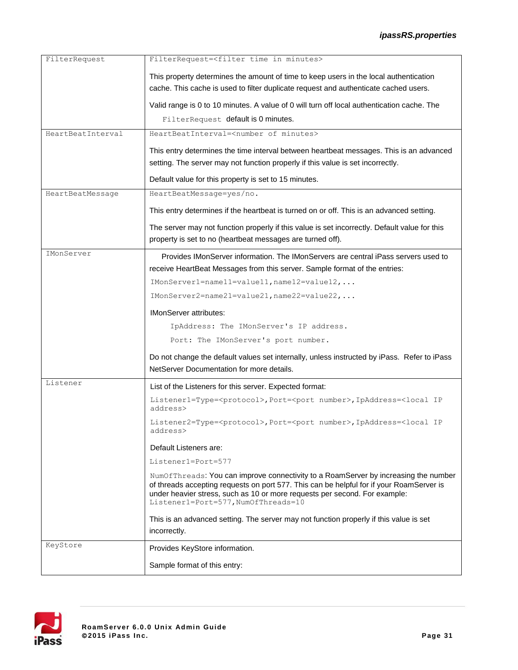| FilterRequest     | FilterRequest= <filter in="" minutes="" time=""></filter>                                                                                                                                                                                                                                            |
|-------------------|------------------------------------------------------------------------------------------------------------------------------------------------------------------------------------------------------------------------------------------------------------------------------------------------------|
|                   | This property determines the amount of time to keep users in the local authentication<br>cache. This cache is used to filter duplicate request and authenticate cached users.                                                                                                                        |
|                   | Valid range is 0 to 10 minutes. A value of 0 will turn off local authentication cache. The                                                                                                                                                                                                           |
|                   | FilterRequest default is 0 minutes.                                                                                                                                                                                                                                                                  |
| HeartBeatInterval | HeartBeatInterval= <number minutes="" of=""></number>                                                                                                                                                                                                                                                |
|                   | This entry determines the time interval between heartbeat messages. This is an advanced                                                                                                                                                                                                              |
|                   | setting. The server may not function properly if this value is set incorrectly.                                                                                                                                                                                                                      |
|                   | Default value for this property is set to 15 minutes.                                                                                                                                                                                                                                                |
| HeartBeatMessage  | HeartBeatMessage=yes/no.                                                                                                                                                                                                                                                                             |
|                   | This entry determines if the heartbeat is turned on or off. This is an advanced setting.                                                                                                                                                                                                             |
|                   | The server may not function properly if this value is set incorrectly. Default value for this<br>property is set to no (heartbeat messages are turned off).                                                                                                                                          |
| IMonServer        | Provides IMonServer information. The IMonServers are central iPass servers used to                                                                                                                                                                                                                   |
|                   | receive HeartBeat Messages from this server. Sample format of the entries:                                                                                                                                                                                                                           |
|                   | IMonServer1=name11=value11, name12=value12,                                                                                                                                                                                                                                                          |
|                   | $IMonserver2 = name21 = value21, name22 = value22, $                                                                                                                                                                                                                                                 |
|                   | <b>IMonServer attributes:</b>                                                                                                                                                                                                                                                                        |
|                   | IpAddress: The IMonServer's IP address.                                                                                                                                                                                                                                                              |
|                   | Port: The IMonServer's port number.                                                                                                                                                                                                                                                                  |
|                   | Do not change the default values set internally, unless instructed by iPass. Refer to iPass                                                                                                                                                                                                          |
|                   | NetServer Documentation for more details.                                                                                                                                                                                                                                                            |
| Listener          | List of the Listeners for this server. Expected format:                                                                                                                                                                                                                                              |
|                   | Listener1=Type= <protocol>, Port=<port number="">, IpAddress=<local ip<br="">address&gt;</local></port></protocol>                                                                                                                                                                                   |
|                   | Listener2=Type= <protocol>, Port=<port number="">, IpAddress=<local ip<br="">address&gt;</local></port></protocol>                                                                                                                                                                                   |
|                   | Default Listeners are:                                                                                                                                                                                                                                                                               |
|                   | Listener1=Port=577                                                                                                                                                                                                                                                                                   |
|                   | NumOfThreads: You can improve connectivity to a RoamServer by increasing the number<br>of threads accepting requests on port 577. This can be helpful for if your RoamServer is<br>under heavier stress, such as 10 or more requests per second. For example:<br>Listener1=Port=577, NumOfThreads=10 |
|                   | This is an advanced setting. The server may not function properly if this value is set                                                                                                                                                                                                               |
|                   | incorrectly.                                                                                                                                                                                                                                                                                         |
| KeyStore          | Provides KeyStore information.                                                                                                                                                                                                                                                                       |
|                   | Sample format of this entry:                                                                                                                                                                                                                                                                         |

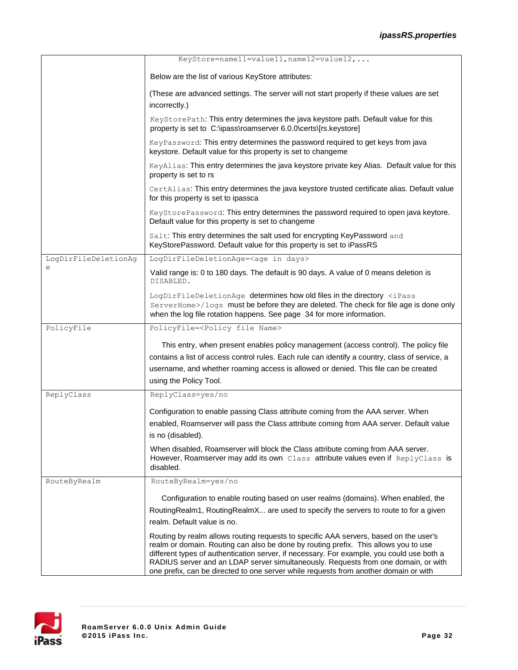|                      | KeyStore=name11=value11, name12=value12,                                                                                                                                                                                                                                                                                                                                                                                                                |
|----------------------|---------------------------------------------------------------------------------------------------------------------------------------------------------------------------------------------------------------------------------------------------------------------------------------------------------------------------------------------------------------------------------------------------------------------------------------------------------|
|                      | Below are the list of various KeyStore attributes:                                                                                                                                                                                                                                                                                                                                                                                                      |
|                      | (These are advanced settings. The server will not start properly if these values are set                                                                                                                                                                                                                                                                                                                                                                |
|                      | incorrectly.)                                                                                                                                                                                                                                                                                                                                                                                                                                           |
|                      | KeyStorePath: This entry determines the java keystore path. Default value for this<br>property is set to C:\ipass\roamserver 6.0.0\certs\[rs.keystore]                                                                                                                                                                                                                                                                                                  |
|                      | KeyPassword: This entry determines the password required to get keys from java<br>keystore. Default value for this property is set to changeme                                                                                                                                                                                                                                                                                                          |
|                      | KeyAlias: This entry determines the java keystore private key Alias. Default value for this<br>property is set to rs                                                                                                                                                                                                                                                                                                                                    |
|                      | CertAlias: This entry determines the java keystore trusted certificate alias. Default value<br>for this property is set to ipassca                                                                                                                                                                                                                                                                                                                      |
|                      | KeyStorePassword: This entry determines the password required to open java keytore.<br>Default value for this property is set to changeme                                                                                                                                                                                                                                                                                                               |
|                      | Salt: This entry determines the salt used for encrypting KeyPassword and<br>KeyStorePassword. Default value for this property is set to iPassRS                                                                                                                                                                                                                                                                                                         |
| LogDirFileDeletionAg | LogDirFileDeletionAge= <age days="" in=""></age>                                                                                                                                                                                                                                                                                                                                                                                                        |
| е                    | Valid range is: 0 to 180 days. The default is 90 days. A value of 0 means deletion is<br>DISABLED.                                                                                                                                                                                                                                                                                                                                                      |
|                      | LogDirFileDeletionAge determines how old files in the directory <ipass<br>ServerHome&gt;/logs must be before they are deleted. The check for file age is done only<br/>when the log file rotation happens. See page 34 for more information.</ipass<br>                                                                                                                                                                                                 |
| PolicyFile           | PolicyFile= <policy file="" name=""></policy>                                                                                                                                                                                                                                                                                                                                                                                                           |
|                      | This entry, when present enables policy management (access control). The policy file<br>contains a list of access control rules. Each rule can identify a country, class of service, a                                                                                                                                                                                                                                                                  |
|                      | username, and whether roaming access is allowed or denied. This file can be created                                                                                                                                                                                                                                                                                                                                                                     |
|                      | using the Policy Tool.                                                                                                                                                                                                                                                                                                                                                                                                                                  |
| ReplyClass           | ReplyClass=yes/no                                                                                                                                                                                                                                                                                                                                                                                                                                       |
|                      | Configuration to enable passing Class attribute coming from the AAA server. When                                                                                                                                                                                                                                                                                                                                                                        |
|                      | enabled, Roamserver will pass the Class attribute coming from AAA server. Default value                                                                                                                                                                                                                                                                                                                                                                 |
|                      | is no (disabled).                                                                                                                                                                                                                                                                                                                                                                                                                                       |
|                      | When disabled, Roamserver will block the Class attribute coming from AAA server.<br>However, Roamserver may add its own Class attribute values even if ReplyClass is<br>disabled.                                                                                                                                                                                                                                                                       |
| RouteByRealm         | RouteByRealm=yes/no                                                                                                                                                                                                                                                                                                                                                                                                                                     |
|                      | Configuration to enable routing based on user realms (domains). When enabled, the                                                                                                                                                                                                                                                                                                                                                                       |
|                      | RoutingRealm1, RoutingRealmX are used to specify the servers to route to for a given                                                                                                                                                                                                                                                                                                                                                                    |
|                      | realm. Default value is no.                                                                                                                                                                                                                                                                                                                                                                                                                             |
|                      | Routing by realm allows routing requests to specific AAA servers, based on the user's<br>realm or domain. Routing can also be done by routing prefix. This allows you to use<br>different types of authentication server, if necessary. For example, you could use both a<br>RADIUS server and an LDAP server simultaneously. Requests from one domain, or with<br>one prefix, can be directed to one server while requests from another domain or with |

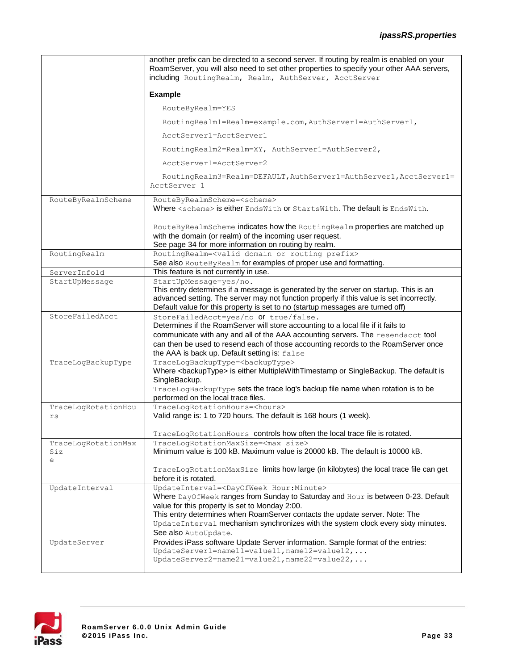#### *ipassRS.properties*

|                                 | another prefix can be directed to a second server. If routing by realm is enabled on your<br>RoamServer, you will also need to set other properties to specify your other AAA servers,<br>including RoutingRealm, Realm, AuthServer, AcctServer                                |
|---------------------------------|--------------------------------------------------------------------------------------------------------------------------------------------------------------------------------------------------------------------------------------------------------------------------------|
|                                 | <b>Example</b>                                                                                                                                                                                                                                                                 |
|                                 | RouteByRealm=YES                                                                                                                                                                                                                                                               |
|                                 | RoutingRealm1=Realm=example.com, AuthServer1=AuthServer1,                                                                                                                                                                                                                      |
|                                 | AcctServer1=AcctServer1                                                                                                                                                                                                                                                        |
|                                 | RoutingRealm2=Realm=XY, AuthServer1=AuthServer2,                                                                                                                                                                                                                               |
|                                 | AcctServer1=AcctServer2                                                                                                                                                                                                                                                        |
|                                 | RoutingRealm3=Realm=DEFAULT, AuthServer1=AuthServer1, AcctServer1=<br>AcctServer 1                                                                                                                                                                                             |
| RouteByRealmScheme              | RouteByRealmScheme= <scheme><br/>Where <scheme> is either EndsWith or StartsWith. The default is EndsWith.</scheme></scheme>                                                                                                                                                   |
|                                 | RouteByRealmScheme indicates how the RoutingRealm properties are matched up<br>with the domain (or realm) of the incoming user request.<br>See page 34 for more information on routing by realm.                                                                               |
| RoutingRealm                    | RoutingRealm= <valid domain="" or="" prefix="" routing=""><br/>See also RouteByRealm for examples of proper use and formatting.</valid>                                                                                                                                        |
| ServerInfold                    | This feature is not currently in use.                                                                                                                                                                                                                                          |
| StartUpMessage                  | StartUpMessage=yes/no.<br>This entry determines if a message is generated by the server on startup. This is an<br>advanced setting. The server may not function properly if this value is set incorrectly.                                                                     |
| StoreFailedAcct                 | Default value for this property is set to no (startup messages are turned off)<br>StoreFailedAcct=yes/no Of true/false.                                                                                                                                                        |
|                                 | Determines if the RoamServer will store accounting to a local file if it fails to<br>communicate with any and all of the AAA accounting servers. The resendacct tool<br>can then be used to resend each of those accounting records to the RoamServer once                     |
| TraceLogBackupType              | the AAA is back up. Default setting is: false<br>TraceLogBackupType= <backuptype></backuptype>                                                                                                                                                                                 |
|                                 | Where <backuptype> is either MultipleWithTimestamp or SingleBackup. The default is<br/>SingleBackup.</backuptype>                                                                                                                                                              |
|                                 | TraceLogBackupType sets the trace log's backup file name when rotation is to be<br>performed on the local trace files.                                                                                                                                                         |
| TraceLogRotationHou<br>rs       | TraceLogRotationHours= <hours><br/>Valid range is: 1 to 720 hours. The default is 168 hours (1 week).</hours>                                                                                                                                                                  |
|                                 | TraceLogRotationHours controls how often the local trace file is rotated.                                                                                                                                                                                                      |
| TraceLogRotationMax<br>Siz<br>e | TraceLogRotationMaxSize= <max size=""><br/>Minimum value is 100 kB. Maximum value is 20000 kB. The default is 10000 kB.</max>                                                                                                                                                  |
|                                 | TraceLogRotationMaxSize limits how large (in kilobytes) the local trace file can get<br>before it is rotated.                                                                                                                                                                  |
| UpdateInterval                  | UpdateInterval= <dayofweek hour:minute=""><br/>Where DayOfWeek ranges from Sunday to Saturday and Hour is between 0-23. Default<br/>value for this property is set to Monday 2:00.<br/>This entry determines when RoamServer contacts the update server. Note: The</dayofweek> |
|                                 | UpdateInterval mechanism synchronizes with the system clock every sixty minutes.<br>See also AutoUpdate.                                                                                                                                                                       |
| UpdateServer                    | Provides iPass software Update Server information. Sample format of the entries:                                                                                                                                                                                               |
|                                 | UpdateServer1=name11=value11, name12=value12,<br>UpdateServer2=name21=value21, name22=value22,                                                                                                                                                                                 |
|                                 |                                                                                                                                                                                                                                                                                |

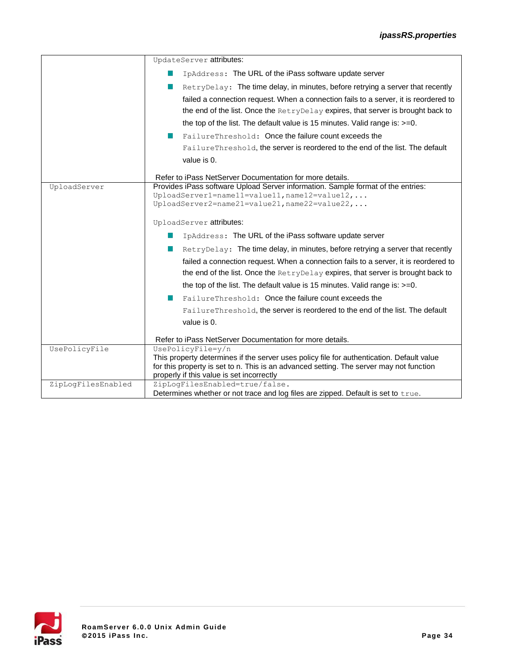|                    | UpdateServer attributes:                                                                                                                     |  |  |  |
|--------------------|----------------------------------------------------------------------------------------------------------------------------------------------|--|--|--|
|                    | IpAddress: The URL of the iPass software update server                                                                                       |  |  |  |
|                    | RetryDelay: The time delay, in minutes, before retrying a server that recently                                                               |  |  |  |
|                    | failed a connection request. When a connection fails to a server, it is reordered to                                                         |  |  |  |
|                    | the end of the list. Once the RetryDelay expires, that server is brought back to                                                             |  |  |  |
|                    | the top of the list. The default value is 15 minutes. Valid range is: $>=0$ .                                                                |  |  |  |
|                    | FailureThreshold: Once the failure count exceeds the                                                                                         |  |  |  |
|                    | FailureThreshold, the server is reordered to the end of the list. The default                                                                |  |  |  |
|                    | value is 0.                                                                                                                                  |  |  |  |
|                    |                                                                                                                                              |  |  |  |
| UploadServer       | Refer to iPass NetServer Documentation for more details.<br>Provides iPass software Upload Server information. Sample format of the entries: |  |  |  |
|                    | $UploadServer1 = name11 = value11, name12 = value12, $                                                                                       |  |  |  |
|                    | $UploadServer2 = name21 = value21, name22 = value22, $                                                                                       |  |  |  |
|                    |                                                                                                                                              |  |  |  |
|                    | UploadServer attributes:                                                                                                                     |  |  |  |
|                    | IpAddress: The URL of the iPass software update server                                                                                       |  |  |  |
|                    | RetryDelay: The time delay, in minutes, before retrying a server that recently                                                               |  |  |  |
|                    | failed a connection request. When a connection fails to a server, it is reordered to                                                         |  |  |  |
|                    | the end of the list. Once the RetryDelay expires, that server is brought back to                                                             |  |  |  |
|                    | the top of the list. The default value is 15 minutes. Valid range is: $>=0$ .                                                                |  |  |  |
|                    |                                                                                                                                              |  |  |  |
|                    | FailureThreshold: Once the failure count exceeds the                                                                                         |  |  |  |
|                    | FailureThreshold, the server is reordered to the end of the list. The default                                                                |  |  |  |
|                    | value is 0.                                                                                                                                  |  |  |  |
|                    | Refer to iPass NetServer Documentation for more details.                                                                                     |  |  |  |
| UsePolicyFile      | UsePolicyFile=y/n                                                                                                                            |  |  |  |
|                    | This property determines if the server uses policy file for authentication. Default value                                                    |  |  |  |
|                    | for this property is set to n. This is an advanced setting. The server may not function                                                      |  |  |  |
|                    | properly if this value is set incorrectly                                                                                                    |  |  |  |
| ZipLogFilesEnabled | ZipLogFilesEnabled=true/false.<br>Determines whether or not trace and log files are zipped. Default is set to true.                          |  |  |  |
|                    |                                                                                                                                              |  |  |  |

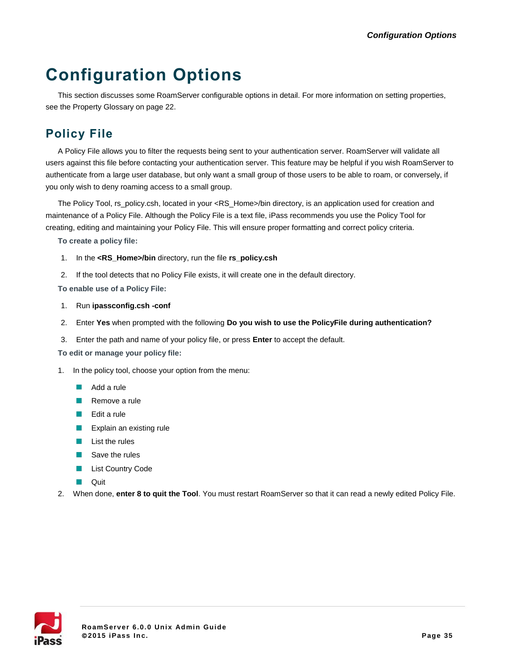# **Configuration Options**

This section discusses some RoamServer configurable options in detail. For more information on setting properties, see the Property Glossary on page 22.

# **Policy File**

A Policy File allows you to filter the requests being sent to your authentication server. RoamServer will validate all users against this file before contacting your authentication server. This feature may be helpful if you wish RoamServer to authenticate from a large user database, but only want a small group of those users to be able to roam, or conversely, if you only wish to deny roaming access to a small group.

The Policy Tool, rs\_policy.csh, located in your <RS\_Home>/bin directory, is an application used for creation and maintenance of a Policy File. Although the Policy File is a text file, iPass recommends you use the Policy Tool for creating, editing and maintaining your Policy File. This will ensure proper formatting and correct policy criteria.

**To create a policy file:**

- 1. In the **<RS\_Home>/bin** directory, run the file **rs\_policy.csh**
- 2. If the tool detects that no Policy File exists, it will create one in the default directory.

**To enable use of a Policy File:**

- 1. Run **ipassconfig.csh -conf**
- 2. Enter **Yes** when prompted with the following **Do you wish to use the PolicyFile during authentication?**
- 3. Enter the path and name of your policy file, or press **Enter** to accept the default.

**To edit or manage your policy file:**

- 1. In the policy tool, choose your option from the menu:
	- Add a rule
	- Remove a rule
	- $E$ dit a rule
	- **EXplain an existing rule**
	- $\blacksquare$  List the rules
	- Save the rules
	- $\mathcal{C}$ List Country Code
	- $\Box$ Quit
- 2. When done, **enter 8 to quit the Tool**. You must restart RoamServer so that it can read a newly edited Policy File.

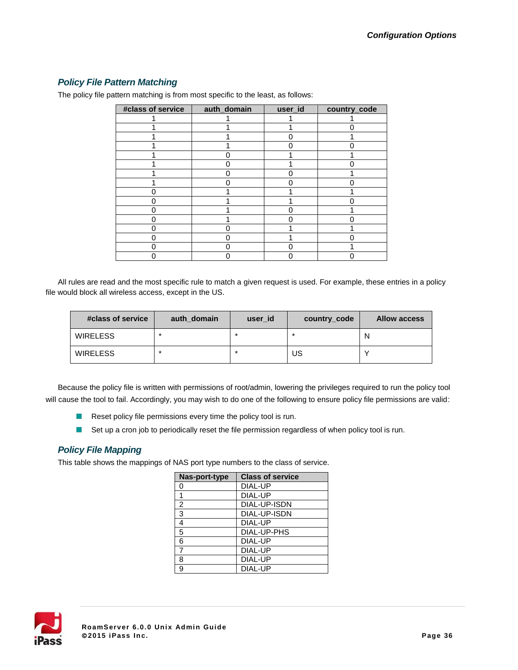#### *Policy File Pattern Matching*

| #class of service | auth_domain | user_id | country_code |
|-------------------|-------------|---------|--------------|
|                   |             |         |              |
|                   |             |         |              |
|                   |             |         |              |
|                   |             |         |              |
|                   |             |         |              |
|                   |             |         |              |
|                   |             |         |              |
|                   |             |         |              |
|                   |             |         |              |
|                   |             |         |              |
|                   |             |         |              |
|                   |             |         |              |
|                   |             |         |              |
|                   |             |         |              |
|                   |             |         |              |
|                   |             |         |              |

The policy file pattern matching is from most specific to the least, as follows:

All rules are read and the most specific rule to match a given request is used. For example, these entries in a policy file would block all wireless access, except in the US.

| #class of service | auth domain | user id | country_code | <b>Allow access</b> |
|-------------------|-------------|---------|--------------|---------------------|
| <b>WIRELESS</b>   | $\ast$      | *       | $\star$      | N                   |
| <b>WIRELESS</b>   | $\star$     | *       | US           |                     |

Because the policy file is written with permissions of root/admin, lowering the privileges required to run the policy tool will cause the tool to fail. Accordingly, you may wish to do one of the following to ensure policy file permissions are valid:

- Reset policy file permissions every time the policy tool is run.
- Set up a cron job to periodically reset the file permission regardless of when policy tool is run.  $\mathcal{L}_{\mathcal{A}}$

#### *Policy File Mapping*

This table shows the mappings of NAS port type numbers to the class of service.

| Nas-port-type  | <b>Class of service</b> |
|----------------|-------------------------|
| 0              | DIAL-UP                 |
| 1              | DIAL-UP                 |
| $\overline{c}$ | DIAL-UP-ISDN            |
| 3              | DIAL-UP-ISDN            |
| 4              | DIAL-UP                 |
| $\overline{5}$ | DIAL-UP-PHS             |
| 6              | DIAL-UP                 |
| $\overline{7}$ | DIAL-UP                 |
| 8              | DIAL-UP                 |
| 9              | DIAL-UP                 |

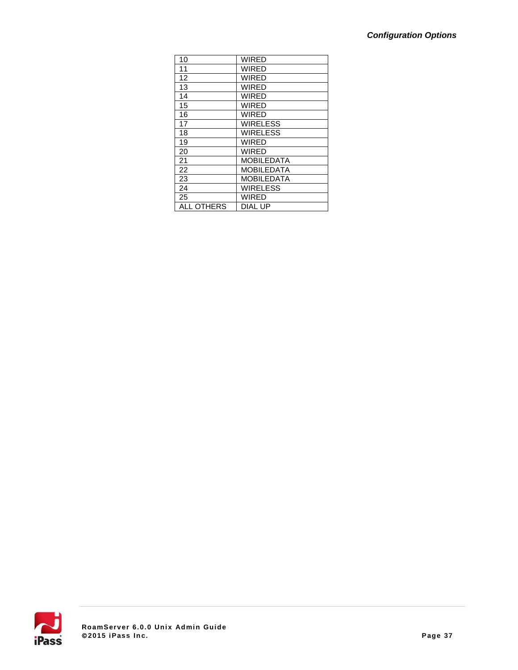| 10                | <b>WIRED</b>      |
|-------------------|-------------------|
| 11                | <b>WIRED</b>      |
| 12                | <b>WIRED</b>      |
| 13                | <b>WIRED</b>      |
| 14                | <b>WIRED</b>      |
| 15                | WIRED             |
| 16                | <b>WIRED</b>      |
| 17                | <b>WIRELESS</b>   |
| 18                | <b>WIRELESS</b>   |
| 19                | <b>WIRED</b>      |
| 20                | WIRED             |
| 21                | MOBILEDATA        |
| 22                | MOBILEDATA        |
| 23                | <b>MOBILEDATA</b> |
| 24                | <b>WIRELESS</b>   |
| 25                | <b>WIRED</b>      |
| <b>ALL OTHERS</b> | DIAL UP           |

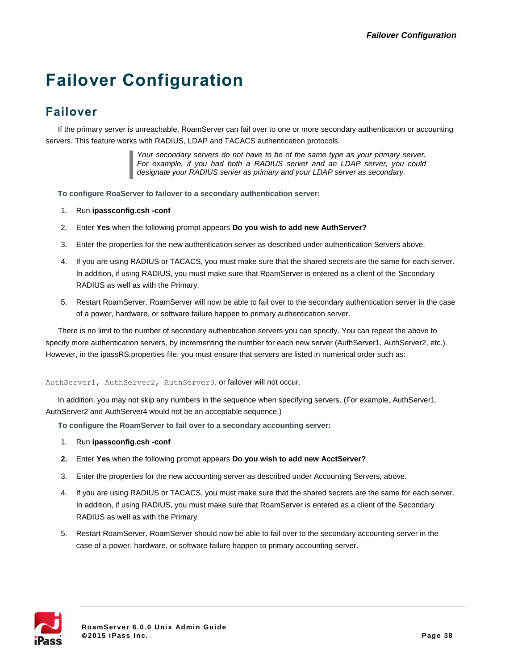# **Failover Configuration**

# <span id="page-37-0"></span>**Failover**

If the primary server is unreachable, RoamServer can fail over to one or more secondary authentication or accounting servers. This feature works with RADIUS, LDAP and TACACS authentication protocols.

> *Your secondary servers do not have to be of the same type as your primary server. For example, if you had both a RADIUS server and an LDAP server, you could designate your RADIUS server as primary and your LDAP server as secondary.*

**To configure RoaServer to failover to a secondary authentication server:**

- 1. Run **ipassconfig.csh -conf**
- 2. Enter **Yes** when the following prompt appears **Do you wish to add new AuthServer?**
- 3. Enter the properties for the new authentication server as described under authentication Servers above.
- 4. If you are using RADIUS or TACACS, you must make sure that the shared secrets are the same for each server. In addition, if using RADIUS, you must make sure that RoamServer is entered as a client of the Secondary RADIUS as well as with the Primary.
- 5. Restart RoamServer. RoamServer will now be able to fail over to the secondary authentication server in the case of a power, hardware, or software failure happen to primary authentication server.

There is no limit to the number of secondary authentication servers you can specify. You can repeat the above to specify more authentication servers, by incrementing the number for each new server (AuthServer1, AuthServer2, etc.). However, in the ipassRS.properties file, you must ensure that servers are listed in numerical order such as:

#### AuthServer1, AuthServer2, AuthServer3, or failover will not occur.

In addition, you may not skip any numbers in the sequence when specifying servers. (For example, AuthServer1, AuthServer2 and AuthServer4 would not be an acceptable sequence.)

**To configure the RoamServer to fail over to a secondary accounting server:**

- 1. Run **ipassconfig.csh -conf**
- **2.** Enter **Yes** when the following prompt appears **Do you wish to add new AcctServer?**
- 3. Enter the properties for the new accounting server as described under Accounting Servers, above.
- 4. If you are using RADIUS or TACACS, you must make sure that the shared secrets are the same for each server. In addition, if using RADIUS, you must make sure that RoamServer is entered as a client of the Secondary RADIUS as well as with the Primary.
- 5. Restart RoamServer. RoamServer should now be able to fail over to the secondary accounting server in the case of a power, hardware, or software failure happen to primary accounting server.

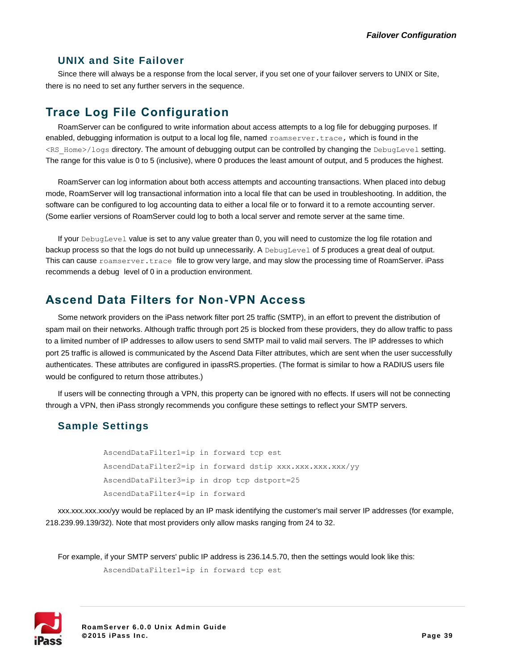#### **UNIX and Site Failover**

Since there will always be a response from the local server, if you set one of your failover servers to UNIX or Site, there is no need to set any further servers in the sequence.

## **Trace Log File Configuration**

RoamServer can be configured to write information about access attempts to a log file for debugging purposes. If enabled, debugging information is output to a local log file, named roamserver.trace, which is found in the <RS\_Home>/logs directory. The amount of debugging output can be controlled by changing the DebugLevel setting. The range for this value is 0 to 5 (inclusive), where 0 produces the least amount of output, and 5 produces the highest.

RoamServer can log information about both access attempts and accounting transactions. When placed into debug mode, RoamServer will log transactional information into a local file that can be used in troubleshooting. In addition, the software can be configured to log accounting data to either a local file or to forward it to a remote accounting server. (Some earlier versions of RoamServer could log to both a local server and remote server at the same time.

If your DebugLevel value is set to any value greater than 0, you will need to customize the log file rotation and backup process so that the logs do not build up unnecessarily. A DebugLevel of *5* produces a great deal of output. This can cause roamserver.trace file to grow very large, and may slow the processing time of RoamServer. iPass recommends a debug level of 0 in a production environment.

## **Ascend Data Filters for Non-VPN Access**

Some network providers on the iPass network filter port 25 traffic (SMTP), in an effort to prevent the distribution of spam mail on their networks. Although traffic through port 25 is blocked from these providers, they do allow traffic to pass to a limited number of IP addresses to allow users to send SMTP mail to valid mail servers. The IP addresses to which port 25 traffic is allowed is communicated by the Ascend Data Filter attributes, which are sent when the user successfully authenticates. These attributes are configured in ipassRS.properties. (The format is similar to how a RADIUS users file would be configured to return those attributes.)

If users will be connecting through a VPN, this property can be ignored with no effects. If users will not be connecting through a VPN, then iPass strongly recommends you configure these settings to reflect your SMTP servers.

### **Sample Settings**

AscendDataFilter1=ip in forward tcp est AscendDataFilter2=ip in forward dstip xxx.xxx.xxx.xxx/yy AscendDataFilter3=ip in drop tcp dstport=25 AscendDataFilter4=ip in forward

xxx.xxx.xxx.xxx/yy would be replaced by an IP mask identifying the customer's mail server IP addresses (for example, 218.239.99.139/32). Note that most providers only allow masks ranging from 24 to 32.

For example, if your SMTP servers' public IP address is 236.14.5.70, then the settings would look like this: AscendDataFilter1=ip in forward tcp est

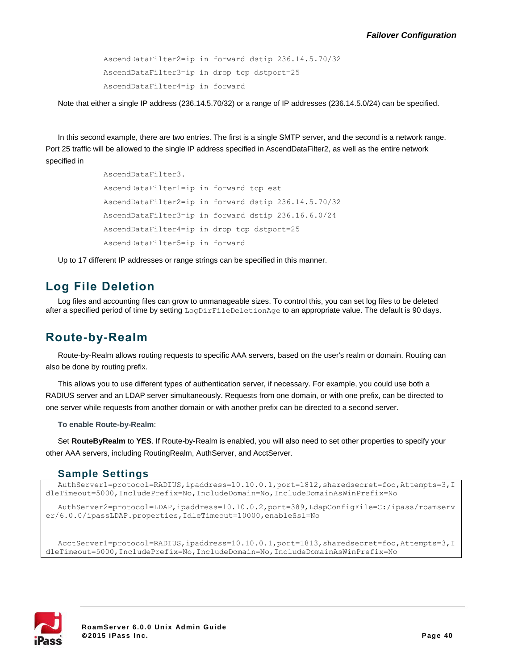AscendDataFilter2=ip in forward dstip 236.14.5.70/32 AscendDataFilter3=ip in drop tcp dstport=25 AscendDataFilter4=ip in forward

Note that either a single IP address (236.14.5.70/32) or a range of IP addresses (236.14.5.0/24) can be specified.

In this second example, there are two entries. The first is a single SMTP server, and the second is a network range. Port 25 traffic will be allowed to the single IP address specified in AscendDataFilter2, as well as the entire network specified in

> AscendDataFilter3. AscendDataFilter1=ip in forward tcp est AscendDataFilter2=ip in forward dstip 236.14.5.70/32 AscendDataFilter3=ip in forward dstip 236.16.6.0/24 AscendDataFilter4=ip in drop tcp dstport=25 AscendDataFilter5=ip in forward

Up to 17 different IP addresses or range strings can be specified in this manner.

## **Log File Deletion**

Log files and accounting files can grow to unmanageable sizes. To control this, you can set log files to be deleted after a specified period of time by setting LogDirFileDeletionAge to an appropriate value. The default is 90 days.

## **Route-by-Realm**

Route-by-Realm allows routing requests to specific AAA servers, based on the user's realm or domain. Routing can also be done by routing prefix.

This allows you to use different types of authentication server, if necessary. For example, you could use both a RADIUS server and an LDAP server simultaneously. Requests from one domain, or with one prefix, can be directed to one server while requests from another domain or with another prefix can be directed to a second server.

**To enable Route-by-Realm**:

Set **RouteByRealm** to **YES**. If Route-by-Realm is enabled, you will also need to set other properties to specify your other AAA servers, including RoutingRealm, AuthServer, and AcctServer.

#### **Sample Settings**

AuthServer1=protocol=RADIUS, ipaddress=10.10.0.1, port=1812, sharedsecret=foo, Attempts=3, I dleTimeout=5000,IncludePrefix=No,IncludeDomain=No,IncludeDomainAsWinPrefix=No

AuthServer2=protocol=LDAP,ipaddress=10.10.0.2,port=389,LdapConfigFile=C:/ipass/roamserv er/6.0.0/ipassLDAP.properties,IdleTimeout=10000,enableSsl=No

AcctServer1=protocol=RADIUS, ipaddress=10.10.0.1, port=1813, sharedsecret=foo, Attempts=3, I dleTimeout=5000,IncludePrefix=No,IncludeDomain=No,IncludeDomainAsWinPrefix=No

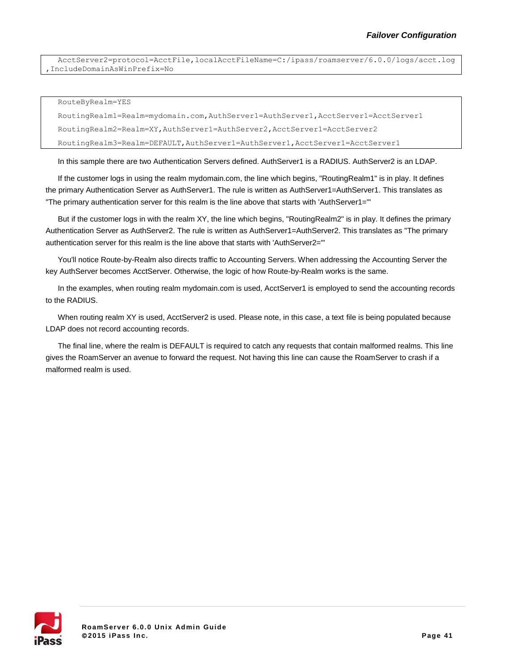AcctServer2=protocol=AcctFile,localAcctFileName=C:/ipass/roamserver/6.0.0/logs/acct.log ,IncludeDomainAsWinPrefix=No

RouteByRealm=YES

RoutingRealm1=Realm=mydomain.com,AuthServer1=AuthServer1,AcctServer1=AcctServer1 RoutingRealm2=Realm=XY,AuthServer1=AuthServer2,AcctServer1=AcctServer2 RoutingRealm3=Realm=DEFAULT,AuthServer1=AuthServer1,AcctServer1=AcctServer1

In this sample there are two Authentication Servers defined. AuthServer1 is a RADIUS. AuthServer2 is an LDAP.

If the customer logs in using the realm mydomain.com, the line which begins, "RoutingRealm1" is in play. It defines the primary Authentication Server as AuthServer1. The rule is written as AuthServer1=AuthServer1. This translates as "The primary authentication server for this realm is the line above that starts with 'AuthServer1='"

But if the customer logs in with the realm XY, the line which begins, "RoutingRealm2" is in play. It defines the primary Authentication Server as AuthServer2. The rule is written as AuthServer1=AuthServer2. This translates as "The primary authentication server for this realm is the line above that starts with 'AuthServer2='"

You'll notice Route-by-Realm also directs traffic to Accounting Servers. When addressing the Accounting Server the key AuthServer becomes AcctServer. Otherwise, the logic of how Route-by-Realm works is the same.

In the examples, when routing realm mydomain.com is used, AcctServer1 is employed to send the accounting records to the RADIUS.

When routing realm XY is used, AcctServer2 is used. Please note, in this case, a text file is being populated because LDAP does not record accounting records.

The final line, where the realm is DEFAULT is required to catch any requests that contain malformed realms. This line gives the RoamServer an avenue to forward the request. Not having this line can cause the RoamServer to crash if a malformed realm is used.

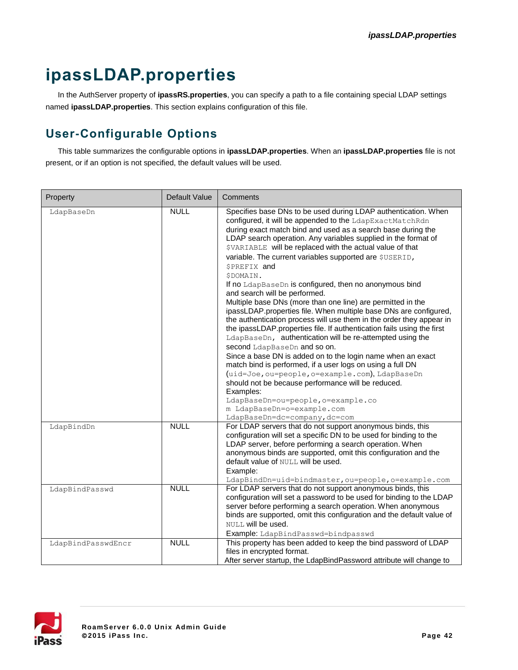# **ipassLDAP.properties**

In the AuthServer property of **ipassRS.properties**, you can specify a path to a file containing special LDAP settings named **ipassLDAP.properties**. This section explains configuration of this file.

# **User-Configurable Options**

This table summarizes the configurable options in **ipassLDAP.properties**. When an **ipassLDAP.properties** file is not present, or if an option is not specified, the default values will be used.

| Property           | Default Value | Comments                                                                                                                                                                                                                                                                                                                                                                                                                                                                                                                                                                                                                                                                                                                                                                                                                                                                                                                                                                                                                                                                                                                                                                                                                                                      |
|--------------------|---------------|---------------------------------------------------------------------------------------------------------------------------------------------------------------------------------------------------------------------------------------------------------------------------------------------------------------------------------------------------------------------------------------------------------------------------------------------------------------------------------------------------------------------------------------------------------------------------------------------------------------------------------------------------------------------------------------------------------------------------------------------------------------------------------------------------------------------------------------------------------------------------------------------------------------------------------------------------------------------------------------------------------------------------------------------------------------------------------------------------------------------------------------------------------------------------------------------------------------------------------------------------------------|
| LdapBaseDn         | <b>NULL</b>   | Specifies base DNs to be used during LDAP authentication. When<br>configured, it will be appended to the LdapExactMatchRdn<br>during exact match bind and used as a search base during the<br>LDAP search operation. Any variables supplied in the format of<br>\$VARIABLE will be replaced with the actual value of that<br>variable. The current variables supported are \$USERID,<br><b>SPREFIX</b> and<br>\$DOMAIN.<br>If no LdapBaseDn is configured, then no anonymous bind<br>and search will be performed.<br>Multiple base DNs (more than one line) are permitted in the<br>ipassLDAP.properties file. When multiple base DNs are configured,<br>the authentication process will use them in the order they appear in<br>the ipassLDAP.properties file. If authentication fails using the first<br>LdapBaseDn, authentication will be re-attempted using the<br>second LdapBaseDn and so on.<br>Since a base DN is added on to the login name when an exact<br>match bind is performed, if a user logs on using a full DN<br>(uid=Joe, ou=people, o=example.com), LdapBaseDn<br>should not be because performance will be reduced.<br>Examples:<br>LdapBaseDn=ou=people, o=example.co<br>m LdapBaseDn=o=example.com<br>LdapBaseDn=dc=company, dc=com |
| LdapBindDn         | <b>NULL</b>   | For LDAP servers that do not support anonymous binds, this<br>configuration will set a specific DN to be used for binding to the<br>LDAP server, before performing a search operation. When<br>anonymous binds are supported, omit this configuration and the<br>default value of NULL will be used.<br>Example:<br>LdapBindDn=uid=bindmaster, ou=people, o=example.com                                                                                                                                                                                                                                                                                                                                                                                                                                                                                                                                                                                                                                                                                                                                                                                                                                                                                       |
| LdapBindPasswd     | <b>NULL</b>   | For LDAP servers that do not support anonymous binds, this<br>configuration will set a password to be used for binding to the LDAP<br>server before performing a search operation. When anonymous<br>binds are supported, omit this configuration and the default value of<br>NULL will be used.<br>Example: LdapBindPasswd=bindpasswd                                                                                                                                                                                                                                                                                                                                                                                                                                                                                                                                                                                                                                                                                                                                                                                                                                                                                                                        |
| LdapBindPasswdEncr | <b>NULL</b>   | This property has been added to keep the bind password of LDAP<br>files in encrypted format.<br>After server startup, the LdapBindPassword attribute will change to                                                                                                                                                                                                                                                                                                                                                                                                                                                                                                                                                                                                                                                                                                                                                                                                                                                                                                                                                                                                                                                                                           |

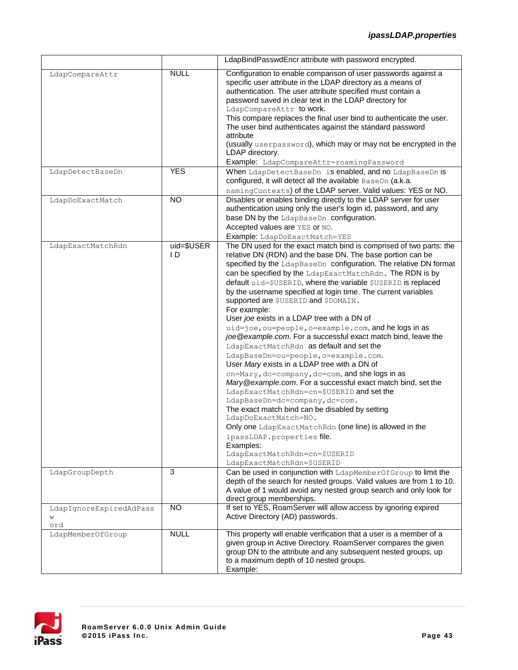|                                     |                      | LdapBindPasswdEncr attribute with password encrypted.                                                                                                                                                                                                                                                                                                                                                                                                                                                                                                                                                                                                                                                                                                                                                                                                                                                                                                                                                                                                                                                                                                                                                                         |
|-------------------------------------|----------------------|-------------------------------------------------------------------------------------------------------------------------------------------------------------------------------------------------------------------------------------------------------------------------------------------------------------------------------------------------------------------------------------------------------------------------------------------------------------------------------------------------------------------------------------------------------------------------------------------------------------------------------------------------------------------------------------------------------------------------------------------------------------------------------------------------------------------------------------------------------------------------------------------------------------------------------------------------------------------------------------------------------------------------------------------------------------------------------------------------------------------------------------------------------------------------------------------------------------------------------|
| LdapCompareAttr                     | <b>NULL</b>          | Configuration to enable comparison of user passwords against a<br>specific user attribute in the LDAP directory as a means of<br>authentication. The user attribute specified must contain a<br>password saved in clear text in the LDAP directory for<br>LdapCompareAttr to work.<br>This compare replaces the final user bind to authenticate the user.<br>The user bind authenticates against the standard password<br>attribute<br>(usually userpassword), which may or may not be encrypted in the<br>LDAP directory.<br>Example: LdapCompareAttr=roamingPassword                                                                                                                                                                                                                                                                                                                                                                                                                                                                                                                                                                                                                                                        |
| LdapDetectBaseDn                    | <b>YES</b>           | When LdapDetectBaseDn is enabled, and no LdapBaseDn is<br>configured, it will detect all the available BaseDn (a.k.a.<br>namingContexts) of the LDAP server. Valid values: YES or NO.                                                                                                                                                                                                                                                                                                                                                                                                                                                                                                                                                                                                                                                                                                                                                                                                                                                                                                                                                                                                                                         |
| LdapDoExactMatch                    | <b>NO</b>            | Disables or enables binding directly to the LDAP server for user<br>authentication using only the user's login id, password, and any<br>base DN by the LdapBaseDn configuration.<br>Accepted values are YES or NO.<br>Example: LdapDoExactMatch=YES                                                                                                                                                                                                                                                                                                                                                                                                                                                                                                                                                                                                                                                                                                                                                                                                                                                                                                                                                                           |
| LdapExactMatchRdn                   | $uid = $USER$<br>I D | The DN used for the exact match bind is comprised of two parts: the<br>relative DN (RDN) and the base DN. The base portion can be<br>specified by the LdapBaseDn configuration. The relative DN format<br>can be specified by the LdapExactMatchRdn. The RDN is by<br>default uid=\$USERID, where the variable \$USERID is replaced<br>by the username specified at login time. The current variables<br>supported are \$USERID and \$DOMAIN.<br>For example:<br>User joe exists in a LDAP tree with a DN of<br>uid=joe, ou=people, o=example.com, and he logs in as<br>joe @example.com. For a successful exact match bind, leave the<br>LdapExactMatchRdn as default and set the<br>LdapBaseDn=ou=people, o=example.com.<br>User Mary exists in a LDAP tree with a DN of<br>cn=Mary, dc=company, dc=com, and she logs in as<br>Mary @example.com. For a successful exact match bind, set the<br>LdapExactMatchRdn=cn=\$USERID and set the<br>LdapBaseDn=dc=company, dc=com.<br>The exact match bind can be disabled by setting<br>LdapDoExactMatch=NO.<br>Only one LdapExactMatchRdn (one line) is allowed in the<br>ipassLDAP.properties file.<br>Examples:<br>LdapExactMatchRdn=cn=\$USERID<br>LdapExactMatchRdn=\$USERID |
| LdapGroupDepth                      | 3                    | Can be used in conjunction with LdapMemberOfGroup to limit the<br>depth of the search for nested groups. Valid values are from 1 to 10.<br>A value of 1 would avoid any nested group search and only look for<br>direct group memberships.                                                                                                                                                                                                                                                                                                                                                                                                                                                                                                                                                                                                                                                                                                                                                                                                                                                                                                                                                                                    |
| LdapIgnoreExpiredAdPass<br>W<br>ord | <b>NO</b>            | If set to YES, RoamServer will allow access by ignoring expired<br>Active Directory (AD) passwords.                                                                                                                                                                                                                                                                                                                                                                                                                                                                                                                                                                                                                                                                                                                                                                                                                                                                                                                                                                                                                                                                                                                           |
| LdapMemberOfGroup                   | <b>NULL</b>          | This property will enable verification that a user is a member of a<br>given group in Active Directory. RoamServer compares the given<br>group DN to the attribute and any subsequent nested groups, up<br>to a maximum depth of 10 nested groups.<br>Example:                                                                                                                                                                                                                                                                                                                                                                                                                                                                                                                                                                                                                                                                                                                                                                                                                                                                                                                                                                |

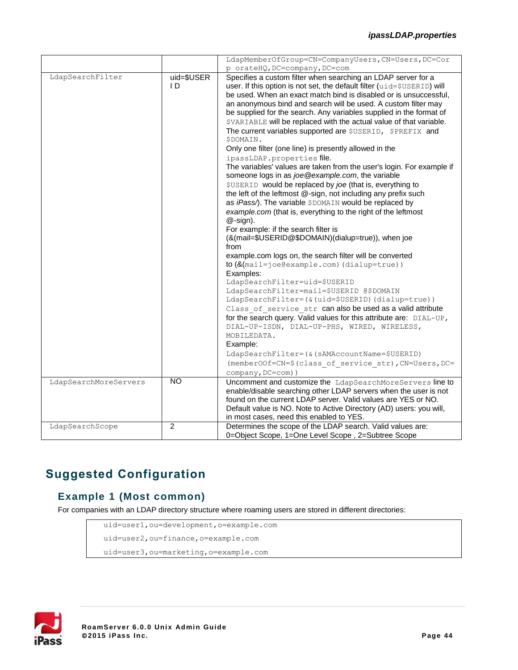|                       |                   | LdapMemberOfGroup=CN=CompanyUsers, CN=Users, DC=Cor                                                                                                                                                                                                                                                                                                                                                                                                                                                                                                                                                                                                                                                                                                                                                                                                                                                                                                                                                                                                                                                                                                                                                                                                                                                                                                                                                                                                                                                                                                                                                                                                                                                                    |
|-----------------------|-------------------|------------------------------------------------------------------------------------------------------------------------------------------------------------------------------------------------------------------------------------------------------------------------------------------------------------------------------------------------------------------------------------------------------------------------------------------------------------------------------------------------------------------------------------------------------------------------------------------------------------------------------------------------------------------------------------------------------------------------------------------------------------------------------------------------------------------------------------------------------------------------------------------------------------------------------------------------------------------------------------------------------------------------------------------------------------------------------------------------------------------------------------------------------------------------------------------------------------------------------------------------------------------------------------------------------------------------------------------------------------------------------------------------------------------------------------------------------------------------------------------------------------------------------------------------------------------------------------------------------------------------------------------------------------------------------------------------------------------------|
|                       |                   | p orateHQ, DC=company, DC=com                                                                                                                                                                                                                                                                                                                                                                                                                                                                                                                                                                                                                                                                                                                                                                                                                                                                                                                                                                                                                                                                                                                                                                                                                                                                                                                                                                                                                                                                                                                                                                                                                                                                                          |
| LdapSearchFilter      | uid=\$USER<br>I D | Specifies a custom filter when searching an LDAP server for a<br>user. If this option is not set, the default filter (uid=\$USERID) will<br>be used. When an exact match bind is disabled or is unsuccessful,<br>an anonymous bind and search will be used. A custom filter may<br>be supplied for the search. Any variables supplied in the format of<br>\$VARIABLE will be replaced with the actual value of that variable.<br>The current variables supported are \$USERID, \$PREFIX and<br>\$DOMAIN.<br>Only one filter (one line) is presently allowed in the<br>ipassLDAP.properties file.<br>The variables' values are taken from the user's login. For example if<br>someone logs in as joe@example.com, the variable<br>\$USERID would be replaced by joe (that is, everything to<br>the left of the leftmost @-sign, not including any prefix such<br>as iPass/). The variable \$DOMAIN would be replaced by<br>example.com (that is, everything to the right of the leftmost<br>$@$ -sign).<br>For example: if the search filter is<br>(&(mail=\$USERID@\$DOMAIN)(dialup=true)), when joe<br>from<br>example.com logs on, the search filter will be converted<br>$to$ ( $&$ (mail=joe@example.com) (dialup=true))<br>Examples:<br>LdapSearchFilter=uid=\$USERID<br>LdapSearchFilter=mail=\$USERID @\$DOMAIN<br>LdapSearchFilter=(&(uid=\$USERID)(dialup=true))<br>Class of service str can also be used as a valid attribute<br>for the search query. Valid values for this attribute are: DIAL-UP,<br>DIAL-UP-ISDN, DIAL-UP-PHS, WIRED, WIRELESS,<br>MOBILEDATA.<br>Example:<br>LdapSearchFilter=(&(sAMAccountName=\$USERID)<br>(member00f=CN=\$(class of service str), CN=Users, DC=<br>company, DC=com)) |
| LdapSearchMoreServers | <b>NO</b>         | Uncomment and customize the LdapSearchMoreServers line to<br>enable/disable searching other LDAP servers when the user is not<br>found on the current LDAP server. Valid values are YES or NO.<br>Default value is NO. Note to Active Directory (AD) users: you will,<br>in most cases, need this enabled to YES.                                                                                                                                                                                                                                                                                                                                                                                                                                                                                                                                                                                                                                                                                                                                                                                                                                                                                                                                                                                                                                                                                                                                                                                                                                                                                                                                                                                                      |
| LdapSearchScope       | 2                 | Determines the scope of the LDAP search. Valid values are:<br>0=Object Scope, 1=One Level Scope, 2=Subtree Scope                                                                                                                                                                                                                                                                                                                                                                                                                                                                                                                                                                                                                                                                                                                                                                                                                                                                                                                                                                                                                                                                                                                                                                                                                                                                                                                                                                                                                                                                                                                                                                                                       |

# **Suggested Configuration**

### **Example 1 (Most common)**

For companies with an LDAP directory structure where roaming users are stored in different directories:

```
uid=user1,ou=development,o=example.com
uid=user2,ou=finance,o=example.com
uid=user3,ou=marketing,o=example.com
```
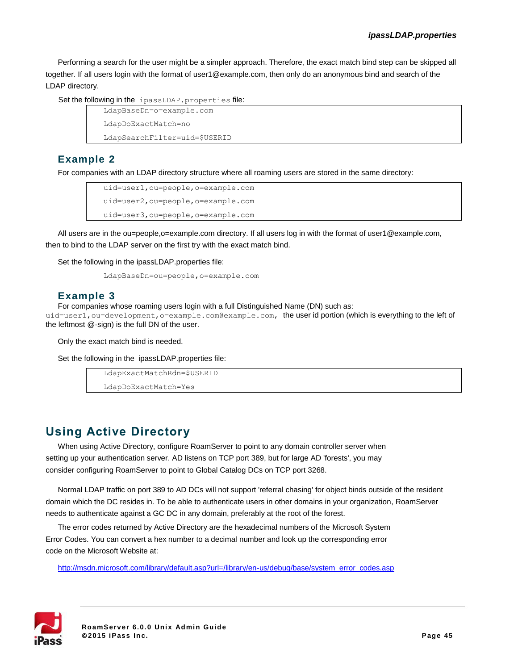Performing a search for the user might be a simpler approach. Therefore, the exact match bind step can be skipped all together. If all users login with the format of user1@example.com, then only do an anonymous bind and search of the LDAP directory.

Set the following in the ipassLDAP.properties file:

```
LdapBaseDn=o=example.com
LdapDoExactMatch=no
```
LdapSearchFilter=uid=\$USERID

#### **Example 2**

For companies with an LDAP directory structure where all roaming users are stored in the same directory:

```
uid=user1,ou=people,o=example.com
uid=user2,ou=people,o=example.com
uid=user3,ou=people,o=example.com
```
All users are in the ou=people,o=example.com directory. If all users log in with the format of user1@example.com, then to bind to the LDAP server on the first try with the exact match bind.

Set the following in the ipassLDAP.properties file:

```
LdapBaseDn=ou=people,o=example.com
```
#### **Example 3**

For companies whose roaming users login with a full Distinguished Name (DN) such as:

uid=user1, ou=development, o=example.com@example.com, the user id portion (which is everything to the left of the leftmost @-sign) is the full DN of the user.

Only the exact match bind is needed.

Set the following in the ipassLDAP.properties file:

LdapExactMatchRdn=\$USERID

LdapDoExactMatch=Yes

## **Using Active Directory**

When using Active Directory, configure RoamServer to point to any domain controller server when setting up your authentication server. AD listens on TCP port 389, but for large AD 'forests', you may consider configuring RoamServer to point to Global Catalog DCs on TCP port 3268.

Normal LDAP traffic on port 389 to AD DCs will not support 'referral chasing' for object binds outside of the resident domain which the DC resides in. To be able to authenticate users in other domains in your organization, RoamServer needs to authenticate against a GC DC in any domain, preferably at the root of the forest.

The error codes returned by Active Directory are the hexadecimal numbers of the Microsoft System Error Codes. You can convert a hex number to a decimal number and look up the corresponding error code on the Microsoft Website at:

[http://msdn.microsoft.com/library/default.asp?url=/library/en-us/debug/base/system\\_error\\_codes.asp](http://msdn.microsoft.com/library/default.asp?url=/library/en-us/debug/base/system_error_codes.asp)

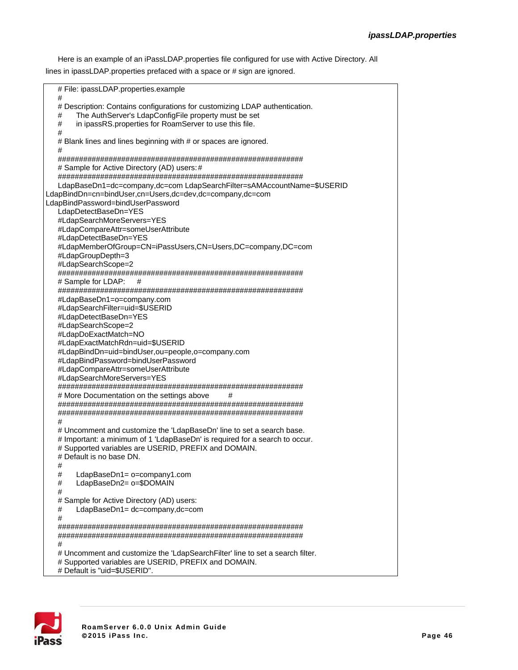Here is an example of an iPassLDAP.properties file configured for use with Active Directory. All lines in ipassLDAP.properties prefaced with a space or # sign are ignored.

# File: ipassLDAP.properties.example # # Description: Contains configurations for customizing LDAP authentication. # The AuthServer's LdapConfigFile property must be set # in ipassRS.properties for RoamServer to use this file. # # Blank lines and lines beginning with # or spaces are ignored. # ########################################################## # Sample for Active Directory (AD) users:# ########################################################## LdapBaseDn1=dc=company,dc=com LdapSearchFilter=sAMAccountName=\$USERID LdapBindDn=cn=bindUser,cn=Users,dc=dev,dc=company,dc=com LdapBindPassword=bindUserPassword LdapDetectBaseDn=YES #LdapSearchMoreServers=YES #LdapCompareAttr=someUserAttribute #LdapDetectBaseDn=YES #LdapMemberOfGroup=CN=iPassUsers,CN=Users,DC=company,DC=com #LdapGroupDepth=3 #LdapSearchScope=2 ########################################################## # Sample for LDAP: # ########################################################## #LdapBaseDn1=o=company.com #LdapSearchFilter=uid=\$USERID #LdapDetectBaseDn=YES #LdapSearchScope=2 #LdapDoExactMatch=NO #LdapExactMatchRdn=uid=\$USERID #LdapBindDn=uid=bindUser,ou=people,o=company.com #LdapBindPassword=bindUserPassword #LdapCompareAttr=someUserAttribute #LdapSearchMoreServers=YES ########################################################## # More Documentation on the settings above # ########################################################## ########################################################## # # Uncomment and customize the 'LdapBaseDn' line to set a search base. # Important: a minimum of 1 'LdapBaseDn' is required for a search to occur. # Supported variables are USERID, PREFIX and DOMAIN. # Default is no base DN. # # LdapBaseDn1= o=company1.com LdapBaseDn2= o=\$DOMAIN # # Sample for Active Directory (AD) users: # LdapBaseDn1= dc=company,dc=com # ########################################################## ########################################################## # # Uncomment and customize the 'LdapSearchFilter' line to set a search filter. # Supported variables are USERID, PREFIX and DOMAIN. # Default is "uid=\$USERID".

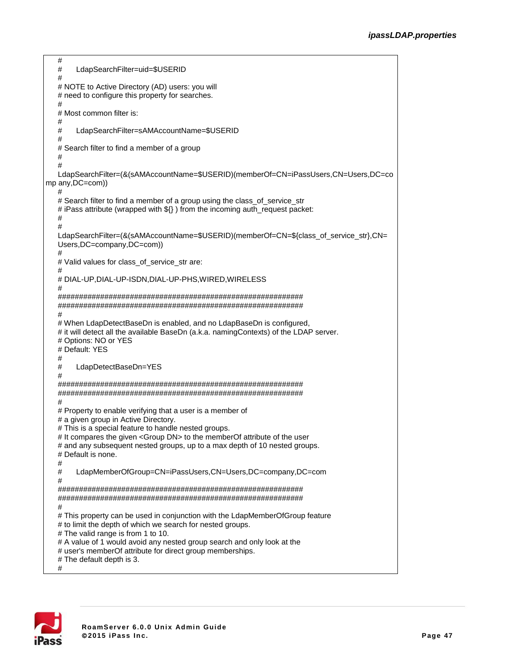```
#
  # LdapSearchFilter=uid=$USERID
  #
  # NOTE to Active Directory (AD) users: you will
  # need to configure this property for searches.
   #
  # Most common filter is:
  #
       LdapSearchFilter=sAMAccountName=$USERID
  #
  # Search filter to find a member of a group
  #
   #
  LdapSearchFilter=(&(sAMAccountName=$USERID)(memberOf=CN=iPassUsers,CN=Users,DC=co
mp any,DC=com))
   #
  # Search filter to find a member of a group using the class_of_service_str
  # iPass attribute (wrapped with ${}) from the incoming auth_request packet:
   #
   #
  LdapSearchFilter=(&(sAMAccountName=$USERID)(memberOf=CN=${class_of_service_str},CN=
  Users,DC=company,DC=com))
  #
  # Valid values for class_of_service_str are:
   #
  # DIAL-UP,DIAL-UP-ISDN,DIAL-UP-PHS,WIRED,WIRELESS
   #
  ##########################################################
  ##########################################################
   #
  # When LdapDetectBaseDn is enabled, and no LdapBaseDn is configured,
  # it will detect all the available BaseDn (a.k.a. namingContexts) of the LDAP server.
  # Options: NO or YES
  # Default: YES
  #
       LdapDetectBaseDn=YES
  #
  ##########################################################
  ##########################################################
   #
  # Property to enable verifying that a user is a member of
  # a given group in Active Directory.
  # This is a special feature to handle nested groups.
  # It compares the given <Group DN> to the memberOf attribute of the user
  # and any subsequent nested groups, up to a max depth of 10 nested groups.
  # Default is none.
  #
  # LdapMemberOfGroup=CN=iPassUsers,CN=Users,DC=company,DC=com
  #
  ##########################################################
  ##########################################################
  #
  # This property can be used in conjunction with the LdapMemberOfGroup feature
  # to limit the depth of which we search for nested groups.
  # The valid range is from 1 to 10.
  # A value of 1 would avoid any nested group search and only look at the
  # user's memberOf attribute for direct group memberships.
  # The default depth is 3.
  #
```
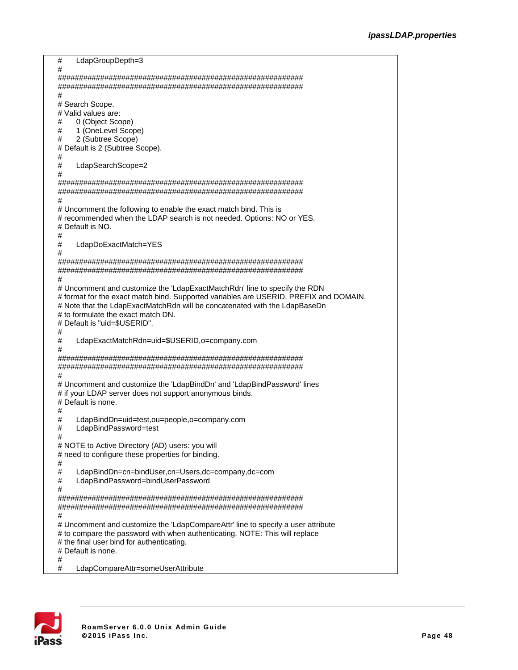```
# LdapGroupDepth=3
#
##########################################################
##########################################################
#
# Search Scope.
# Valid values are:
# 0 (Object Scope)<br># 1 (OneLevel Scor
# 1 (OneLevel Scope)<br># 2 (Subtree Scope)
     2 (Subtree Scope)
# Default is 2 (Subtree Scope).
#
# LdapSearchScope=2
#
##########################################################
##########################################################
#
# Uncomment the following to enable the exact match bind. This is
# recommended when the LDAP search is not needed. Options: NO or YES.
# Default is NO.
#
     LdapDoExactMatch=YES
#
##########################################################
##########################################################
#
# Uncomment and customize the 'LdapExactMatchRdn' line to specify the RDN
# format for the exact match bind. Supported variables are USERID, PREFIX and DOMAIN.
# Note that the LdapExactMatchRdn will be concatenated with the LdapBaseDn
# to formulate the exact match DN.
# Default is "uid=$USERID".
#
     LdapExactMatchRdn=uid=$USERID,o=company.com
#
##########################################################
##########################################################
#
# Uncomment and customize the 'LdapBindDn' and 'LdapBindPassword' lines
# if your LDAP server does not support anonymous binds.
# Default is none.
#
# LdapBindDn=uid=test,ou=people,o=company.com
# LdapBindPassword=test
#
# NOTE to Active Directory (AD) users: you will
# need to configure these properties for binding.
#
# LdapBindDn=cn=bindUser,cn=Users,dc=company,dc=com
     LdapBindPassword=bindUserPassword
#
##########################################################
##########################################################
#
# Uncomment and customize the 'LdapCompareAttr' line to specify a user attribute
# to compare the password with when authenticating. NOTE: This will replace
# the final user bind for authenticating.
# Default is none.
#
     LdapCompareAttr=someUserAttribute
```
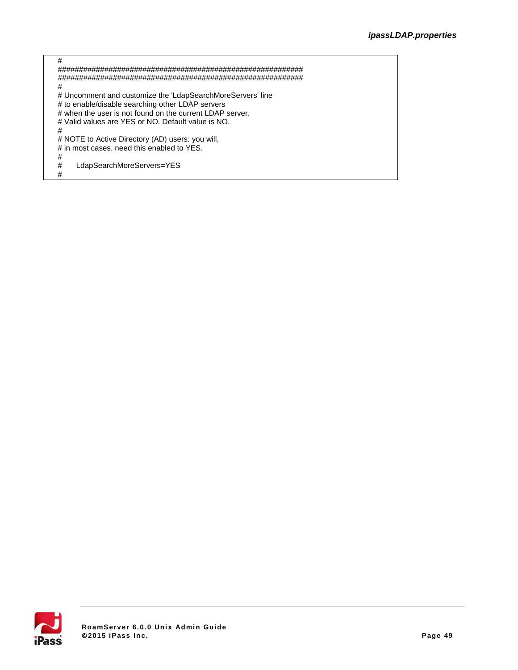| #                                                          |
|------------------------------------------------------------|
|                                                            |
|                                                            |
| #                                                          |
| # Uncomment and customize the 'LdapSearchMoreServers' line |
| # to enable/disable searching other LDAP servers           |
| # when the user is not found on the current LDAP server.   |
| # Valid values are YES or NO. Default value is NO.         |
| #                                                          |
| # NOTE to Active Directory (AD) users: you will,           |
| # in most cases, need this enabled to YES.                 |
| #                                                          |
| #<br>LdapSearchMoreServers=YES                             |
| #                                                          |
|                                                            |

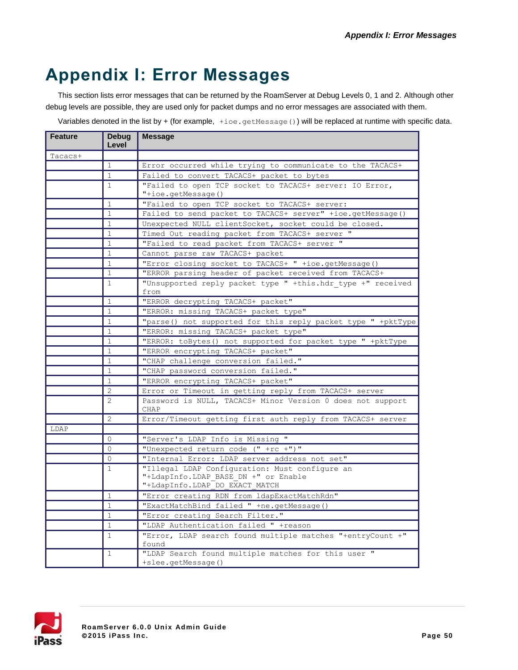# **Appendix I: Error Messages**

This section lists error messages that can be returned by the RoamServer at Debug Levels 0, 1 and 2. Although other debug levels are possible, they are used only for packet dumps and no error messages are associated with them.

Variables denoted in the list by + (for example,  $\pm$ ioe.getMessage()) will be replaced at runtime with specific data.

| <b>Feature</b> | Debug<br>Level                                                            | Message                                                                       |  |  |  |  |  |
|----------------|---------------------------------------------------------------------------|-------------------------------------------------------------------------------|--|--|--|--|--|
| Tacacs+        |                                                                           |                                                                               |  |  |  |  |  |
|                | $\mathbf{1}$                                                              | Error occurred while trying to communicate to the TACACS+                     |  |  |  |  |  |
|                | $\mathbf{1}$                                                              | Failed to convert TACACS+ packet to bytes                                     |  |  |  |  |  |
|                | $\mathbf{1}$                                                              | "Failed to open TCP socket to TACACS+ server: IO Error,<br>"+ioe.getMessage() |  |  |  |  |  |
|                | $\mathbf{1}$                                                              | "Failed to open TCP socket to TACACS+ server:                                 |  |  |  |  |  |
|                | $\mathbf{1}$                                                              | Failed to send packet to TACACS+ server" +ioe.getMessage()                    |  |  |  |  |  |
|                | $\mathbf{1}$                                                              | Unexpected NULL clientSocket, socket could be closed.                         |  |  |  |  |  |
|                | $\mathbf{1}$                                                              | Timed Out reading packet from TACACS+ server "                                |  |  |  |  |  |
|                | $\mathbf{1}$                                                              | "Failed to read packet from TACACS+ server "                                  |  |  |  |  |  |
|                | $\mathbf{1}$                                                              | Cannot parse raw TACACS+ packet                                               |  |  |  |  |  |
|                | "Error closing socket to TACACS+ " +ioe.getMessage()<br>$\mathbf{1}$      |                                                                               |  |  |  |  |  |
|                | $\mathbf{1}$                                                              | "ERROR parsing header of packet received from TACACS+                         |  |  |  |  |  |
|                | $\mathbf{1}$                                                              | "Unsupported reply packet type " +this.hdr type +" received                   |  |  |  |  |  |
|                |                                                                           | from                                                                          |  |  |  |  |  |
|                | $\mathbf{1}$                                                              | "ERROR decrypting TACACS+ packet"                                             |  |  |  |  |  |
|                | $\mathbf{1}$                                                              | "ERROR: missing TACACS+ packet type"                                          |  |  |  |  |  |
|                | $\mathbf{1}$                                                              | "parse() not supported for this reply packet type " +pktType                  |  |  |  |  |  |
|                | $\mathbf{1}$                                                              | "ERROR: missing TACACS+ packet type"                                          |  |  |  |  |  |
|                | $\mathbf{1}$                                                              | "ERROR: toBytes () not supported for packet type " +pktType                   |  |  |  |  |  |
|                | $\mathbf{1}$                                                              | "ERROR encrypting TACACS+ packet"                                             |  |  |  |  |  |
|                | $\mathbf{1}$                                                              | "CHAP challenge conversion failed."                                           |  |  |  |  |  |
|                | $\mathbf{1}$                                                              | "CHAP password conversion failed."                                            |  |  |  |  |  |
|                | $\mathbf{1}$                                                              | "ERROR encrypting TACACS+ packet"                                             |  |  |  |  |  |
|                | $\overline{2}$                                                            | Error or Timeout in getting reply from TACACS+ server                         |  |  |  |  |  |
|                | Password is NULL, TACACS+ Minor Version 0 does not support<br><b>CHAP</b> |                                                                               |  |  |  |  |  |
|                | $\overline{2}$                                                            | Error/Timeout getting first auth reply from TACACS+ server                    |  |  |  |  |  |
| LDAP           |                                                                           |                                                                               |  |  |  |  |  |
|                | $\Omega$                                                                  | "Server's LDAP Info is Missing "                                              |  |  |  |  |  |
|                | $\Omega$                                                                  | "Unexpected return code (" +rc +")"                                           |  |  |  |  |  |
|                | $\Omega$                                                                  | "Internal Error: LDAP server address not set"                                 |  |  |  |  |  |
|                | $\mathbf{1}$                                                              | "Illegal LDAP Configuration: Must configure an                                |  |  |  |  |  |
|                |                                                                           | "+LdapInfo.LDAP BASE DN +" or Enable                                          |  |  |  |  |  |
|                |                                                                           | "+LdapInfo.LDAP DO EXACT MATCH                                                |  |  |  |  |  |
|                | $\mathbf{1}$                                                              | "Error creating RDN from ldapExactMatchRdn"                                   |  |  |  |  |  |
|                | $\mathbf{1}$                                                              | "ExactMatchBind failed " +ne.getMessage ()                                    |  |  |  |  |  |
|                | $\mathbf{1}$                                                              | "Error creating Search Filter."                                               |  |  |  |  |  |
|                | $\mathbf{1}$                                                              | "LDAP Authentication failed " +reason                                         |  |  |  |  |  |
|                | $\mathbf{1}$                                                              | "Error, LDAP search found multiple matches "+entryCount +"<br>found           |  |  |  |  |  |
|                | 1                                                                         | "LDAP Search found multiple matches for this user "                           |  |  |  |  |  |
|                |                                                                           | +slee.getMessage()                                                            |  |  |  |  |  |

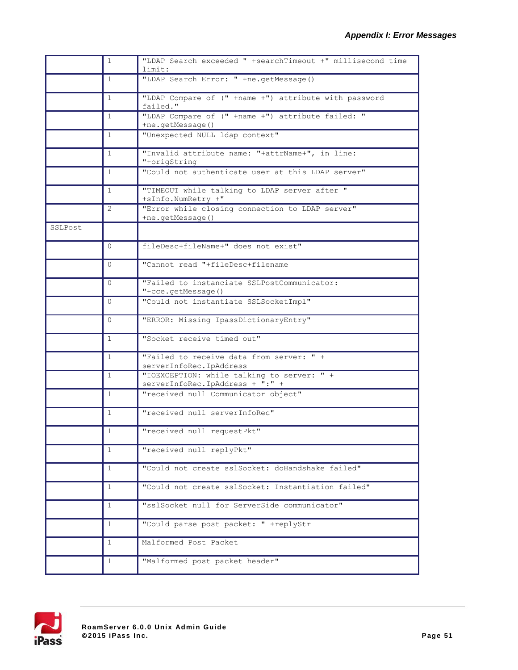|         | $\mathbf{1}$ | "LDAP Search exceeded " +searchTimeout +" millisecond time<br>limit:          |
|---------|--------------|-------------------------------------------------------------------------------|
|         | $\mathbf{1}$ | "LDAP Search Error: " +ne.getMessage()                                        |
|         | $\mathbf{1}$ | "LDAP Compare of (" +name +") attribute with password<br>failed."             |
|         | $\mathbf{1}$ | "LDAP Compare of (" +name +") attribute failed: "<br>+ne.getMessage()         |
|         | $\mathbf{1}$ | "Unexpected NULL ldap context"                                                |
|         | $\mathbf{1}$ | "Invalid attribute name: "+attrName+", in line:<br>"+origString               |
|         | $\mathbf{1}$ | "Could not authenticate user at this LDAP server"                             |
|         | $\mathbf{1}$ | "TIMEOUT while talking to LDAP server after "<br>+sInfo.NumRetry +"           |
|         | 2            | "Error while closing connection to LDAP server"<br>+ne.getMessage()           |
| SSLPost |              |                                                                               |
|         | $\Omega$     | fileDesc+fileName+" does not exist"                                           |
|         | $\Omega$     | "Cannot read "+fileDesc+filename                                              |
|         | $\Omega$     | "Failed to instanciate SSLPostCommunicator:<br>"+cce.getMessage()             |
|         | $\Omega$     | "Could not instantiate SSLSocketImpl"                                         |
|         | 0            | "ERROR: Missing IpassDictionaryEntry"                                         |
|         | 1            | "Socket receive timed out"                                                    |
|         | $\mathbf{1}$ | "Failed to receive data from server: " +<br>serverInfoRec.IpAddress           |
|         | 1            | "IOEXCEPTION: while talking to server: " +<br>serverInfoRec.IpAddress + ":" + |
|         | $\mathbf{1}$ | "received null Communicator object"                                           |
|         | $\mathbf{1}$ | "received null serverInfoRec"                                                 |
|         | 1            | "received null requestPkt"                                                    |
|         | $\mathbf{1}$ | "received null replyPkt"                                                      |
|         | 1            | "Could not create sslSocket: doHandshake failed"                              |
|         | $\mathbf{1}$ | "Could not create sslSocket: Instantiation failed"                            |
|         | $\mathbf{1}$ | "sslSocket null for ServerSide communicator"                                  |
|         | 1            | "Could parse post packet: " +replyStr                                         |
|         | 1            | Malformed Post Packet                                                         |
|         | $\mathbf{1}$ | "Malformed post packet header"                                                |

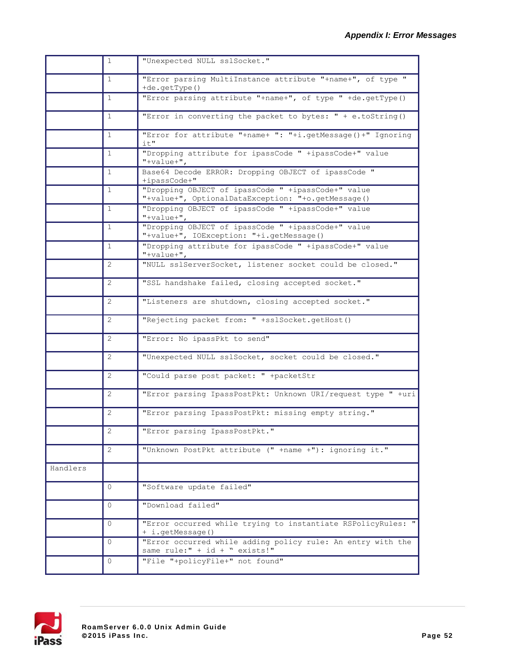|          | $\mathbf{1}$ | "Unexpected NULL sslSocket."                                                                             |
|----------|--------------|----------------------------------------------------------------------------------------------------------|
|          | $\mathbf{1}$ | "Error parsing MultiInstance attribute "+name+", of type "<br>+de.getType()                              |
|          | $\mathbf{1}$ | "Error parsing attribute "+name+", of type " +de.getType()                                               |
|          | $\mathbf{1}$ | "Error in converting the packet to bytes: $" + e.$ toString()                                            |
|          | $\mathbf{1}$ | "Error for attribute "+name+ ": "+i.getMessage()+" Ignoring<br>it"                                       |
|          | $\mathbf{1}$ | "Dropping attribute for ipassCode " +ipassCode+" value<br>$"+value+"$ ,                                  |
|          | $\mathbf{1}$ | Base64 Decode ERROR: Dropping OBJECT of ipassCode "<br>+ipassCode+"                                      |
|          | $\mathbf{1}$ | "Dropping OBJECT of ipassCode " +ipassCode+" value<br>"+value+", OptionalDataException: "+o.getMessage() |
|          | $\mathbf{1}$ | "Dropping OBJECT of ipassCode " +ipassCode+" value<br>$"+value+",$                                       |
|          | 1            | "Dropping OBJECT of ipassCode " +ipassCode+" value<br>"+value+", IOException: "+i.getMessage()           |
|          | $\mathbf{1}$ | "Dropping attribute for ipassCode " +ipassCode+" value<br>$"$ +value+",                                  |
|          | 2            | "NULL sslServerSocket, listener socket could be closed."                                                 |
|          | 2            | "SSL handshake failed, closing accepted socket."                                                         |
|          | 2            | "Listeners are shutdown, closing accepted socket."                                                       |
|          | 2            | "Rejecting packet from: " +sslSocket.getHost()                                                           |
|          | 2            | "Error: No ipassPkt to send"                                                                             |
|          | 2            | "Unexpected NULL sslSocket, socket could be closed."                                                     |
|          | 2            | "Could parse post packet: " +packetStr                                                                   |
|          | 2            | "Error parsing IpassPostPkt: Unknown URI/request type " +uri                                             |
|          | 2            | "Error parsing IpassPostPkt: missing empty string."                                                      |
|          | 2            | "Error parsing IpassPostPkt."                                                                            |
|          | 2            | "Unknown PostPkt attribute (" +name +"): ignoring it."                                                   |
| Handlers |              |                                                                                                          |
|          | 0            | "Software update failed"                                                                                 |
|          | $\mathbf{0}$ | "Download failed"                                                                                        |
|          | $\Omega$     | "Error occurred while trying to instantiate RSPolicyRules: "<br>+ i.getMessage()                         |
|          | 0            | "Error occurred while adding policy rule: An entry with the<br>same rule:" + id + " exists!"             |
|          | $\mathbf{0}$ | "File "+policyFile+" not found"                                                                          |

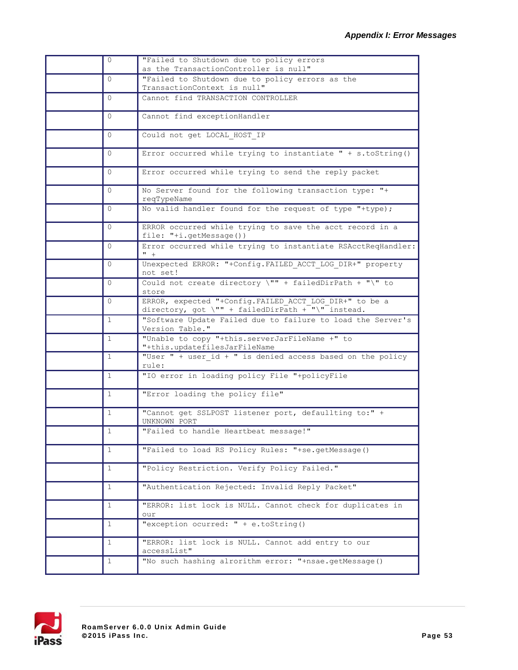| $\mathbf{0}$ | "Failed to Shutdown due to policy errors<br>as the TransactionController is null"                            |
|--------------|--------------------------------------------------------------------------------------------------------------|
| $\Omega$     | "Failed to Shutdown due to policy errors as the<br>TransactionContext is null"                               |
| $\Omega$     | Cannot find TRANSACTION CONTROLLER                                                                           |
| $\mathbf{0}$ | Cannot find exceptionHandler                                                                                 |
| $\mathbf{0}$ | Could not get LOCAL HOST IP                                                                                  |
| $\Omega$     | Error occurred while trying to instantiate " + s.toString()                                                  |
| 0            | Error occurred while trying to send the reply packet                                                         |
| $\Omega$     | No Server found for the following transaction type: "+<br>reqTypeName                                        |
| $\Omega$     | No valid handler found for the request of type "+type);                                                      |
| $\mathbf{0}$ | ERROR occurred while trying to save the acct record in a<br>file: "+i.getMessage())                          |
| $\Omega$     | Error occurred while trying to instantiate RSAcctReqHandler:<br>$" +$                                        |
| 0            | Unexpected ERROR: "+Config. FAILED ACCT LOG DIR+" property<br>not set!                                       |
| $\Omega$     | Could not create directory $\Upsilon'' +$ failedDirPath + " $\Upsilon'$ to<br>store                          |
| $\Omega$     | ERROR, expected "+Config. FAILED ACCT LOG DIR+" to be a<br>directory, got \"" + failedDirPath + "\" instead. |
| $\mathbf{1}$ | "Software Update Failed due to failure to load the Server's<br>Version Table."                               |
| $\mathbf{1}$ | "Unable to copy "+this.serverJarFileName +" to<br>"+this.updatefilesJarFileName                              |
| $\mathbf{1}$ | "User " + user_id + " is denied access based on the policy<br>rule:                                          |
| $\mathbf{1}$ | "IO error in loading policy File "+policyFile                                                                |
| $\mathbf{1}$ | "Error loading the policy file"                                                                              |
| $\mathbf{1}$ | "Cannot get SSLPOST listener port, defaullting to:" +<br>UNKNOWN PORT                                        |
| 1            | "Failed to handle Heartbeat message!"                                                                        |
| 1            | "Failed to load RS Policy Rules: "+se.getMessage()                                                           |
| $\mathbf{1}$ | "Policy Restriction. Verify Policy Failed."                                                                  |
| $\mathbf{1}$ | "Authentication Rejected: Invalid Reply Packet"                                                              |
| $\mathbf{1}$ | "ERROR: list lock is NULL. Cannot check for duplicates in<br>our                                             |
| $\mathbf{1}$ | "exception ocurred: " + e.toString()                                                                         |
| 1            | "ERROR: list lock is NULL. Cannot add entry to our<br>accessList"                                            |
| $\mathbf{1}$ | "No such hashing alrorithm error: "+nsae.getMessage()                                                        |

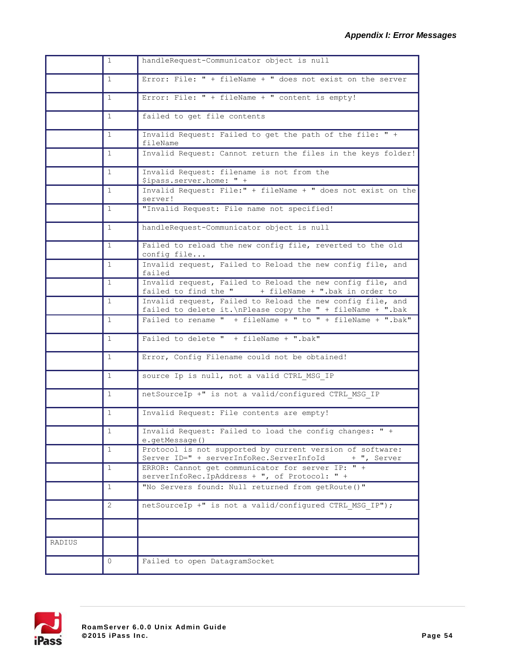|        | $\mathbf{1}$ | handleRequest-Communicator object is null                                                                                 |
|--------|--------------|---------------------------------------------------------------------------------------------------------------------------|
|        | $\mathbf{1}$ | Error: File: " + fileName + " does not exist on the server                                                                |
|        | $\mathbf{1}$ | Error: File: " + fileName + " content is empty!                                                                           |
|        | $\mathbf{1}$ | failed to get file contents                                                                                               |
|        | $\mathbf{1}$ | Invalid Request: Failed to get the path of the file: " +<br>fileName                                                      |
|        | 1            | Invalid Request: Cannot return the files in the keys folder!                                                              |
|        | $\mathbf{1}$ | Invalid Request: filename is not from the<br>\$ipass.server.home: " +                                                     |
|        | $\mathbf{1}$ | Invalid Request: File:" + fileName + " does not exist on the<br>server!                                                   |
|        | 1            | "Invalid Request: File name not specified!                                                                                |
|        | $\mathbf{1}$ | handleRequest-Communicator object is null                                                                                 |
|        | $\mathbf{1}$ | Failed to reload the new config file, reverted to the old<br>config file                                                  |
|        | $\mathbf{1}$ | Invalid request, Failed to Reload the new config file, and<br>failed                                                      |
|        | $\mathbf{1}$ | Invalid request, Failed to Reload the new config file, and<br>failed to find the $"$ + fileName + ".bak in order to       |
|        | $\mathbf{1}$ | Invalid request, Failed to Reload the new config file, and<br>failed to delete it. \nPlease copy the " + fileName + ".bak |
|        | $\mathbf{1}$ | Failed to rename $"$ + fileName + $"$ to $"$ + fileName + $".$ bak"                                                       |
|        | $\mathbf{1}$ | Failed to delete " + fileName + ".bak"                                                                                    |
|        | $\mathbf{1}$ | Error, Config Filename could not be obtained!                                                                             |
|        | 1            | source Ip is null, not a valid CTRL MSG IP                                                                                |
|        | $\mathbf{1}$ | netSourceIp +" is not a valid/configured CTRL MSG IP                                                                      |
|        | $\mathbf{1}$ | Invalid Request: File contents are empty!                                                                                 |
|        | 1            | Invalid Request: Failed to load the config changes: " +<br>e.getMessage()                                                 |
|        | $\mathbf{1}$ | Protocol is not supported by current version of software:<br>Server ID=" + serverInfoRec.ServerInfoId<br>+ ", Server      |
|        | $\mathbf{1}$ | ERROR: Cannot get communicator for server IP: " +<br>serverInfoRec.IpAddress + ", of Protocol: " +                        |
|        | $\mathbf{1}$ | "No Servers found: Null returned from getRoute ()"                                                                        |
|        | 2            | netSourceIp +" is not a valid/configured CTRL MSG IP");                                                                   |
|        |              |                                                                                                                           |
| RADIUS |              |                                                                                                                           |
|        | 0            | Failed to open DatagramSocket                                                                                             |

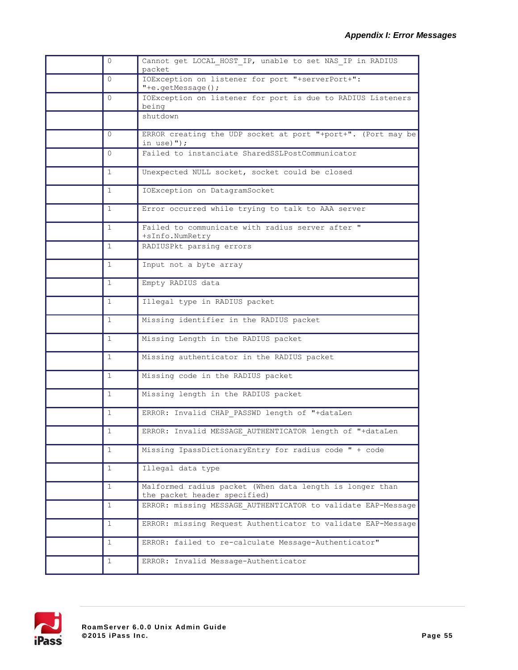| 0            | Cannot get LOCAL HOST IP, unable to set NAS IP in RADIUS<br>packet                       |
|--------------|------------------------------------------------------------------------------------------|
| $\Omega$     | IOException on listener for port "+serverPort+":<br>"+e.getMessage();                    |
| $\Omega$     | IOException on listener for port is due to RADIUS Listeners<br>being                     |
|              | shutdown                                                                                 |
| $\Omega$     | ERROR creating the UDP socket at port "+port+". (Port may be<br>in use) $'$ );           |
| $\Omega$     | Failed to instanciate SharedSSLPostCommunicator                                          |
| 1            | Unexpected NULL socket, socket could be closed                                           |
| $\mathbf{1}$ | IOException on DatagramSocket                                                            |
| 1            | Error occurred while trying to talk to AAA server                                        |
| $\mathbf{1}$ | Failed to communicate with radius server after "<br>+sInfo.NumRetry                      |
| $\mathbf{1}$ | RADIUSPkt parsing errors                                                                 |
| 1            | Input not a byte array                                                                   |
| 1            | Empty RADIUS data                                                                        |
| 1            | Illegal type in RADIUS packet                                                            |
| $\mathbf{1}$ | Missing identifier in the RADIUS packet                                                  |
| 1            | Missing Length in the RADIUS packet                                                      |
| $\mathbf{1}$ | Missing authenticator in the RADIUS packet                                               |
| $\mathbf{1}$ | Missing code in the RADIUS packet                                                        |
| 1            | Missing length in the RADIUS packet                                                      |
| 1            | ERROR: Invalid CHAP_PASSWD length of "+dataLen                                           |
| 1            | ERROR: Invalid MESSAGE_AUTHENTICATOR length of "+dataLen                                 |
| $\mathbf{1}$ | Missing IpassDictionaryEntry for radius code " + code                                    |
| $\mathbf{1}$ | Illegal data type                                                                        |
| $\mathbf{1}$ | Malformed radius packet (When data length is longer than<br>the packet header specified) |
| $\mathbf{1}$ | ERROR: missing MESSAGE AUTHENTICATOR to validate EAP-Message                             |
| $\mathbf{1}$ | ERROR: missing Request Authenticator to validate EAP-Message                             |
| $\mathbf{1}$ | ERROR: failed to re-calculate Message-Authenticator"                                     |
| 1            | ERROR: Invalid Message-Authenticator                                                     |

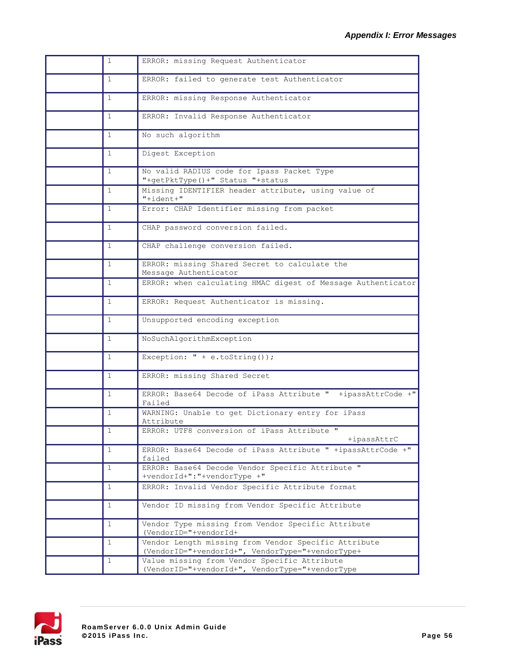| $\mathbf{1}$ | ERROR: missing Request Authenticator                                                                     |
|--------------|----------------------------------------------------------------------------------------------------------|
| $\mathbf{1}$ | ERROR: failed to generate test Authenticator                                                             |
| $\mathbf{1}$ | ERROR: missing Response Authenticator                                                                    |
| $\mathbf{1}$ | ERROR: Invalid Response Authenticator                                                                    |
| $\mathbf{1}$ | No such algorithm                                                                                        |
| $\mathbf{1}$ | Digest Exception                                                                                         |
| $\mathbf{1}$ | No valid RADIUS code for Ipass Packet Type<br>"+getPktType()+" Status "+status                           |
| $\mathbf{1}$ | Missing IDENTIFIER header attribute, using value of<br>"+ident+"                                         |
| 1            | Error: CHAP Identifier missing from packet                                                               |
| 1            | CHAP password conversion failed.                                                                         |
| $\mathbf{1}$ | CHAP challenge conversion failed.                                                                        |
| $\mathbf{1}$ | ERROR: missing Shared Secret to calculate the<br>Message Authenticator                                   |
| $\mathbf{1}$ | ERROR: when calculating HMAC digest of Message Authenticator                                             |
| $\mathbf{1}$ | ERROR: Request Authenticator is missing.                                                                 |
| 1            | Unsupported encoding exception                                                                           |
| $\mathbf{1}$ | NoSuchAlgorithmException                                                                                 |
| $\mathbf{1}$ | Exception: $" + e.toString()$ ;                                                                          |
| 1            | ERROR: missing Shared Secret                                                                             |
| $\mathbf{1}$ | ERROR: Base64 Decode of iPass Attribute " +ipassAttrCode +"<br>Failed                                    |
| 1            | WARNING: Unable to get Dictionary entry for iPass<br>Attribute                                           |
| 1            | ERROR: UTF8 conversion of iPass Attribute "<br>+ipassAttrC                                               |
| $\mathbf{1}$ | ERROR: Base64 Decode of iPass Attribute " +ipassAttrCode +"<br>failed                                    |
| $\mathbf{1}$ | ERROR: Base64 Decode Vendor Specific Attribute "<br>+vendorId+":"+vendorType +"                          |
| $\mathbf{1}$ | ERROR: Invalid Vendor Specific Attribute format                                                          |
| $\mathbf{1}$ | Vendor ID missing from Vendor Specific Attribute                                                         |
| $\mathbf{1}$ | Vendor Type missing from Vendor Specific Attribute<br>(VendorID="+vendorId+                              |
| $\mathbf{1}$ | Vendor Length missing from Vendor Specific Attribute<br>(VendorID="+vendorId+", VendorType="+vendorType+ |
| $\mathbf{1}$ | Value missing from Vendor Specific Attribute<br>(VendorID="+vendorId+", VendorType="+vendorType          |
|              |                                                                                                          |

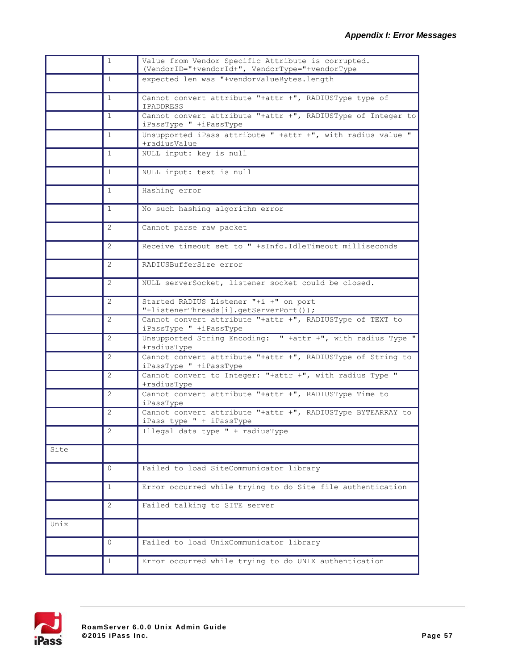|      | $\mathbf{1}$ | Value from Vendor Specific Attribute is corrupted.<br>(VendorID="+vendorId+", VendorType="+vendorType |
|------|--------------|-------------------------------------------------------------------------------------------------------|
|      | $\mathbf{1}$ | expected len was "+vendorValueBytes.length                                                            |
|      | $\mathbf{1}$ | Cannot convert attribute "+attr +", RADIUSType type of<br>IPADDRESS                                   |
|      | $\mathbf{1}$ | Cannot convert attribute "+attr +", RADIUSType of Integer to<br>iPassType " +iPassType                |
|      | $\mathbf{1}$ | Unsupported iPass attribute " +attr +", with radius value "<br>+radiusValue                           |
|      | $\mathbf{1}$ | NULL input: key is null                                                                               |
|      | $\mathbf{1}$ | NULL input: text is null                                                                              |
|      | $\mathbf{1}$ | Hashing error                                                                                         |
|      | $\mathbf{1}$ | No such hashing algorithm error                                                                       |
|      | 2            | Cannot parse raw packet                                                                               |
|      | 2            | Receive timeout set to " +sInfo. IdleTimeout milliseconds                                             |
|      | 2            | RADIUSBufferSize error                                                                                |
|      | 2            | NULL serverSocket, listener socket could be closed.                                                   |
|      | 2            | Started RADIUS Listener "+i +" on port<br>"+listenerThreads[i].getServerPort());                      |
|      | 2            | Cannot convert attribute "+attr +", RADIUSType of TEXT to<br>iPassType " +iPassType                   |
|      | 2            | Unsupported String Encoding: " +attr +", with radius Type "<br>+radiusType                            |
|      | 2            | Cannot convert attribute "+attr +", RADIUSType of String to<br>iPassType " +iPassType                 |
|      | 2            | Cannot convert to Integer: "+attr +", with radius Type "<br>+radiusType                               |
|      | 2            | Cannot convert attribute "+attr +", RADIUSType Time to<br>iPassType                                   |
|      | 2            | Cannot convert attribute "+attr +", RADIUSType BYTEARRAY to<br>iPass type " + iPassType               |
|      | 2            | Illegal data type " + radiusType                                                                      |
| Site |              |                                                                                                       |
|      | $\Omega$     | Failed to load SiteCommunicator library                                                               |
|      | 1            | Error occurred while trying to do Site file authentication                                            |
|      | 2            | Failed talking to SITE server                                                                         |
| Unix |              |                                                                                                       |
|      | $\Omega$     | Failed to load UnixCommunicator library                                                               |
|      | 1            | Error occurred while trying to do UNIX authentication                                                 |

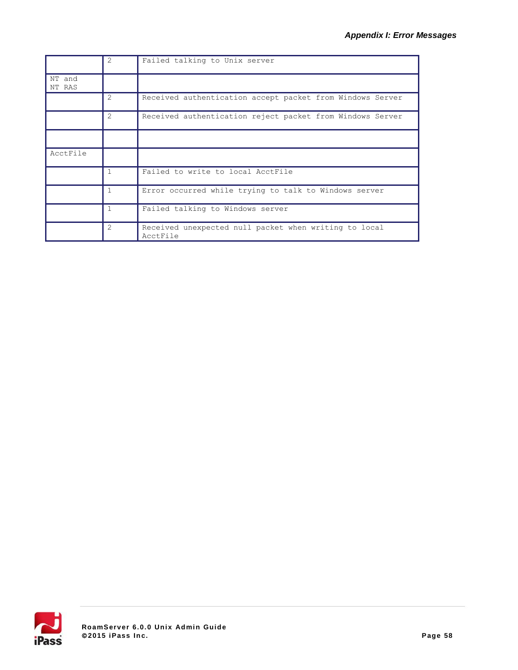|                  | $\mathcal{P}$  | Failed talking to Unix server                                     |
|------------------|----------------|-------------------------------------------------------------------|
| NT and<br>NT RAS |                |                                                                   |
|                  | $\mathfrak{D}$ | Received authentication accept packet from Windows Server         |
|                  | $\mathfrak{D}$ | Received authentication reject packet from Windows Server         |
|                  |                |                                                                   |
| AcctFile         |                |                                                                   |
|                  | 1              | Failed to write to local AcctFile                                 |
|                  | 1              | Error occurred while trying to talk to Windows server             |
|                  | $\mathbf{1}$   | Failed talking to Windows server                                  |
|                  | $\mathfrak{D}$ | Received unexpected null packet when writing to local<br>AcctFile |

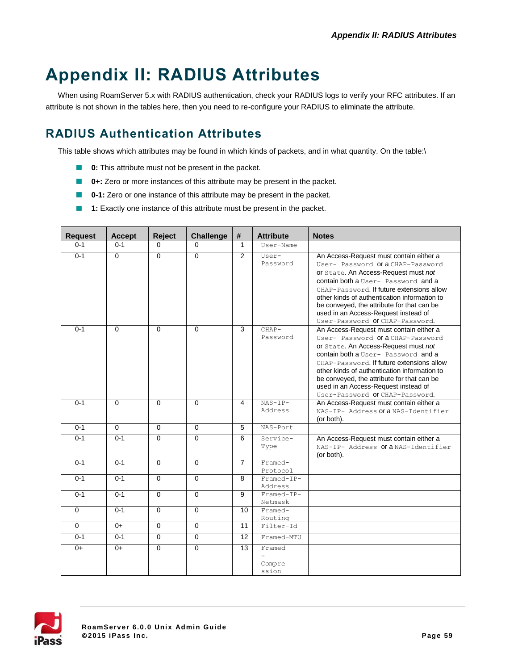# **Appendix II: RADIUS Attributes**

When using RoamServer 5.x with RADIUS authentication, check your RADIUS logs to verify your RFC attributes. If an attribute is not shown in the tables here, then you need to re-configure your RADIUS to eliminate the attribute.

# **RADIUS Authentication Attributes**

This table shows which attributes may be found in which kinds of packets, and in what quantity. On the table:\

- **0:** This attribute must not be present in the packet.
- **0+:** Zero or more instances of this attribute may be present in the packet.
- **0-1:** Zero or one instance of this attribute may be present in the packet.
- **1:** Exactly one instance of this attribute must be present in the packet.

| <b>Request</b> | <b>Accept</b>  | Reject         | <b>Challenge</b> | #               | <b>Attribute</b>          | <b>Notes</b>                                                                                                                                                                                                                                                                                                                                                                      |
|----------------|----------------|----------------|------------------|-----------------|---------------------------|-----------------------------------------------------------------------------------------------------------------------------------------------------------------------------------------------------------------------------------------------------------------------------------------------------------------------------------------------------------------------------------|
| $0 - 1$        | $0 - 1$        | 0              | $\Omega$         | $\mathbf{1}$    | User-Name                 |                                                                                                                                                                                                                                                                                                                                                                                   |
| $0 - 1$        | $\Omega$       | $\Omega$       | $\Omega$         | $\mathfrak{p}$  | User-<br>Password         | An Access-Request must contain either a<br>User- Password Ora CHAP-Password<br>or State. An Access-Request must not<br>contain both a User- Password and a<br>CHAP-Password. If future extensions allow<br>other kinds of authentication information to<br>be conveyed, the attribute for that can be<br>used in an Access-Request instead of<br>User-Password Of CHAP-Password.  |
| $0 - 1$        | $\Omega$       | $\Omega$       | $\Omega$         | 3               | $CHAP-$<br>Password       | An Access-Request must contain either a<br>User- Password or a CHAP-Password<br>or State. An Access-Request must not<br>contain both a User- Password and a<br>CHAP-Password. If future extensions allow<br>other kinds of authentication information to<br>be conveyed, the attribute for that can be<br>used in an Access-Request instead of<br>User-Password Of CHAP-Password. |
| $0 - 1$        | $\Omega$       | $\Omega$       | $\Omega$         | 4               | $NAS-IP-$<br>Address      | An Access-Request must contain either a<br>NAS-IP- Address Of a NAS-Identifier<br>(or both).                                                                                                                                                                                                                                                                                      |
| $0 - 1$        | $\overline{0}$ | $\overline{0}$ | $\overline{0}$   | $\overline{5}$  | NAS-Port                  |                                                                                                                                                                                                                                                                                                                                                                                   |
| $0 - 1$        | $0 - 1$        | $\overline{0}$ | $\Omega$         | 6               | Service-<br>Type          | An Access-Request must contain either a<br>NAS-IP- Address Ora NAS-Identifier<br>(or both).                                                                                                                                                                                                                                                                                       |
| $0 - 1$        | $0 - 1$        | $\overline{0}$ | $\overline{0}$   | $\overline{7}$  | Framed-<br>Protocol       |                                                                                                                                                                                                                                                                                                                                                                                   |
| $0 - 1$        | $0 - 1$        | $\overline{0}$ | $\overline{0}$   | $\overline{8}$  | Framed-IP-<br>Address     |                                                                                                                                                                                                                                                                                                                                                                                   |
| $0 - 1$        | $0 - 1$        | $\Omega$       | $\Omega$         | 9               | Framed-IP-<br>Netmask     |                                                                                                                                                                                                                                                                                                                                                                                   |
| $\overline{0}$ | $0 - 1$        | $\overline{0}$ | $\overline{0}$   | 10              | Framed-<br>Routing        |                                                                                                                                                                                                                                                                                                                                                                                   |
| $\mathbf 0$    | $0+$           | $\mathbf 0$    | $\mathbf 0$      | 11              | Filter-Id                 |                                                                                                                                                                                                                                                                                                                                                                                   |
| $0 - 1$        | $0 - 1$        | $\overline{0}$ | $\overline{0}$   | $\overline{12}$ | Framed-MTU                |                                                                                                                                                                                                                                                                                                                                                                                   |
| $0+$           | $0+$           | $\Omega$       | $\Omega$         | 13              | Framed<br>Compre<br>ssion |                                                                                                                                                                                                                                                                                                                                                                                   |

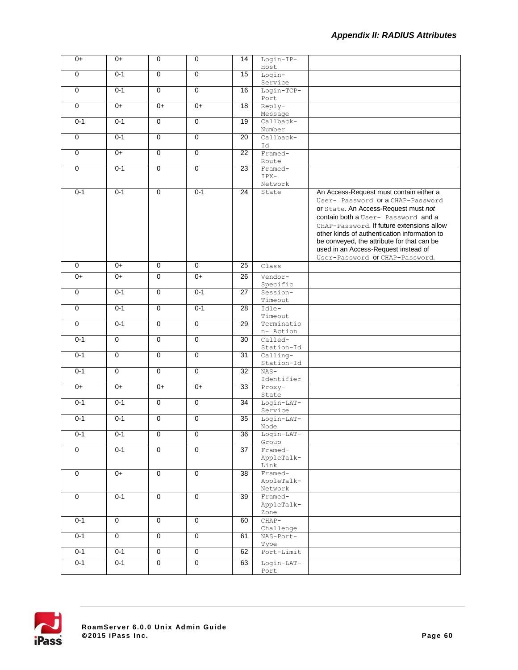| $0+$           | $0+$           | $\mathbf 0$    | $\mathbf 0$    | 14              | Login-IP-             |                                                                                  |
|----------------|----------------|----------------|----------------|-----------------|-----------------------|----------------------------------------------------------------------------------|
|                |                |                |                |                 | Host                  |                                                                                  |
| $\overline{0}$ | $0 - 1$        | $\overline{0}$ | $\overline{0}$ | 15              | Login-                |                                                                                  |
|                |                |                |                |                 | Service               |                                                                                  |
| $\mathbf 0$    | $0 - 1$        | $\overline{0}$ | $\overline{0}$ | 16              | Login-TCP-            |                                                                                  |
| $\overline{0}$ | $0+$           | $0+$           | $0+$           | 18              | Port<br>Reply-        |                                                                                  |
|                |                |                |                |                 | Message               |                                                                                  |
| $0 - 1$        | $0 - 1$        | $\overline{0}$ | $\overline{0}$ | 19              | Callback-             |                                                                                  |
|                |                |                |                |                 | Number                |                                                                                  |
| $\mathbf 0$    | $0 - 1$        | $\overline{0}$ | $\overline{0}$ | $\overline{20}$ | Callback-             |                                                                                  |
| $\overline{0}$ | $0+$           | $\overline{0}$ | $\overline{0}$ | 22              | Id<br>Framed-         |                                                                                  |
|                |                |                |                |                 | Route                 |                                                                                  |
| $\overline{0}$ | $0 - 1$        | $\overline{0}$ | $\overline{0}$ | 23              | Framed-               |                                                                                  |
|                |                |                |                |                 | IPX-                  |                                                                                  |
|                |                |                |                |                 | Network               |                                                                                  |
| $0 - 1$        | $0 - 1$        | $\overline{0}$ | $0 - 1$        | $\overline{24}$ | State                 | An Access-Request must contain either a                                          |
|                |                |                |                |                 |                       | User- Password Ora CHAP-Password                                                 |
|                |                |                |                |                 |                       | or State. An Access-Request must not                                             |
|                |                |                |                |                 |                       | contain both a User- Password and a<br>CHAP-Password. If future extensions allow |
|                |                |                |                |                 |                       | other kinds of authentication information to                                     |
|                |                |                |                |                 |                       | be conveyed, the attribute for that can be                                       |
|                |                |                |                |                 |                       | used in an Access-Request instead of                                             |
|                |                |                |                |                 |                       | User-Password Of CHAP-Password.                                                  |
| $\overline{0}$ | $0+$           | $\overline{0}$ | $\overline{0}$ | 25              | Class                 |                                                                                  |
| $0+$           | $0+$           | $\overline{0}$ | $0+$           | $\overline{26}$ | Vendor-               |                                                                                  |
|                |                |                |                |                 | Specific              |                                                                                  |
| $\overline{0}$ | $0 - 1$        | $\overline{0}$ | $0 - 1$        | $\overline{27}$ | Session-              |                                                                                  |
|                |                |                |                |                 | Timeout               |                                                                                  |
| $\overline{0}$ | $0 - 1$        | $\overline{0}$ | $0 - 1$        | $\overline{28}$ | Idle-                 |                                                                                  |
| $\overline{0}$ | $0 - 1$        | $\overline{0}$ | $\overline{0}$ | 29              | Timeout<br>Terminatio |                                                                                  |
|                |                |                |                |                 | n- Action             |                                                                                  |
| $0 - 1$        | $\mathbf 0$    | $\mathbf 0$    | $\mathbf 0$    | 30              | Called-               |                                                                                  |
|                |                |                |                |                 | Station-Id            |                                                                                  |
| $0 - 1$        | $\overline{0}$ | $\overline{0}$ | $\overline{0}$ | $\overline{31}$ | Calling-              |                                                                                  |
|                |                |                |                |                 | Station-Id            |                                                                                  |
| $0 - 1$        | $\overline{0}$ | $\overline{0}$ | $\overline{0}$ | 32              | $NAS-$                |                                                                                  |
| $0+$           | $0+$           | $0+$           | $0+$           | 33              | Identifier<br>Proxy-  |                                                                                  |
|                |                |                |                |                 | State                 |                                                                                  |
| $0 - 1$        | $0 - 1$        | $\mathbf 0$    | $\mathbf 0$    | 34              | Login-LAT-            |                                                                                  |
|                |                |                |                |                 | Service               |                                                                                  |
| $0 - 1$        | $0 - 1$        | $\mathbf 0$    | $\mathbf 0$    | 35              | $Login-LAT-$          |                                                                                  |
|                |                |                |                |                 | Node                  |                                                                                  |
| $0 - 1$        | 0-1            | 0              | 0              | 36              | Login-LAT-<br>Group   |                                                                                  |
| $\overline{0}$ | $0 - 1$        | $\overline{0}$ | $\overline{0}$ | $\overline{37}$ | $Framed -$            |                                                                                  |
|                |                |                |                |                 | AppleTalk-            |                                                                                  |
|                |                |                |                |                 | Link                  |                                                                                  |
| $\overline{0}$ | $0+$           | $\overline{0}$ | $\overline{0}$ | 38              | Framed-               |                                                                                  |
|                |                |                |                |                 | AppleTalk-            |                                                                                  |
| $\overline{0}$ | $0 - 1$        | $\mathbf 0$    | $\overline{0}$ | $\overline{39}$ | Network<br>Framed-    |                                                                                  |
|                |                |                |                |                 | AppleTalk-            |                                                                                  |
|                |                |                |                |                 | Zone                  |                                                                                  |
| $0 - 1$        | 0              | $\mathbf 0$    | 0              | 60              | $CHAP-$               |                                                                                  |
|                |                |                |                |                 | Challenge             |                                                                                  |
| $0 - 1$        | $\overline{0}$ | $\overline{0}$ | $\overline{0}$ | 61              | NAS-Port-             |                                                                                  |
|                |                |                |                |                 | Type                  |                                                                                  |
| $0 - 1$        | $0 - 1$        | $\overline{0}$ | $\overline{0}$ | 62              | Port-Limit            |                                                                                  |
| $0 - 1$        | $0 - 1$        | $\overline{0}$ | $\overline{0}$ | 63              | Login-LAT-            |                                                                                  |
|                |                |                |                |                 | Port                  |                                                                                  |

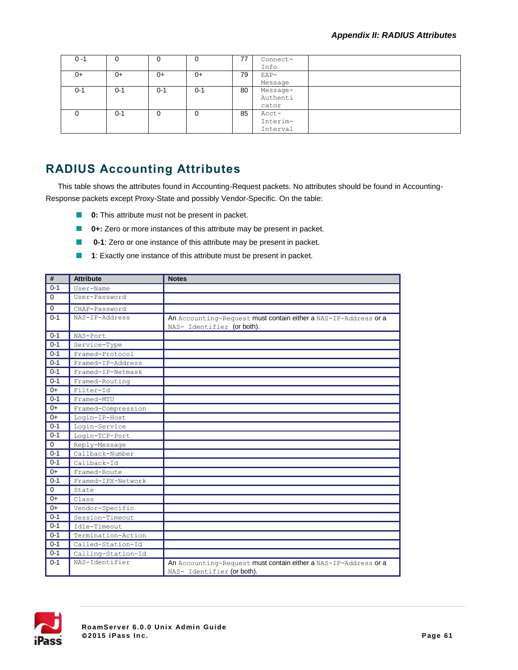| 0 -1    | 0       | υ       |         | 77 | Connect- |  |
|---------|---------|---------|---------|----|----------|--|
|         |         |         |         |    | Info     |  |
| 0+      | $0+$    | $0+$    | $0+$    | 79 | $EAP-$   |  |
|         |         |         |         |    | Message  |  |
| $0 - 1$ | $0 - 1$ | $0 - 1$ | $0 - 1$ | 80 | Message- |  |
|         |         |         |         |    | Authenti |  |
|         |         |         |         |    | cator    |  |
|         | $0 - 1$ | 0       |         | 85 | Acct-    |  |
|         |         |         |         |    | Interim- |  |
|         |         |         |         |    | Interval |  |

# **RADIUS Accounting Attributes**

This table shows the attributes found in Accounting-Request packets. No attributes should be found in Accounting-Response packets except Proxy-State and possibly Vendor-Specific. On the table:

- **0:** This attribute must not be present in packet.
- **0+:** Zero or more instances of this attribute may be present in packet.
- **0-1**: Zero or one instance of this attribute may be present in packet.  $\Box$
- **1**: Exactly one instance of this attribute must be present in packet.

| #           | <b>Attribute</b>   | <b>Notes</b>                                                                                  |
|-------------|--------------------|-----------------------------------------------------------------------------------------------|
| $0 - 1$     | User-Name          |                                                                                               |
| $\Omega$    | User-Password      |                                                                                               |
| $\mathbf 0$ | CHAP-Password      |                                                                                               |
| $0 - 1$     | NAS-TP-Address     | An Accounting-Request must contain either a NAS-IP-Address or a<br>NAS- Identifier (or both). |
| $0 - 1$     | NAS-Port           |                                                                                               |
| $0 - 1$     | Service-Type       |                                                                                               |
| $0 - 1$     | Framed-Protocol    |                                                                                               |
| $0 - 1$     | Framed-IP-Address  |                                                                                               |
| $0 - 1$     | Framed-IP-Netmask  |                                                                                               |
| $0 - 1$     | Framed-Routing     |                                                                                               |
| $0+$        | Filter-Id          |                                                                                               |
| $0 - 1$     | Framed-MTU         |                                                                                               |
| $0+$        | Framed-Compression |                                                                                               |
| $0+$        | Login-IP-Host      |                                                                                               |
| $0 - 1$     | Login-Service      |                                                                                               |
| $0 - 1$     | Login-TCP-Port     |                                                                                               |
| 0           | Reply-Message      |                                                                                               |
| $0 - 1$     | Callback-Number    |                                                                                               |
| $0 - 1$     | Callback-Id        |                                                                                               |
| $0+$        | Framed-Route       |                                                                                               |
| $0 - 1$     | Framed-IPX-Network |                                                                                               |
| $\mathbf 0$ | State              |                                                                                               |
| $0+$        | Class              |                                                                                               |
| $0+$        | Vendor-Specific    |                                                                                               |
| $0 - 1$     | Session-Timeout    |                                                                                               |
| $0 - 1$     | Idle-Timeout       |                                                                                               |
| $0 - 1$     | Termination-Action |                                                                                               |
| $0 - 1$     | Called-Station-Id  |                                                                                               |
| $0 - 1$     | Calling-Station-Id |                                                                                               |
| $0 - 1$     | NAS-Identifier     | An Accounting-Request must contain either a NAS-IP-Address or a<br>NAS- Identifier (or both). |

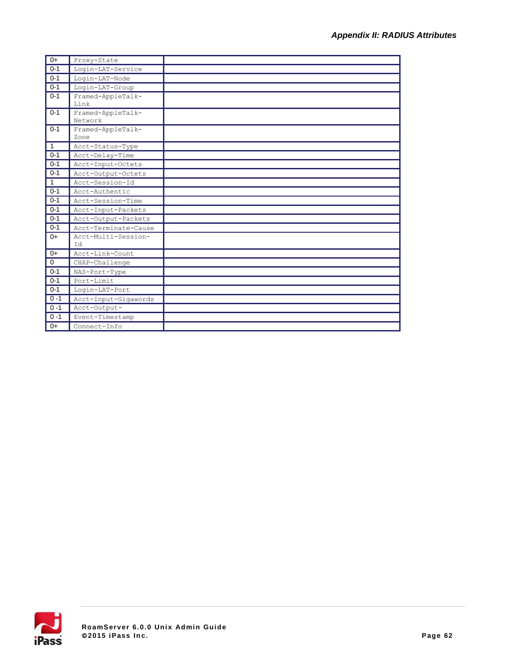| $0+$         | Proxy-State                  |  |
|--------------|------------------------------|--|
| $0 - 1$      | Login-LAT-Service            |  |
| $0 - 1$      | Login-LAT-Node               |  |
| $0 - 1$      | Login-LAT-Group              |  |
| $0 - 1$      | Framed-AppleTalk-<br>Link    |  |
| $0 - 1$      | Framed-AppleTalk-<br>Network |  |
| $0 - 1$      | Framed-AppleTalk-<br>Zone    |  |
| $\mathbf{1}$ | Acct-Status-Type             |  |
| $0 - 1$      | Acct-Delay-Time              |  |
| $0 - 1$      | Acct-Input-Octets            |  |
| $0 - 1$      | Acct-Output-Octets           |  |
| $\mathbf{1}$ | Acct-Session-Id              |  |
| $0 - 1$      | Acct-Authentic               |  |
| $0 - 1$      | Acct-Session-Time            |  |
| $0 - 1$      | Acct-Input-Packets           |  |
| $0 - 1$      | Acct-Output-Packets          |  |
| $0 - 1$      | Acct-Terminate-Cause         |  |
| $0+$         | Acct-Multi-Session-<br>T d   |  |
| $0+$         | Acct-Link-Count              |  |
| $\mathbf{0}$ | CHAP-Challenge               |  |
| $0 - 1$      | NAS-Port-Type                |  |
| $0 - 1$      | Port-Limit                   |  |
| $0 - 1$      | Login-LAT-Port               |  |
| $0 - 1$      | Acct-Input-Gigawords         |  |
| $0 - 1$      | Acct-Output-                 |  |
| $0 - 1$      | Event-Timestamp              |  |
| $0+$         | Connect-Info                 |  |